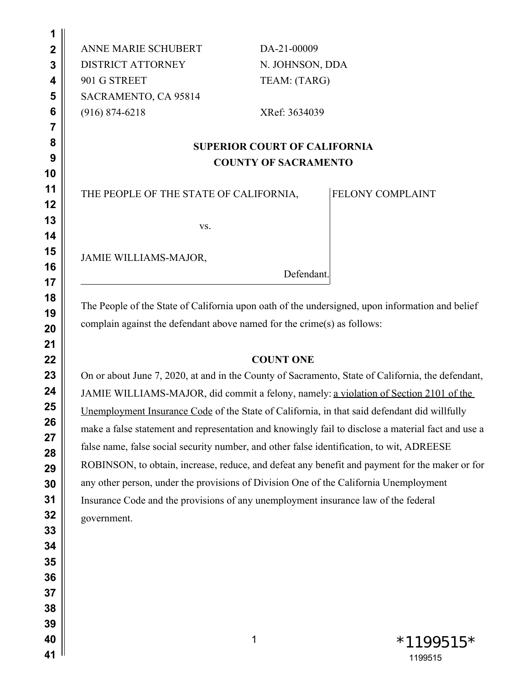ANNE MARIE SCHUBERT DISTRICT ATTORNEY 901 G STREET SACRAMENTO, CA 95814 (916) 874-6218

DA-21-00009 N. JOHNSON, DDA TEAM: (TARG)

XRef: 3634039

# **SUPERIOR COURT OF CALIFORNIA COUNTY OF SACRAMENTO**

THE PEOPLE OF THE STATE OF CALIFORNIA,

FELONY COMPLAINT

vs.

JAMIE WILLIAMS-MAJOR,

Defendant.

The People of the State of California upon oath of the undersigned, upon information and belief complain against the defendant above named for the crime(s) as follows:

# **COUNT ONE**

On or about June 7, 2020, at and in the County of Sacramento, State of California, the defendant, JAMIE WILLIAMS-MAJOR, did commit a felony, namely: a violation of Section 2101 of the Unemployment Insurance Code of the State of California, in that said defendant did willfully make a false statement and representation and knowingly fail to disclose a material fact and use a false name, false social security number, and other false identification, to wit, ADREESE ROBINSON, to obtain, increase, reduce, and defeat any benefit and payment for the maker or for any other person, under the provisions of Division One of the California Unemployment Insurance Code and the provisions of any unemployment insurance law of the federal government.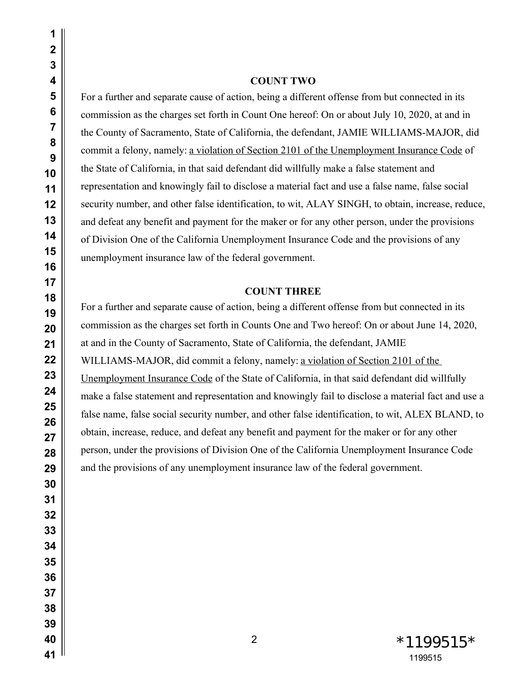#### **COUNT TWO**

For a further and separate cause of action, being a different offense from but connected in its commission as the charges set forth in Count One hereof: On or about July 10, 2020, at and in the County of Sacramento, State of California, the defendant, JAMIE WILLIAMS-MAJOR, did commit a felony, namely: a violation of Section 2101 of the Unemployment Insurance Code of the State of California, in that said defendant did willfully make a false statement and representation and knowingly fail to disclose a material fact and use a false name, false social security number, and other false identification, to wit, ALAY SINGH, to obtain, increase, reduce, and defeat any benefit and payment for the maker or for any other person, under the provisions of Division One of the California Unemployment Insurance Code and the provisions of any unemployment insurance law of the federal government.

#### **COUNT THREE**

For a further and separate cause of action, being a different offense from but connected in its commission as the charges set forth in Counts One and Two hereof: On or about June 14, 2020, at and in the County of Sacramento, State of California, the defendant, JAMIE WILLIAMS-MAJOR, did commit a felony, namely: a violation of Section 2101 of the Unemployment Insurance Code of the State of California, in that said defendant did willfully make a false statement and representation and knowingly fail to disclose a material fact and use a false name, false social security number, and other false identification, to wit, ALEX BLAND, to obtain, increase, reduce, and defeat any benefit and payment for the maker or for any other person, under the provisions of Division One of the California Unemployment Insurance Code and the provisions of any unemployment insurance law of the federal government.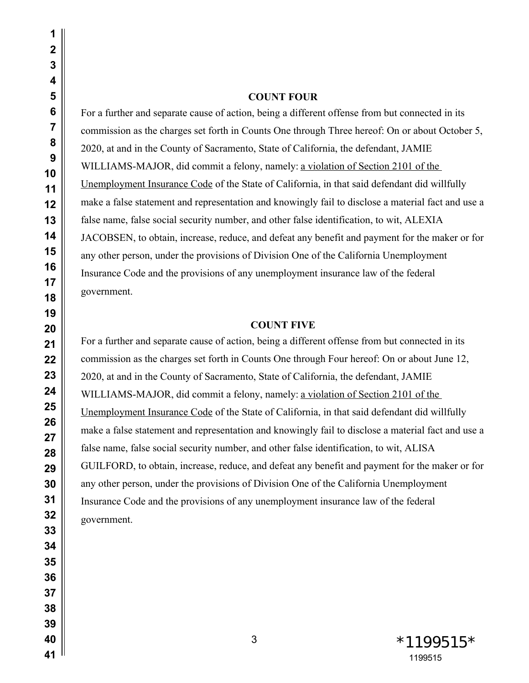#### **COUNT FOUR**

For a further and separate cause of action, being a different offense from but connected in its commission as the charges set forth in Counts One through Three hereof: On or about October 5, 2020, at and in the County of Sacramento, State of California, the defendant, JAMIE WILLIAMS-MAJOR, did commit a felony, namely: a violation of Section 2101 of the Unemployment Insurance Code of the State of California, in that said defendant did willfully make a false statement and representation and knowingly fail to disclose a material fact and use a false name, false social security number, and other false identification, to wit, ALEXIA JACOBSEN, to obtain, increase, reduce, and defeat any benefit and payment for the maker or for any other person, under the provisions of Division One of the California Unemployment Insurance Code and the provisions of any unemployment insurance law of the federal government.

#### **COUNT FIVE**

For a further and separate cause of action, being a different offense from but connected in its commission as the charges set forth in Counts One through Four hereof: On or about June 12, 2020, at and in the County of Sacramento, State of California, the defendant, JAMIE WILLIAMS-MAJOR, did commit a felony, namely: a violation of Section 2101 of the Unemployment Insurance Code of the State of California, in that said defendant did willfully make a false statement and representation and knowingly fail to disclose a material fact and use a false name, false social security number, and other false identification, to wit, ALISA GUILFORD, to obtain, increase, reduce, and defeat any benefit and payment for the maker or for any other person, under the provisions of Division One of the California Unemployment Insurance Code and the provisions of any unemployment insurance law of the federal government.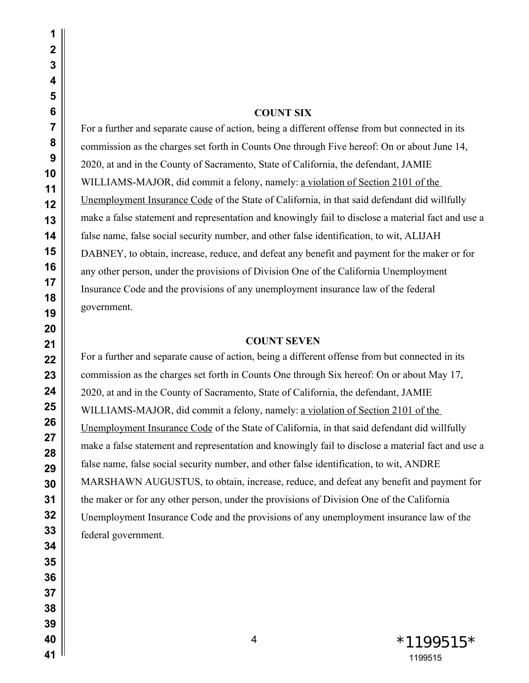## **COUNT SIX**

For a further and separate cause of action, being a different offense from but connected in its commission as the charges set forth in Counts One through Five hereof: On or about June 14, 2020, at and in the County of Sacramento, State of California, the defendant, JAMIE WILLIAMS-MAJOR, did commit a felony, namely: a violation of Section 2101 of the Unemployment Insurance Code of the State of California, in that said defendant did willfully make a false statement and representation and knowingly fail to disclose a material fact and use a false name, false social security number, and other false identification, to wit, ALIJAH DABNEY, to obtain, increase, reduce, and defeat any benefit and payment for the maker or for any other person, under the provisions of Division One of the California Unemployment Insurance Code and the provisions of any unemployment insurance law of the federal government.

#### **COUNT SEVEN**

For a further and separate cause of action, being a different offense from but connected in its commission as the charges set forth in Counts One through Six hereof: On or about May 17, 2020, at and in the County of Sacramento, State of California, the defendant, JAMIE WILLIAMS-MAJOR, did commit a felony, namely: a violation of Section 2101 of the Unemployment Insurance Code of the State of California, in that said defendant did willfully make a false statement and representation and knowingly fail to disclose a material fact and use a false name, false social security number, and other false identification, to wit, ANDRE MARSHAWN AUGUSTUS, to obtain, increase, reduce, and defeat any benefit and payment for the maker or for any other person, under the provisions of Division One of the California Unemployment Insurance Code and the provisions of any unemployment insurance law of the federal government.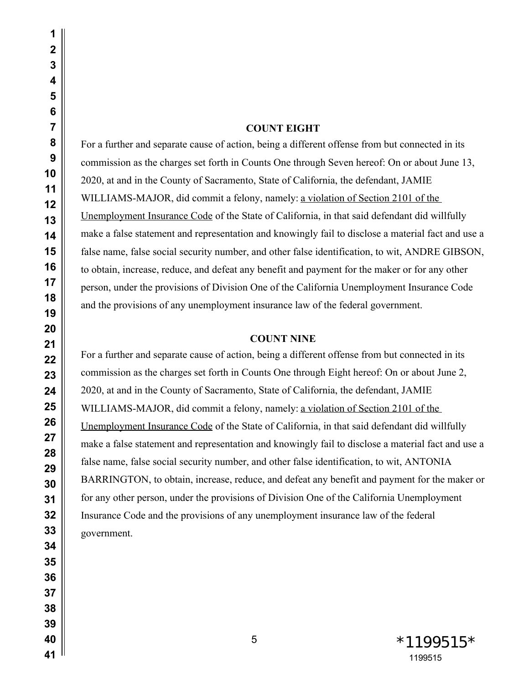## **COUNT EIGHT**

For a further and separate cause of action, being a different offense from but connected in its commission as the charges set forth in Counts One through Seven hereof: On or about June 13, 2020, at and in the County of Sacramento, State of California, the defendant, JAMIE WILLIAMS-MAJOR, did commit a felony, namely: a violation of Section 2101 of the Unemployment Insurance Code of the State of California, in that said defendant did willfully make a false statement and representation and knowingly fail to disclose a material fact and use a false name, false social security number, and other false identification, to wit, ANDRE GIBSON, to obtain, increase, reduce, and defeat any benefit and payment for the maker or for any other person, under the provisions of Division One of the California Unemployment Insurance Code and the provisions of any unemployment insurance law of the federal government.

## **COUNT NINE**

For a further and separate cause of action, being a different offense from but connected in its commission as the charges set forth in Counts One through Eight hereof: On or about June 2, 2020, at and in the County of Sacramento, State of California, the defendant, JAMIE WILLIAMS-MAJOR, did commit a felony, namely: a violation of Section 2101 of the Unemployment Insurance Code of the State of California, in that said defendant did willfully make a false statement and representation and knowingly fail to disclose a material fact and use a false name, false social security number, and other false identification, to wit, ANTONIA BARRINGTON, to obtain, increase, reduce, and defeat any benefit and payment for the maker or for any other person, under the provisions of Division One of the California Unemployment Insurance Code and the provisions of any unemployment insurance law of the federal government.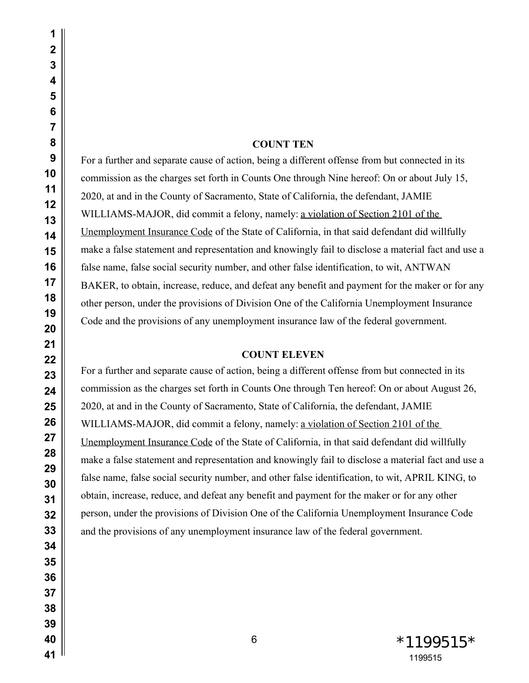# **COUNT TEN**

For a further and separate cause of action, being a different offense from but connected in its commission as the charges set forth in Counts One through Nine hereof: On or about July 15, 2020, at and in the County of Sacramento, State of California, the defendant, JAMIE WILLIAMS-MAJOR, did commit a felony, namely: a violation of Section 2101 of the Unemployment Insurance Code of the State of California, in that said defendant did willfully make a false statement and representation and knowingly fail to disclose a material fact and use a false name, false social security number, and other false identification, to wit, ANTWAN BAKER, to obtain, increase, reduce, and defeat any benefit and payment for the maker or for any other person, under the provisions of Division One of the California Unemployment Insurance Code and the provisions of any unemployment insurance law of the federal government.

### **COUNT ELEVEN**

For a further and separate cause of action, being a different offense from but connected in its commission as the charges set forth in Counts One through Ten hereof: On or about August 26, 2020, at and in the County of Sacramento, State of California, the defendant, JAMIE WILLIAMS-MAJOR, did commit a felony, namely: a violation of Section 2101 of the Unemployment Insurance Code of the State of California, in that said defendant did willfully make a false statement and representation and knowingly fail to disclose a material fact and use a false name, false social security number, and other false identification, to wit, APRIL KING, to obtain, increase, reduce, and defeat any benefit and payment for the maker or for any other person, under the provisions of Division One of the California Unemployment Insurance Code and the provisions of any unemployment insurance law of the federal government.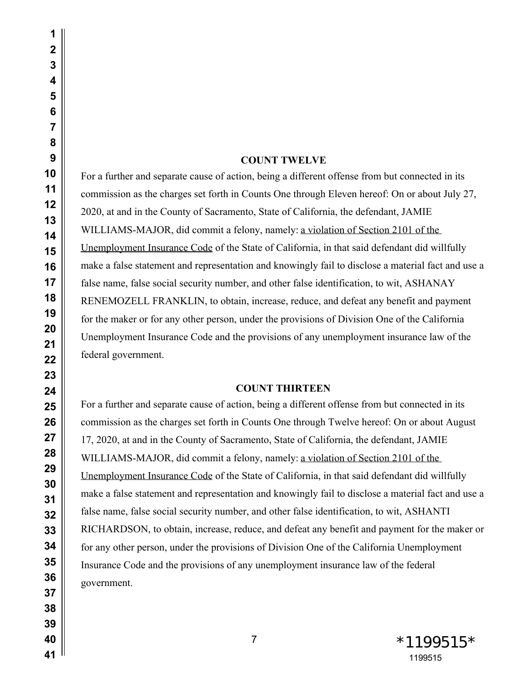| 1        |  |
|----------|--|
| 2        |  |
| 3        |  |
| 4        |  |
| 5        |  |
| 6        |  |
| 7        |  |
| 8        |  |
| 9        |  |
| 10       |  |
| 11       |  |
| 12       |  |
| 13       |  |
| 14       |  |
| 15       |  |
| 16       |  |
| 17       |  |
| 18       |  |
| 19       |  |
| 20       |  |
| 21       |  |
| 22       |  |
| 23       |  |
| 24<br>25 |  |
| 26       |  |
| 27       |  |
| 28       |  |
| 29       |  |
| 30       |  |
| 31       |  |
| 32       |  |
| 33       |  |
| 34       |  |
| 35       |  |
| 36       |  |
| 37       |  |
| 38       |  |
| 39       |  |
| 40       |  |

## **COUNT TWELVE**

For a further and separate cause of action, being a different offense from but connected in its commission as the charges set forth in Counts One through Eleven hereof: On or about July 27, 2020, at and in the County of Sacramento, State of California, the defendant, JAMIE WILLIAMS-MAJOR, did commit a felony, namely: a violation of Section 2101 of the Unemployment Insurance Code of the State of California, in that said defendant did willfully make a false statement and representation and knowingly fail to disclose a material fact and use a false name, false social security number, and other false identification, to wit, ASHANAY RENEMOZELL FRANKLIN, to obtain, increase, reduce, and defeat any benefit and payment for the maker or for any other person, under the provisions of Division One of the California Unemployment Insurance Code and the provisions of any unemployment insurance law of the federal government.

### **COUNT THIRTEEN**

For a further and separate cause of action, being a different offense from but connected in its commission as the charges set forth in Counts One through Twelve hereof: On or about August 17, 2020, at and in the County of Sacramento, State of California, the defendant, JAMIE WILLIAMS-MAJOR, did commit a felony, namely: <u>a violation of Section 2101 of the</u> Unemployment Insurance Code of the State of California, in that said defendant did willfully make a false statement and representation and knowingly fail to disclose a material fact and use a false name, false social security number, and other false identification, to wit, ASHANTI RICHARDSON, to obtain, increase, reduce, and defeat any benefit and payment for the maker or for any other person, under the provisions of Division One of the California Unemployment Insurance Code and the provisions of any unemployment insurance law of the federal government.

> 7  $*1199515*$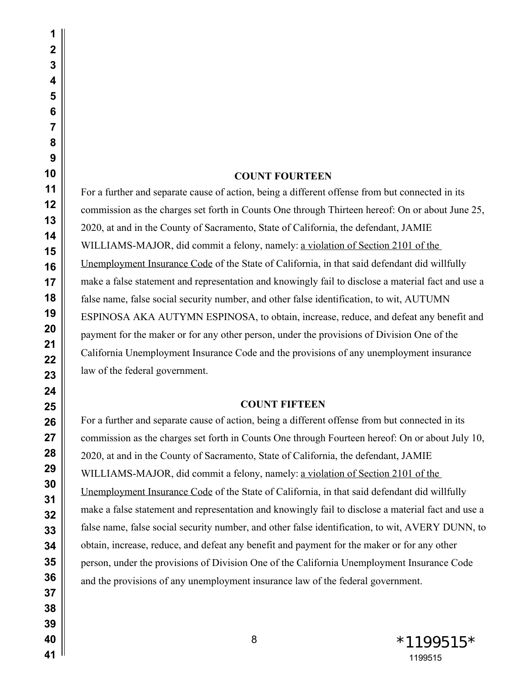# **COUNT FOURTEEN**

For a further and separate cause of action, being a different offense from but connected in its commission as the charges set forth in Counts One through Thirteen hereof: On or about June 25, 2020, at and in the County of Sacramento, State of California, the defendant, JAMIE WILLIAMS-MAJOR, did commit a felony, namely: a violation of Section 2101 of the Unemployment Insurance Code of the State of California, in that said defendant did willfully make a false statement and representation and knowingly fail to disclose a material fact and use a false name, false social security number, and other false identification, to wit, AUTUMN ESPINOSA AKA AUTYMN ESPINOSA, to obtain, increase, reduce, and defeat any benefit and payment for the maker or for any other person, under the provisions of Division One of the California Unemployment Insurance Code and the provisions of any unemployment insurance law of the federal government.

# **COUNT FIFTEEN**

For a further and separate cause of action, being a different offense from but connected in its commission as the charges set forth in Counts One through Fourteen hereof: On or about July 10, 2020, at and in the County of Sacramento, State of California, the defendant, JAMIE WILLIAMS-MAJOR, did commit a felony, namely: a violation of Section 2101 of the Unemployment Insurance Code of the State of California, in that said defendant did willfully make a false statement and representation and knowingly fail to disclose a material fact and use a false name, false social security number, and other false identification, to wit, AVERY DUNN, to obtain, increase, reduce, and defeat any benefit and payment for the maker or for any other person, under the provisions of Division One of the California Unemployment Insurance Code and the provisions of any unemployment insurance law of the federal government.

8 \*1199515 \*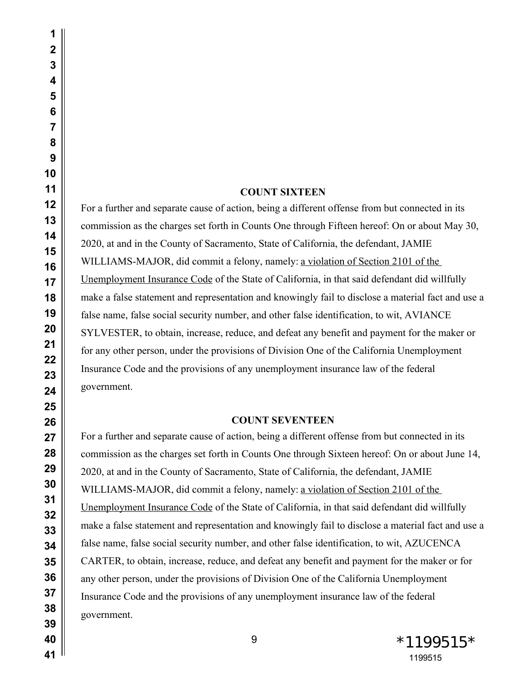#### **COUNT SIXTEEN**

For a further and separate cause of action, being a different offense from but connected in its commission as the charges set forth in Counts One through Fifteen hereof: On or about May 30, 2020, at and in the County of Sacramento, State of California, the defendant, JAMIE WILLIAMS-MAJOR, did commit a felony, namely: a violation of Section 2101 of the Unemployment Insurance Code of the State of California, in that said defendant did willfully make a false statement and representation and knowingly fail to disclose a material fact and use a false name, false social security number, and other false identification, to wit, AVIANCE SYLVESTER, to obtain, increase, reduce, and defeat any benefit and payment for the maker or for any other person, under the provisions of Division One of the California Unemployment Insurance Code and the provisions of any unemployment insurance law of the federal government.

#### **COUNT SEVENTEEN**

For a further and separate cause of action, being a different offense from but connected in its commission as the charges set forth in Counts One through Sixteen hereof: On or about June 14, 2020, at and in the County of Sacramento, State of California, the defendant, JAMIE WILLIAMS-MAJOR, did commit a felony, namely: a violation of Section 2101 of the Unemployment Insurance Code of the State of California, in that said defendant did willfully make a false statement and representation and knowingly fail to disclose a material fact and use a false name, false social security number, and other false identification, to wit, AZUCENCA CARTER, to obtain, increase, reduce, and defeat any benefit and payment for the maker or for any other person, under the provisions of Division One of the California Unemployment Insurance Code and the provisions of any unemployment insurance law of the federal government.

9 \*1199515 \*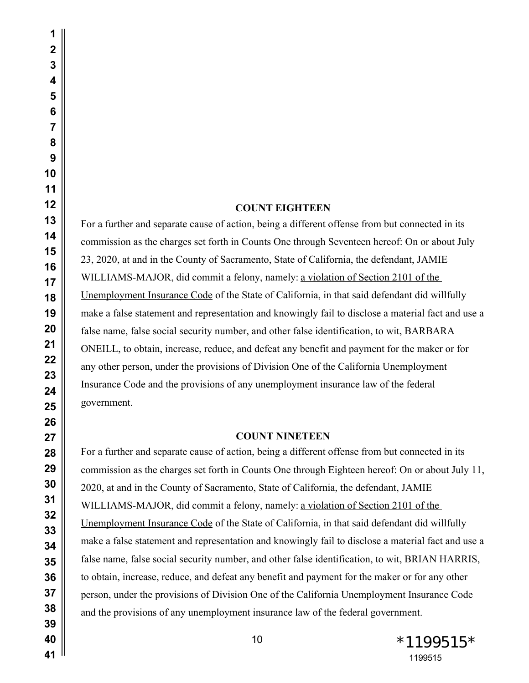# **COUNT EIGHTEEN**

For a further and separate cause of action, being a different offense from but connected in its commission as the charges set forth in Counts One through Seventeen hereof: On or about July 23, 2020, at and in the County of Sacramento, State of California, the defendant, JAMIE WILLIAMS-MAJOR, did commit a felony, namely: a violation of Section 2101 of the Unemployment Insurance Code of the State of California, in that said defendant did willfully make a false statement and representation and knowingly fail to disclose a material fact and use a false name, false social security number, and other false identification, to wit, BARBARA ONEILL, to obtain, increase, reduce, and defeat any benefit and payment for the maker or for any other person, under the provisions of Division One of the California Unemployment Insurance Code and the provisions of any unemployment insurance law of the federal government.

### **COUNT NINETEEN**

For a further and separate cause of action, being a different offense from but connected in its commission as the charges set forth in Counts One through Eighteen hereof: On or about July 11, 2020, at and in the County of Sacramento, State of California, the defendant, JAMIE WILLIAMS-MAJOR, did commit a felony, namely: a violation of Section 2101 of the Unemployment Insurance Code of the State of California, in that said defendant did willfully make a false statement and representation and knowingly fail to disclose a material fact and use a false name, false social security number, and other false identification, to wit, BRIAN HARRIS, to obtain, increase, reduce, and defeat any benefit and payment for the maker or for any other person, under the provisions of Division One of the California Unemployment Insurance Code and the provisions of any unemployment insurance law of the federal government.

 

> 10 \*1199515 \*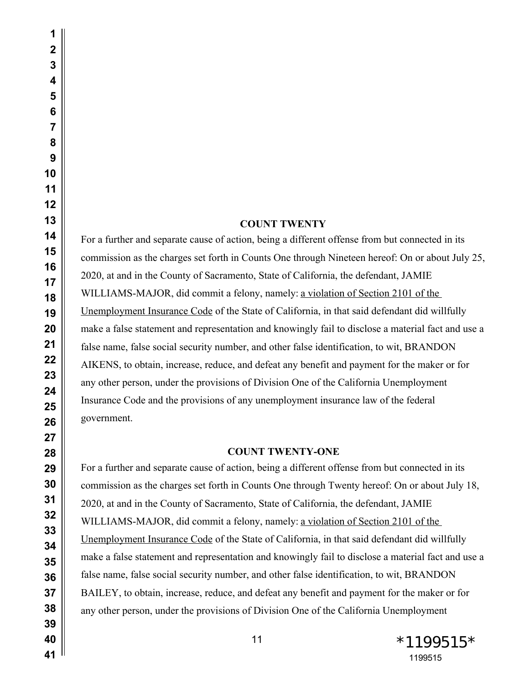## **COUNT TWENTY**

For a further and separate cause of action, being a different offense from but connected in its commission as the charges set forth in Counts One through Nineteen hereof: On or about July 25, 2020, at and in the County of Sacramento, State of California, the defendant, JAMIE WILLIAMS-MAJOR, did commit a felony, namely: a violation of Section 2101 of the Unemployment Insurance Code of the State of California, in that said defendant did willfully make a false statement and representation and knowingly fail to disclose a material fact and use a false name, false social security number, and other false identification, to wit, BRANDON AIKENS, to obtain, increase, reduce, and defeat any benefit and payment for the maker or for any other person, under the provisions of Division One of the California Unemployment Insurance Code and the provisions of any unemployment insurance law of the federal government.

### **COUNT TWENTY-ONE**

For a further and separate cause of action, being a different offense from but connected in its commission as the charges set forth in Counts One through Twenty hereof: On or about July 18, 2020, at and in the County of Sacramento, State of California, the defendant, JAMIE WILLIAMS-MAJOR, did commit a felony, namely: a violation of Section 2101 of the Unemployment Insurance Code of the State of California, in that said defendant did willfully make a false statement and representation and knowingly fail to disclose a material fact and use a false name, false social security number, and other false identification, to wit, BRANDON BAILEY, to obtain, increase, reduce, and defeat any benefit and payment for the maker or for any other person, under the provisions of Division One of the California Unemployment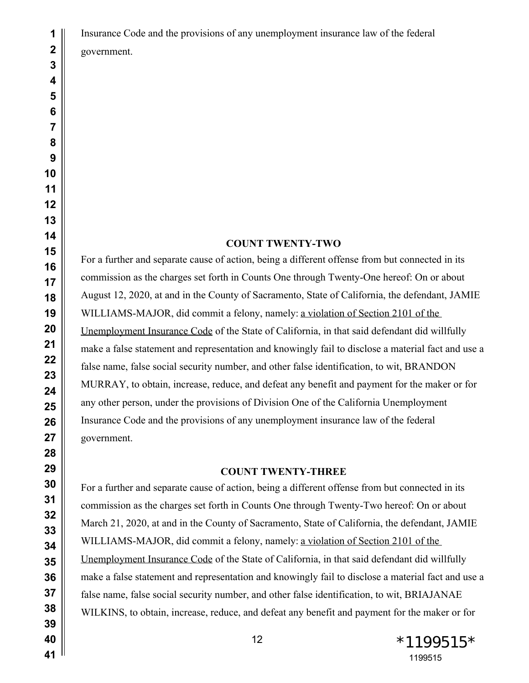Insurance Code and the provisions of any unemployment insurance law of the federal government.

## **COUNT TWENTY-TWO**

For a further and separate cause of action, being a different offense from but connected in its commission as the charges set forth in Counts One through Twenty-One hereof: On or about August 12, 2020, at and in the County of Sacramento, State of California, the defendant, JAMIE WILLIAMS-MAJOR, did commit a felony, namely: a violation of Section 2101 of the Unemployment Insurance Code of the State of California, in that said defendant did willfully make a false statement and representation and knowingly fail to disclose a material fact and use a false name, false social security number, and other false identification, to wit, BRANDON MURRAY, to obtain, increase, reduce, and defeat any benefit and payment for the maker or for any other person, under the provisions of Division One of the California Unemployment Insurance Code and the provisions of any unemployment insurance law of the federal government.

#### **COUNT TWENTY-THREE**

For a further and separate cause of action, being a different offense from but connected in its commission as the charges set forth in Counts One through Twenty-Two hereof: On or about March 21, 2020, at and in the County of Sacramento, State of California, the defendant, JAMIE WILLIAMS-MAJOR, did commit a felony, namely: a violation of Section 2101 of the Unemployment Insurance Code of the State of California, in that said defendant did willfully make a false statement and representation and knowingly fail to disclose a material fact and use a false name, false social security number, and other false identification, to wit, BRIAJANAE WILKINS, to obtain, increase, reduce, and defeat any benefit and payment for the maker or for

 $*1199515*$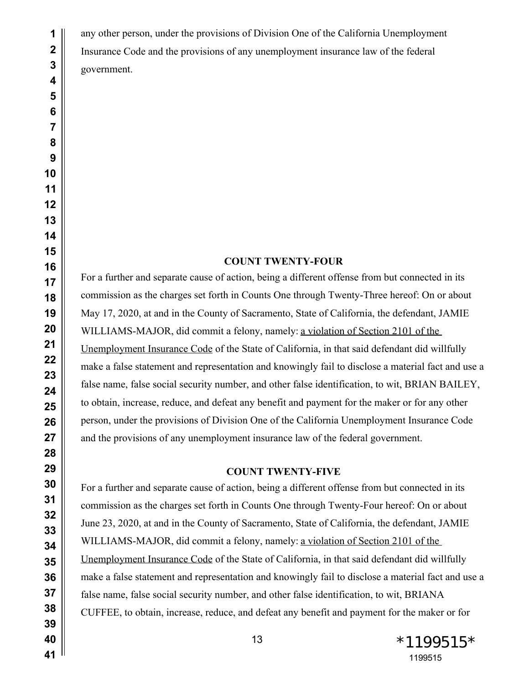any other person, under the provisions of Division One of the California Unemployment Insurance Code and the provisions of any unemployment insurance law of the federal government.

### **COUNT TWENTY-FOUR**

For a further and separate cause of action, being a different offense from but connected in its commission as the charges set forth in Counts One through Twenty-Three hereof: On or about May 17, 2020, at and in the County of Sacramento, State of California, the defendant, JAMIE WILLIAMS-MAJOR, did commit a felony, namely: a violation of Section 2101 of the Unemployment Insurance Code of the State of California, in that said defendant did willfully make a false statement and representation and knowingly fail to disclose a material fact and use a false name, false social security number, and other false identification, to wit, BRIAN BAILEY, to obtain, increase, reduce, and defeat any benefit and payment for the maker or for any other person, under the provisions of Division One of the California Unemployment Insurance Code and the provisions of any unemployment insurance law of the federal government.

# **COUNT TWENTY-FIVE**

For a further and separate cause of action, being a different offense from but connected in its commission as the charges set forth in Counts One through Twenty-Four hereof: On or about June 23, 2020, at and in the County of Sacramento, State of California, the defendant, JAMIE WILLIAMS-MAJOR, did commit a felony, namely: a violation of Section 2101 of the Unemployment Insurance Code of the State of California, in that said defendant did willfully make a false statement and representation and knowingly fail to disclose a material fact and use a false name, false social security number, and other false identification, to wit, BRIANA CUFFEE, to obtain, increase, reduce, and defeat any benefit and payment for the maker or for

 $*1199515*$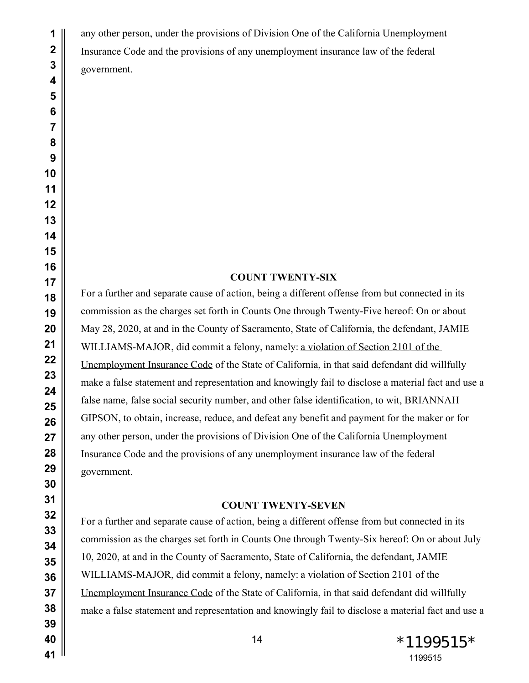any other person, under the provisions of Division One of the California Unemployment Insurance Code and the provisions of any unemployment insurance law of the federal government.

# **COUNT TWENTY-SIX**

For a further and separate cause of action, being a different offense from but connected in its commission as the charges set forth in Counts One through Twenty-Five hereof: On or about May 28, 2020, at and in the County of Sacramento, State of California, the defendant, JAMIE WILLIAMS-MAJOR, did commit a felony, namely: a violation of Section 2101 of the Unemployment Insurance Code of the State of California, in that said defendant did willfully make a false statement and representation and knowingly fail to disclose a material fact and use a false name, false social security number, and other false identification, to wit, BRIANNAH GIPSON, to obtain, increase, reduce, and defeat any benefit and payment for the maker or for any other person, under the provisions of Division One of the California Unemployment Insurance Code and the provisions of any unemployment insurance law of the federal government.

### **COUNT TWENTY-SEVEN**

For a further and separate cause of action, being a different offense from but connected in its commission as the charges set forth in Counts One through Twenty-Six hereof: On or about July 10, 2020, at and in the County of Sacramento, State of California, the defendant, JAMIE WILLIAMS-MAJOR, did commit a felony, namely: a violation of Section 2101 of the Unemployment Insurance Code of the State of California, in that said defendant did willfully make a false statement and representation and knowingly fail to disclose a material fact and use a

 \*1199515\*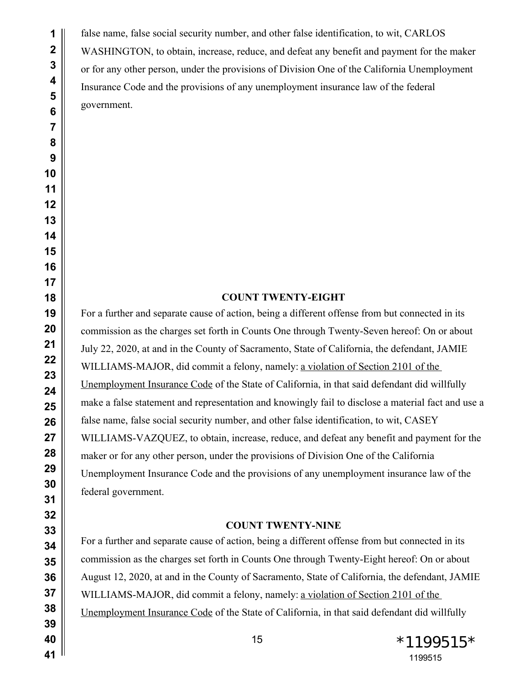false name, false social security number, and other false identification, to wit, CARLOS WASHINGTON, to obtain, increase, reduce, and defeat any benefit and payment for the maker or for any other person, under the provisions of Division One of the California Unemployment Insurance Code and the provisions of any unemployment insurance law of the federal government.

# **COUNT TWENTY-EIGHT**

For a further and separate cause of action, being a different offense from but connected in its commission as the charges set forth in Counts One through Twenty-Seven hereof: On or about July 22, 2020, at and in the County of Sacramento, State of California, the defendant, JAMIE WILLIAMS-MAJOR, did commit a felony, namely: a violation of Section 2101 of the Unemployment Insurance Code of the State of California, in that said defendant did willfully make a false statement and representation and knowingly fail to disclose a material fact and use a false name, false social security number, and other false identification, to wit, CASEY WILLIAMS-VAZQUEZ, to obtain, increase, reduce, and defeat any benefit and payment for the maker or for any other person, under the provisions of Division One of the California Unemployment Insurance Code and the provisions of any unemployment insurance law of the federal government.

### **COUNT TWENTY-NINE**

For a further and separate cause of action, being a different offense from but connected in its commission as the charges set forth in Counts One through Twenty-Eight hereof: On or about August 12, 2020, at and in the County of Sacramento, State of California, the defendant, JAMIE WILLIAMS-MAJOR, did commit a felony, namely: a violation of Section 2101 of the Unemployment Insurance Code of the State of California, in that said defendant did willfully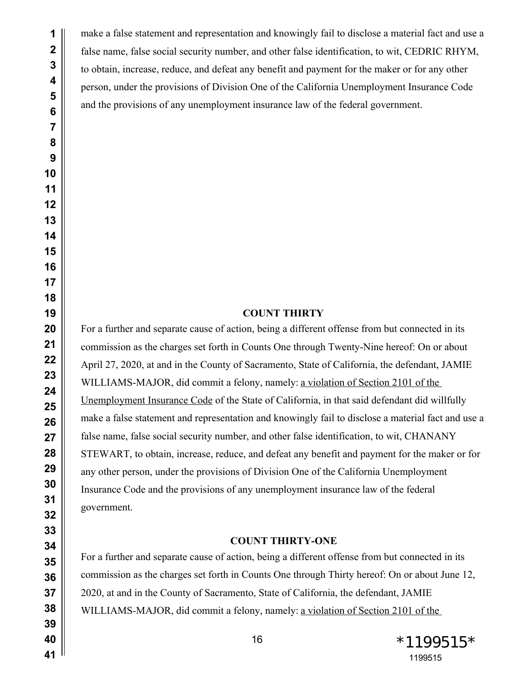make a false statement and representation and knowingly fail to disclose a material fact and use a false name, false social security number, and other false identification, to wit, CEDRIC RHYM, to obtain, increase, reduce, and defeat any benefit and payment for the maker or for any other person, under the provisions of Division One of the California Unemployment Insurance Code and the provisions of any unemployment insurance law of the federal government.

# **COUNT THIRTY**

For a further and separate cause of action, being a different offense from but connected in its commission as the charges set forth in Counts One through Twenty-Nine hereof: On or about April 27, 2020, at and in the County of Sacramento, State of California, the defendant, JAMIE WILLIAMS-MAJOR, did commit a felony, namely: a violation of Section 2101 of the Unemployment Insurance Code of the State of California, in that said defendant did willfully make a false statement and representation and knowingly fail to disclose a material fact and use a false name, false social security number, and other false identification, to wit, CHANANY STEWART, to obtain, increase, reduce, and defeat any benefit and payment for the maker or for any other person, under the provisions of Division One of the California Unemployment Insurance Code and the provisions of any unemployment insurance law of the federal government.

#### **COUNT THIRTY-ONE**

For a further and separate cause of action, being a different offense from but connected in its commission as the charges set forth in Counts One through Thirty hereof: On or about June 12, 2020, at and in the County of Sacramento, State of California, the defendant, JAMIE WILLIAMS-MAJOR, did commit a felony, namely: a violation of Section 2101 of the

> 16 \*1199515\*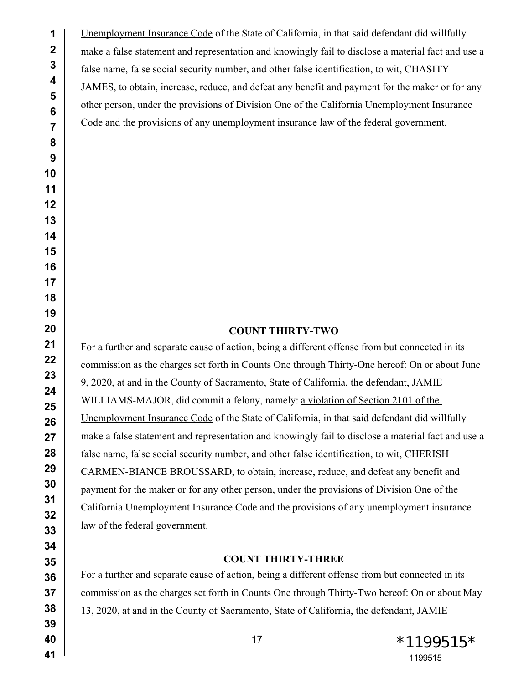Unemployment Insurance Code of the State of California, in that said defendant did willfully make a false statement and representation and knowingly fail to disclose a material fact and use a false name, false social security number, and other false identification, to wit, CHASITY JAMES, to obtain, increase, reduce, and defeat any benefit and payment for the maker or for any other person, under the provisions of Division One of the California Unemployment Insurance Code and the provisions of any unemployment insurance law of the federal government.

#### **COUNT THIRTY-TWO**

For a further and separate cause of action, being a different offense from but connected in its commission as the charges set forth in Counts One through Thirty-One hereof: On or about June 9, 2020, at and in the County of Sacramento, State of California, the defendant, JAMIE WILLIAMS-MAJOR, did commit a felony, namely: a violation of Section 2101 of the Unemployment Insurance Code of the State of California, in that said defendant did willfully make a false statement and representation and knowingly fail to disclose a material fact and use a false name, false social security number, and other false identification, to wit, CHERISH CARMEN-BIANCE BROUSSARD, to obtain, increase, reduce, and defeat any benefit and payment for the maker or for any other person, under the provisions of Division One of the California Unemployment Insurance Code and the provisions of any unemployment insurance law of the federal government.

#### **COUNT THIRTY-THREE**

For a further and separate cause of action, being a different offense from but connected in its commission as the charges set forth in Counts One through Thirty-Two hereof: On or about May 13, 2020, at and in the County of Sacramento, State of California, the defendant, JAMIE

 $17 \times 1199515*$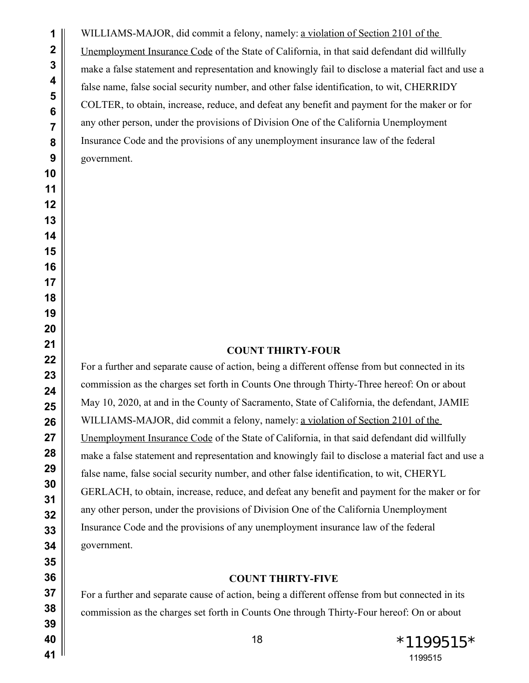WILLIAMS-MAJOR, did commit a felony, namely: a violation of Section 2101 of the Unemployment Insurance Code of the State of California, in that said defendant did willfully make a false statement and representation and knowingly fail to disclose a material fact and use a false name, false social security number, and other false identification, to wit, CHERRIDY COLTER, to obtain, increase, reduce, and defeat any benefit and payment for the maker or for any other person, under the provisions of Division One of the California Unemployment Insurance Code and the provisions of any unemployment insurance law of the federal government.

## **COUNT THIRTY-FOUR**

For a further and separate cause of action, being a different offense from but connected in its commission as the charges set forth in Counts One through Thirty-Three hereof: On or about May 10, 2020, at and in the County of Sacramento, State of California, the defendant, JAMIE WILLIAMS-MAJOR, did commit a felony, namely: a violation of Section 2101 of the Unemployment Insurance Code of the State of California, in that said defendant did willfully make a false statement and representation and knowingly fail to disclose a material fact and use a false name, false social security number, and other false identification, to wit, CHERYL GERLACH, to obtain, increase, reduce, and defeat any benefit and payment for the maker or for any other person, under the provisions of Division One of the California Unemployment Insurance Code and the provisions of any unemployment insurance law of the federal government.

# **COUNT THIRTY-FIVE**

For a further and separate cause of action, being a different offense from but connected in its commission as the charges set forth in Counts One through Thirty-Four hereof: On or about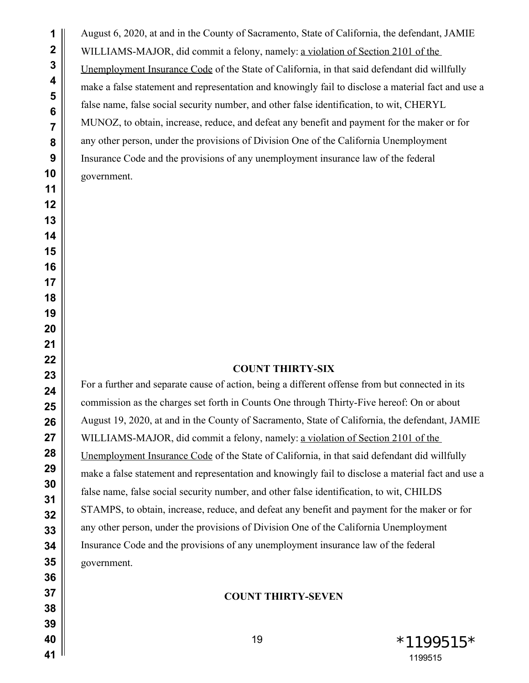August 6, 2020, at and in the County of Sacramento, State of California, the defendant, JAMIE WILLIAMS-MAJOR, did commit a felony, namely: a violation of Section 2101 of the Unemployment Insurance Code of the State of California, in that said defendant did willfully make a false statement and representation and knowingly fail to disclose a material fact and use a false name, false social security number, and other false identification, to wit, CHERYL MUNOZ, to obtain, increase, reduce, and defeat any benefit and payment for the maker or for any other person, under the provisions of Division One of the California Unemployment Insurance Code and the provisions of any unemployment insurance law of the federal government.

### **COUNT THIRTY-SIX**

For a further and separate cause of action, being a different offense from but connected in its commission as the charges set forth in Counts One through Thirty-Five hereof: On or about August 19, 2020, at and in the County of Sacramento, State of California, the defendant, JAMIE WILLIAMS-MAJOR, did commit a felony, namely: a violation of Section 2101 of the Unemployment Insurance Code of the State of California, in that said defendant did willfully make a false statement and representation and knowingly fail to disclose a material fact and use a false name, false social security number, and other false identification, to wit, CHILDS STAMPS, to obtain, increase, reduce, and defeat any benefit and payment for the maker or for any other person, under the provisions of Division One of the California Unemployment Insurance Code and the provisions of any unemployment insurance law of the federal government.

## **COUNT THIRTY-SEVEN**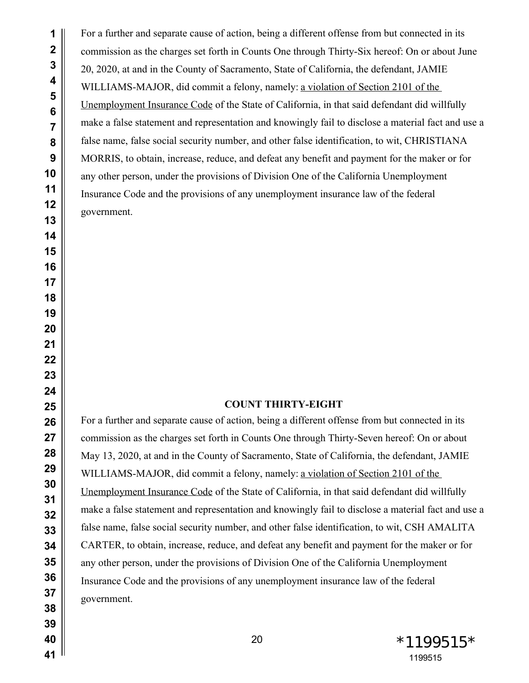For a further and separate cause of action, being a different offense from but connected in its commission as the charges set forth in Counts One through Thirty-Six hereof: On or about June 20, 2020, at and in the County of Sacramento, State of California, the defendant, JAMIE WILLIAMS-MAJOR, did commit a felony, namely: a violation of Section 2101 of the Unemployment Insurance Code of the State of California, in that said defendant did willfully make a false statement and representation and knowingly fail to disclose a material fact and use a false name, false social security number, and other false identification, to wit, CHRISTIANA MORRIS, to obtain, increase, reduce, and defeat any benefit and payment for the maker or for any other person, under the provisions of Division One of the California Unemployment Insurance Code and the provisions of any unemployment insurance law of the federal government.

## **COUNT THIRTY-EIGHT**

For a further and separate cause of action, being a different offense from but connected in its commission as the charges set forth in Counts One through Thirty-Seven hereof: On or about May 13, 2020, at and in the County of Sacramento, State of California, the defendant, JAMIE WILLIAMS-MAJOR, did commit a felony, namely: a violation of Section 2101 of the Unemployment Insurance Code of the State of California, in that said defendant did willfully make a false statement and representation and knowingly fail to disclose a material fact and use a false name, false social security number, and other false identification, to wit, CSH AMALITA CARTER, to obtain, increase, reduce, and defeat any benefit and payment for the maker or for any other person, under the provisions of Division One of the California Unemployment Insurance Code and the provisions of any unemployment insurance law of the federal government.

 $*1199515*$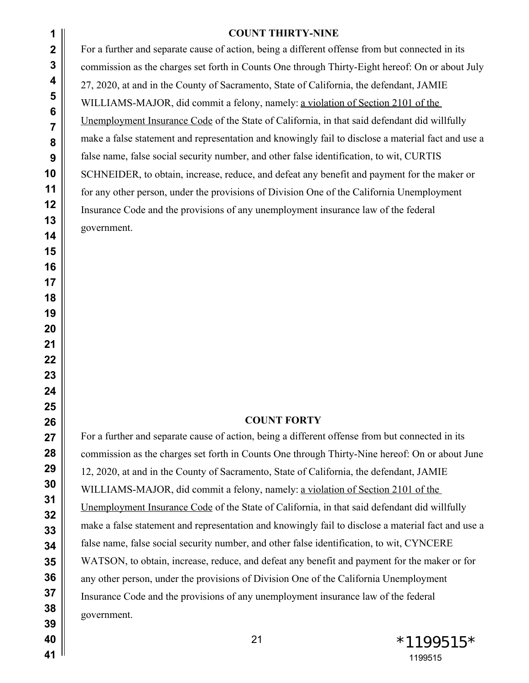| 1                                 | <b>COUNT THIRTY-NINE</b>                                                                           |
|-----------------------------------|----------------------------------------------------------------------------------------------------|
| $\overline{2}$                    | For a further and separate cause of action, being a different offense from but connected in its    |
| 3                                 | commission as the charges set forth in Counts One through Thirty-Eight hereof: On or about July    |
| 4                                 | 27, 2020, at and in the County of Sacramento, State of California, the defendant, JAMIE            |
| 5                                 | WILLIAMS-MAJOR, did commit a felony, namely: a violation of Section 2101 of the                    |
| $6\phantom{1}6$<br>$\overline{7}$ | Unemployment Insurance Code of the State of California, in that said defendant did willfully       |
| 8                                 | make a false statement and representation and knowingly fail to disclose a material fact and use a |
| 9                                 | false name, false social security number, and other false identification, to wit, CURTIS           |
| 10                                | SCHNEIDER, to obtain, increase, reduce, and defeat any benefit and payment for the maker or        |
| 11                                | for any other person, under the provisions of Division One of the California Unemployment          |
| 12                                | Insurance Code and the provisions of any unemployment insurance law of the federal                 |
| 13                                | government.                                                                                        |
| 14                                |                                                                                                    |
| 15<br>16                          |                                                                                                    |
| 17                                |                                                                                                    |
| 18                                |                                                                                                    |
| 19                                |                                                                                                    |
| 20                                |                                                                                                    |
| 21                                |                                                                                                    |
| 22                                |                                                                                                    |
| 23<br>24                          |                                                                                                    |
| 25                                |                                                                                                    |
| 26                                | <b>COUNT FORTY</b>                                                                                 |
| 27                                | For a further and separate cause of action, being a different offense from but connected in its    |
| 28                                | commission as the charges set forth in Counts One through Thirty-Nine hereof: On or about June     |
| 29                                | 12, 2020, at and in the County of Sacramento, State of California, the defendant, JAMIE            |
| 30                                | WILLIAMS-MAJOR, did commit a felony, namely: a violation of Section 2101 of the                    |
| 31<br>32                          | Unemployment Insurance Code of the State of California, in that said defendant did willfully       |
| 33                                | make a false statement and representation and knowingly fail to disclose a material fact and use a |
| 34                                | false name, false social security number, and other false identification, to wit, CYNCERE          |
| 35                                | WATSON, to obtain, increase, reduce, and defeat any benefit and payment for the maker or for       |
| 36                                | any other person, under the provisions of Division One of the California Unemployment              |
| 37                                | Insurance Code and the provisions of any unemployment insurance law of the federal                 |
| 38                                | government.                                                                                        |
| 39                                |                                                                                                    |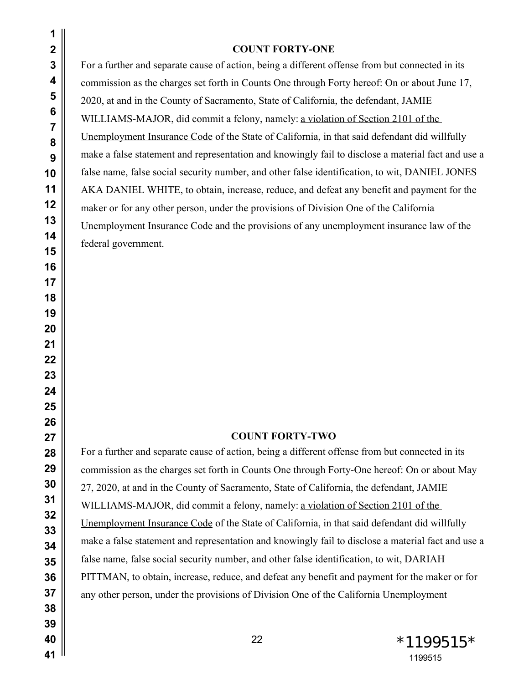| $\mathbf{2}$<br>$\mathbf{3}$<br>4<br>5<br>$6\phantom{1}6$<br>$\overline{7}$<br>8<br>9<br>10<br>11<br>12<br>13<br>14<br>15<br>16<br>17<br>18<br>19<br>20<br>21<br>22<br>23<br>24<br>25 | <b>COUNT FORTY-ONE</b><br>For a further and separate cause of action, being a different offense from but connected in its<br>commission as the charges set forth in Counts One through Forty hereof: On or about June 17,<br>2020, at and in the County of Sacramento, State of California, the defendant, JAMIE<br>WILLIAMS-MAJOR, did commit a felony, namely: a violation of Section 2101 of the<br>Unemployment Insurance Code of the State of California, in that said defendant did willfully<br>make a false statement and representation and knowingly fail to disclose a material fact and use a<br>false name, false social security number, and other false identification, to wit, DANIEL JONES<br>AKA DANIEL WHITE, to obtain, increase, reduce, and defeat any benefit and payment for the<br>maker or for any other person, under the provisions of Division One of the California<br>Unemployment Insurance Code and the provisions of any unemployment insurance law of the<br>federal government. |
|---------------------------------------------------------------------------------------------------------------------------------------------------------------------------------------|---------------------------------------------------------------------------------------------------------------------------------------------------------------------------------------------------------------------------------------------------------------------------------------------------------------------------------------------------------------------------------------------------------------------------------------------------------------------------------------------------------------------------------------------------------------------------------------------------------------------------------------------------------------------------------------------------------------------------------------------------------------------------------------------------------------------------------------------------------------------------------------------------------------------------------------------------------------------------------------------------------------------|
| 26<br>27                                                                                                                                                                              | <b>COUNT FORTY-TWO</b>                                                                                                                                                                                                                                                                                                                                                                                                                                                                                                                                                                                                                                                                                                                                                                                                                                                                                                                                                                                              |
| 28<br>29<br>30<br>31<br>32<br>33<br>34<br>35<br>36<br>37<br>38<br>39                                                                                                                  | For a further and separate cause of action, being a different offense from but connected in its<br>commission as the charges set forth in Counts One through Forty-One hereof: On or about May<br>27, 2020, at and in the County of Sacramento, State of California, the defendant, JAMIE<br>WILLIAMS-MAJOR, did commit a felony, namely: a violation of Section 2101 of the<br>Unemployment Insurance Code of the State of California, in that said defendant did willfully<br>make a false statement and representation and knowingly fail to disclose a material fact and use a<br>false name, false social security number, and other false identification, to wit, DARIAH<br>PITTMAN, to obtain, increase, reduce, and defeat any benefit and payment for the maker or for<br>any other person, under the provisions of Division One of the California Unemployment                                                                                                                                            |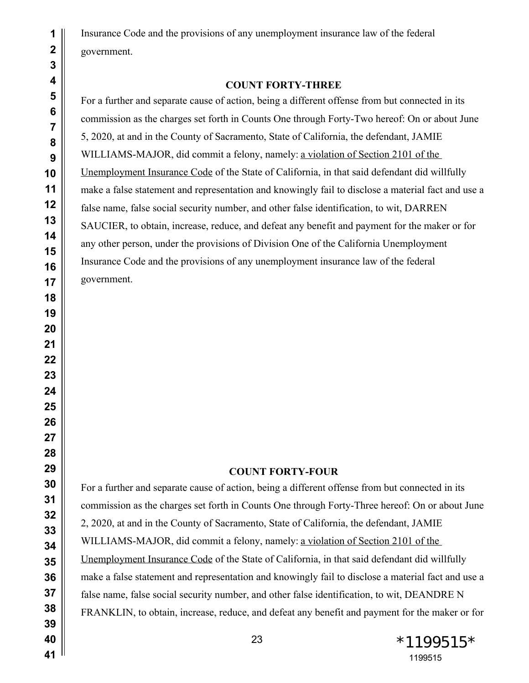Insurance Code and the provisions of any unemployment insurance law of the federal government.

## **COUNT FORTY-THREE**

For a further and separate cause of action, being a different offense from but connected in its commission as the charges set forth in Counts One through Forty-Two hereof: On or about June 5, 2020, at and in the County of Sacramento, State of California, the defendant, JAMIE WILLIAMS-MAJOR, did commit a felony, namely: a violation of Section 2101 of the Unemployment Insurance Code of the State of California, in that said defendant did willfully make a false statement and representation and knowingly fail to disclose a material fact and use a false name, false social security number, and other false identification, to wit, DARREN SAUCIER, to obtain, increase, reduce, and defeat any benefit and payment for the maker or for any other person, under the provisions of Division One of the California Unemployment Insurance Code and the provisions of any unemployment insurance law of the federal government.

### **COUNT FORTY-FOUR**

For a further and separate cause of action, being a different offense from but connected in its commission as the charges set forth in Counts One through Forty-Three hereof: On or about June 2, 2020, at and in the County of Sacramento, State of California, the defendant, JAMIE WILLIAMS-MAJOR, did commit a felony, namely: a violation of Section 2101 of the Unemployment Insurance Code of the State of California, in that said defendant did willfully make a false statement and representation and knowingly fail to disclose a material fact and use a false name, false social security number, and other false identification, to wit, DEANDRE N FRANKLIN, to obtain, increase, reduce, and defeat any benefit and payment for the maker or for

23  $*1199515*$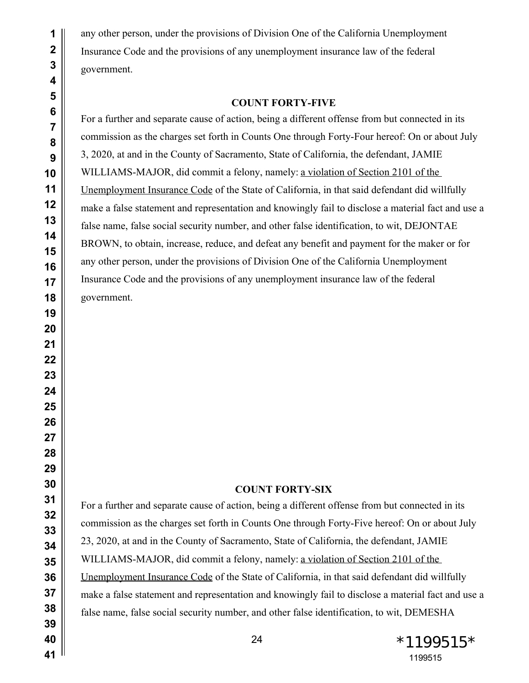any other person, under the provisions of Division One of the California Unemployment Insurance Code and the provisions of any unemployment insurance law of the federal government.

#### **COUNT FORTY-FIVE**

For a further and separate cause of action, being a different offense from but connected in its commission as the charges set forth in Counts One through Forty-Four hereof: On or about July 3, 2020, at and in the County of Sacramento, State of California, the defendant, JAMIE WILLIAMS-MAJOR, did commit a felony, namely: a violation of Section 2101 of the Unemployment Insurance Code of the State of California, in that said defendant did willfully make a false statement and representation and knowingly fail to disclose a material fact and use a false name, false social security number, and other false identification, to wit, DEJONTAE BROWN, to obtain, increase, reduce, and defeat any benefit and payment for the maker or for any other person, under the provisions of Division One of the California Unemployment Insurance Code and the provisions of any unemployment insurance law of the federal government.

## **COUNT FORTY-SIX**

For a further and separate cause of action, being a different offense from but connected in its commission as the charges set forth in Counts One through Forty-Five hereof: On or about July 23, 2020, at and in the County of Sacramento, State of California, the defendant, JAMIE WILLIAMS-MAJOR, did commit a felony, namely: a violation of Section 2101 of the Unemployment Insurance Code of the State of California, in that said defendant did willfully make a false statement and representation and knowingly fail to disclose a material fact and use a false name, false social security number, and other false identification, to wit, DEMESHA

24 \*1199515\*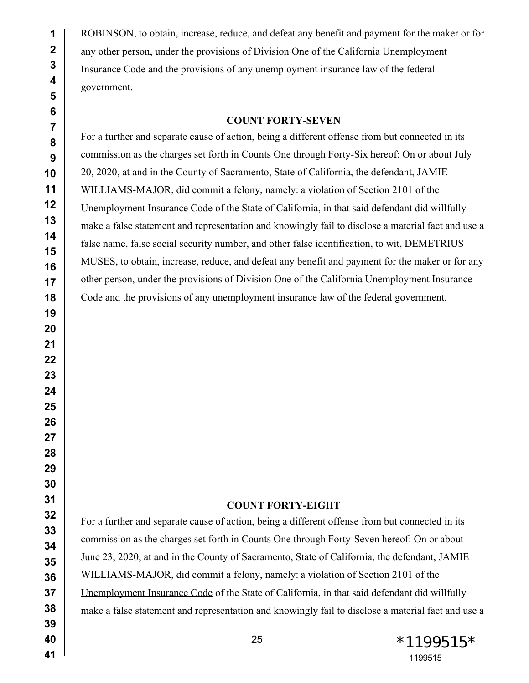ROBINSON, to obtain, increase, reduce, and defeat any benefit and payment for the maker or for any other person, under the provisions of Division One of the California Unemployment Insurance Code and the provisions of any unemployment insurance law of the federal government.

#### **COUNT FORTY-SEVEN**

For a further and separate cause of action, being a different offense from but connected in its commission as the charges set forth in Counts One through Forty-Six hereof: On or about July 20, 2020, at and in the County of Sacramento, State of California, the defendant, JAMIE WILLIAMS-MAJOR, did commit a felony, namely: a violation of Section 2101 of the Unemployment Insurance Code of the State of California, in that said defendant did willfully make a false statement and representation and knowingly fail to disclose a material fact and use a false name, false social security number, and other false identification, to wit, DEMETRIUS MUSES, to obtain, increase, reduce, and defeat any benefit and payment for the maker or for any other person, under the provisions of Division One of the California Unemployment Insurance Code and the provisions of any unemployment insurance law of the federal government.

#### **COUNT FORTY-EIGHT**

For a further and separate cause of action, being a different offense from but connected in its commission as the charges set forth in Counts One through Forty-Seven hereof: On or about June 23, 2020, at and in the County of Sacramento, State of California, the defendant, JAMIE WILLIAMS-MAJOR, did commit a felony, namely: a violation of Section 2101 of the Unemployment Insurance Code of the State of California, in that said defendant did willfully make a false statement and representation and knowingly fail to disclose a material fact and use a

 $*1199515*$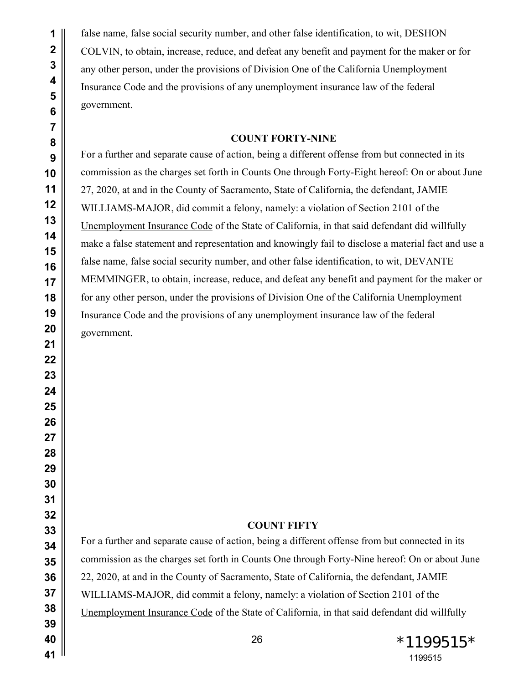false name, false social security number, and other false identification, to wit, DESHON COLVIN, to obtain, increase, reduce, and defeat any benefit and payment for the maker or for any other person, under the provisions of Division One of the California Unemployment Insurance Code and the provisions of any unemployment insurance law of the federal government.

## **COUNT FORTY-NINE**

For a further and separate cause of action, being a different offense from but connected in its commission as the charges set forth in Counts One through Forty-Eight hereof: On or about June 27, 2020, at and in the County of Sacramento, State of California, the defendant, JAMIE WILLIAMS-MAJOR, did commit a felony, namely: a violation of Section 2101 of the Unemployment Insurance Code of the State of California, in that said defendant did willfully make a false statement and representation and knowingly fail to disclose a material fact and use a false name, false social security number, and other false identification, to wit, DEVANTE MEMMINGER, to obtain, increase, reduce, and defeat any benefit and payment for the maker or for any other person, under the provisions of Division One of the California Unemployment Insurance Code and the provisions of any unemployment insurance law of the federal government.

# **COUNT FIFTY**

For a further and separate cause of action, being a different offense from but connected in its commission as the charges set forth in Counts One through Forty-Nine hereof: On or about June 22, 2020, at and in the County of Sacramento, State of California, the defendant, JAMIE WILLIAMS-MAJOR, did commit a felony, namely: a violation of Section 2101 of the Unemployment Insurance Code of the State of California, in that said defendant did willfully

26 \*1199515\*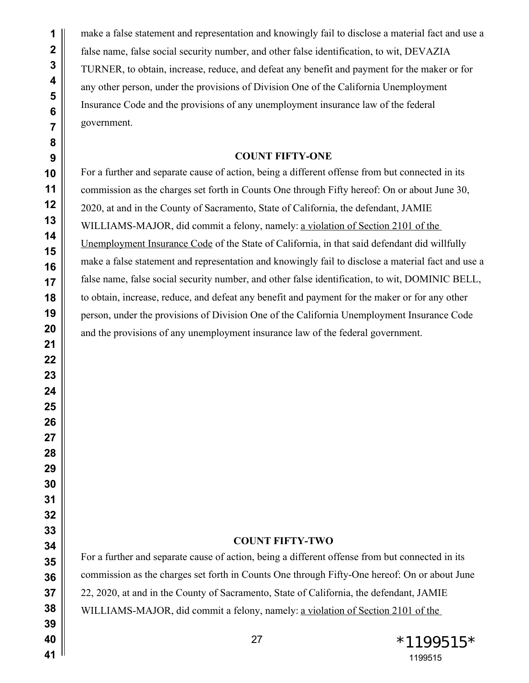make a false statement and representation and knowingly fail to disclose a material fact and use a false name, false social security number, and other false identification, to wit, DEVAZIA TURNER, to obtain, increase, reduce, and defeat any benefit and payment for the maker or for any other person, under the provisions of Division One of the California Unemployment Insurance Code and the provisions of any unemployment insurance law of the federal government.

## **COUNT FIFTY-ONE**

For a further and separate cause of action, being a different offense from but connected in its commission as the charges set forth in Counts One through Fifty hereof: On or about June 30, 2020, at and in the County of Sacramento, State of California, the defendant, JAMIE WILLIAMS-MAJOR, did commit a felony, namely: a violation of Section 2101 of the Unemployment Insurance Code of the State of California, in that said defendant did willfully make a false statement and representation and knowingly fail to disclose a material fact and use a false name, false social security number, and other false identification, to wit, DOMINIC BELL, to obtain, increase, reduce, and defeat any benefit and payment for the maker or for any other person, under the provisions of Division One of the California Unemployment Insurance Code and the provisions of any unemployment insurance law of the federal government.

## **COUNT FIFTY-TWO**

For a further and separate cause of action, being a different offense from but connected in its commission as the charges set forth in Counts One through Fifty-One hereof: On or about June 22, 2020, at and in the County of Sacramento, State of California, the defendant, JAMIE WILLIAMS-MAJOR, did commit a felony, namely: a violation of Section 2101 of the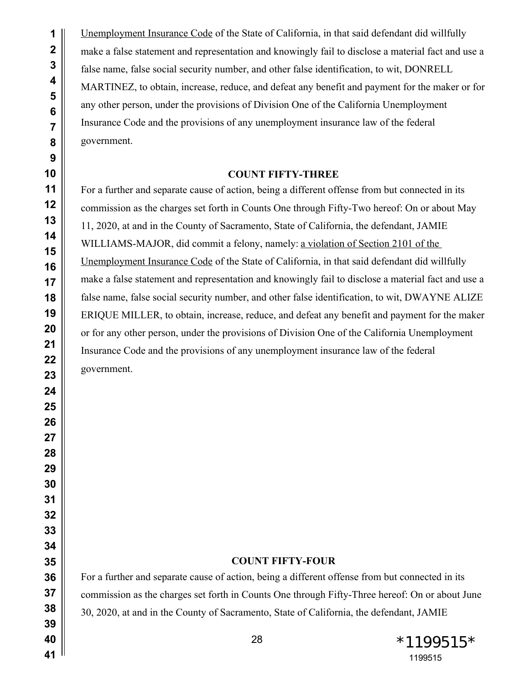Unemployment Insurance Code of the State of California, in that said defendant did willfully make a false statement and representation and knowingly fail to disclose a material fact and use a false name, false social security number, and other false identification, to wit, DONRELL MARTINEZ, to obtain, increase, reduce, and defeat any benefit and payment for the maker or for any other person, under the provisions of Division One of the California Unemployment Insurance Code and the provisions of any unemployment insurance law of the federal government.

#### **COUNT FIFTY-THREE**

For a further and separate cause of action, being a different offense from but connected in its commission as the charges set forth in Counts One through Fifty-Two hereof: On or about May 11, 2020, at and in the County of Sacramento, State of California, the defendant, JAMIE WILLIAMS-MAJOR, did commit a felony, namely: a violation of Section 2101 of the Unemployment Insurance Code of the State of California, in that said defendant did willfully make a false statement and representation and knowingly fail to disclose a material fact and use a false name, false social security number, and other false identification, to wit, DWAYNE ALIZE ERIQUE MILLER, to obtain, increase, reduce, and defeat any benefit and payment for the maker or for any other person, under the provisions of Division One of the California Unemployment Insurance Code and the provisions of any unemployment insurance law of the federal government.

### **COUNT FIFTY-FOUR**

For a further and separate cause of action, being a different offense from but connected in its commission as the charges set forth in Counts One through Fifty-Three hereof: On or about June 30, 2020, at and in the County of Sacramento, State of California, the defendant, JAMIE

28  $*1199515*$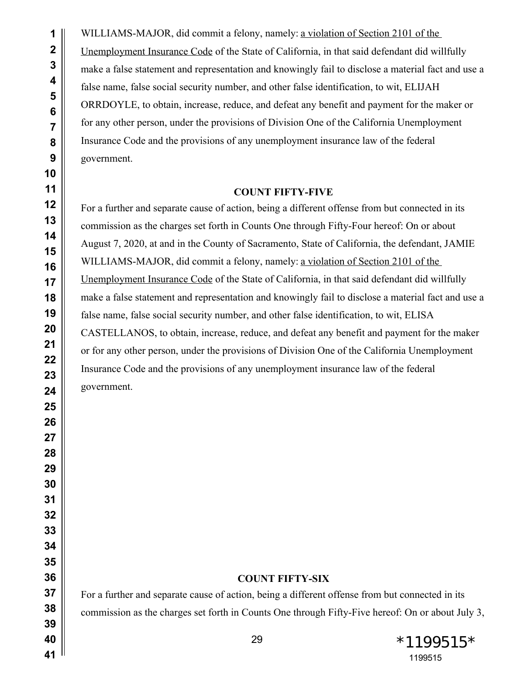WILLIAMS-MAJOR, did commit a felony, namely: a violation of Section 2101 of the Unemployment Insurance Code of the State of California, in that said defendant did willfully make a false statement and representation and knowingly fail to disclose a material fact and use a false name, false social security number, and other false identification, to wit, ELIJAH ORRDOYLE, to obtain, increase, reduce, and defeat any benefit and payment for the maker or for any other person, under the provisions of Division One of the California Unemployment Insurance Code and the provisions of any unemployment insurance law of the federal government.

### **COUNT FIFTY-FIVE**

For a further and separate cause of action, being a different offense from but connected in its commission as the charges set forth in Counts One through Fifty-Four hereof: On or about August 7, 2020, at and in the County of Sacramento, State of California, the defendant, JAMIE WILLIAMS-MAJOR, did commit a felony, namely: a violation of Section 2101 of the Unemployment Insurance Code of the State of California, in that said defendant did willfully make a false statement and representation and knowingly fail to disclose a material fact and use a false name, false social security number, and other false identification, to wit, ELISA CASTELLANOS, to obtain, increase, reduce, and defeat any benefit and payment for the maker or for any other person, under the provisions of Division One of the California Unemployment Insurance Code and the provisions of any unemployment insurance law of the federal government.

# **COUNT FIFTY-SIX**

For a further and separate cause of action, being a different offense from but connected in its commission as the charges set forth in Counts One through Fifty-Five hereof: On or about July 3,

 \*1199515\*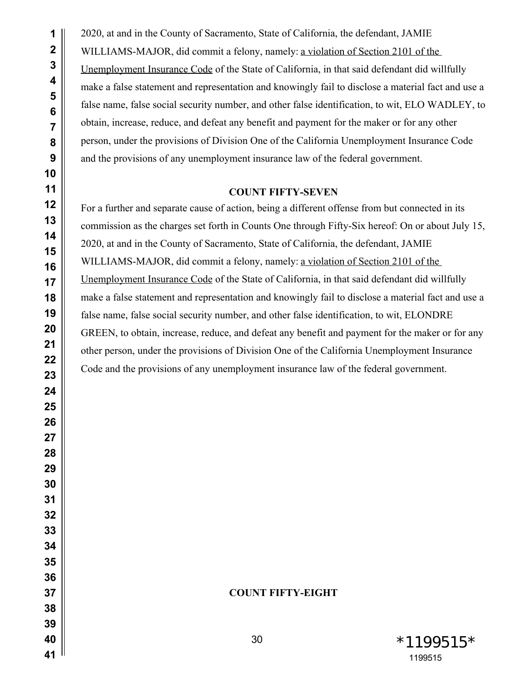2020, at and in the County of Sacramento, State of California, the defendant, JAMIE WILLIAMS-MAJOR, did commit a felony, namely: a violation of Section 2101 of the Unemployment Insurance Code of the State of California, in that said defendant did willfully make a false statement and representation and knowingly fail to disclose a material fact and use a false name, false social security number, and other false identification, to wit, ELO WADLEY, to obtain, increase, reduce, and defeat any benefit and payment for the maker or for any other person, under the provisions of Division One of the California Unemployment Insurance Code and the provisions of any unemployment insurance law of the federal government.

## **COUNT FIFTY-SEVEN**

For a further and separate cause of action, being a different offense from but connected in its commission as the charges set forth in Counts One through Fifty-Six hereof: On or about July 15, 2020, at and in the County of Sacramento, State of California, the defendant, JAMIE WILLIAMS-MAJOR, did commit a felony, namely: a violation of Section 2101 of the Unemployment Insurance Code of the State of California, in that said defendant did willfully make a false statement and representation and knowingly fail to disclose a material fact and use a false name, false social security number, and other false identification, to wit, ELONDRE GREEN, to obtain, increase, reduce, and defeat any benefit and payment for the maker or for any other person, under the provisions of Division One of the California Unemployment Insurance Code and the provisions of any unemployment insurance law of the federal government.

### **COUNT FIFTY-EIGHT**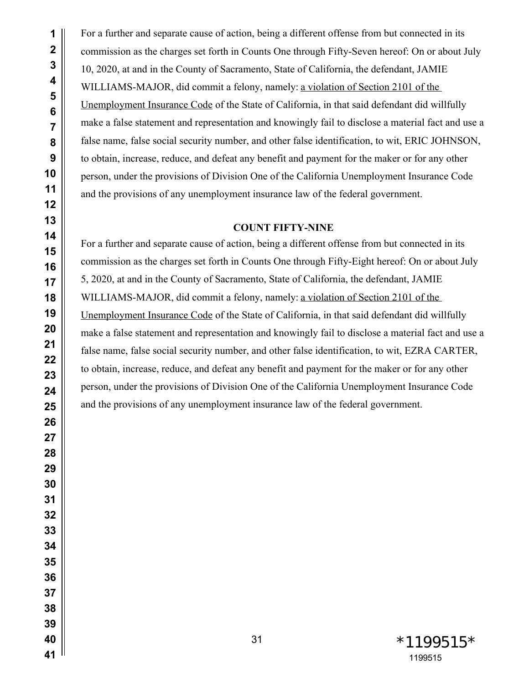For a further and separate cause of action, being a different offense from but connected in its commission as the charges set forth in Counts One through Fifty-Seven hereof: On or about July 10, 2020, at and in the County of Sacramento, State of California, the defendant, JAMIE WILLIAMS-MAJOR, did commit a felony, namely: a violation of Section 2101 of the Unemployment Insurance Code of the State of California, in that said defendant did willfully make a false statement and representation and knowingly fail to disclose a material fact and use a false name, false social security number, and other false identification, to wit, ERIC JOHNSON, to obtain, increase, reduce, and defeat any benefit and payment for the maker or for any other person, under the provisions of Division One of the California Unemployment Insurance Code and the provisions of any unemployment insurance law of the federal government.

## **COUNT FIFTY-NINE**

For a further and separate cause of action, being a different offense from but connected in its commission as the charges set forth in Counts One through Fifty-Eight hereof: On or about July 5, 2020, at and in the County of Sacramento, State of California, the defendant, JAMIE WILLIAMS-MAJOR, did commit a felony, namely: a violation of Section 2101 of the Unemployment Insurance Code of the State of California, in that said defendant did willfully make a false statement and representation and knowingly fail to disclose a material fact and use a false name, false social security number, and other false identification, to wit, EZRA CARTER, to obtain, increase, reduce, and defeat any benefit and payment for the maker or for any other person, under the provisions of Division One of the California Unemployment Insurance Code and the provisions of any unemployment insurance law of the federal government.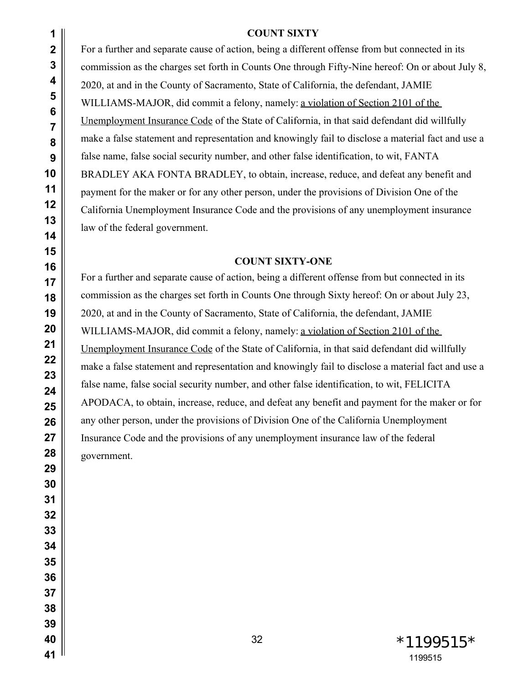# **COUNT SIXTY**

For a further and separate cause of action, being a different offense from but connected in its commission as the charges set forth in Counts One through Fifty-Nine hereof: On or about July 8, 2020, at and in the County of Sacramento, State of California, the defendant, JAMIE WILLIAMS-MAJOR, did commit a felony, namely: a violation of Section 2101 of the Unemployment Insurance Code of the State of California, in that said defendant did willfully make a false statement and representation and knowingly fail to disclose a material fact and use a false name, false social security number, and other false identification, to wit, FANTA BRADLEY AKA FONTA BRADLEY, to obtain, increase, reduce, and defeat any benefit and payment for the maker or for any other person, under the provisions of Division One of the California Unemployment Insurance Code and the provisions of any unemployment insurance law of the federal government.

## **COUNT SIXTY-ONE**

For a further and separate cause of action, being a different offense from but connected in its commission as the charges set forth in Counts One through Sixty hereof: On or about July 23, 2020, at and in the County of Sacramento, State of California, the defendant, JAMIE WILLIAMS-MAJOR, did commit a felony, namely: a violation of Section 2101 of the Unemployment Insurance Code of the State of California, in that said defendant did willfully make a false statement and representation and knowingly fail to disclose a material fact and use a false name, false social security number, and other false identification, to wit, FELICITA APODACA, to obtain, increase, reduce, and defeat any benefit and payment for the maker or for any other person, under the provisions of Division One of the California Unemployment Insurance Code and the provisions of any unemployment insurance law of the federal government.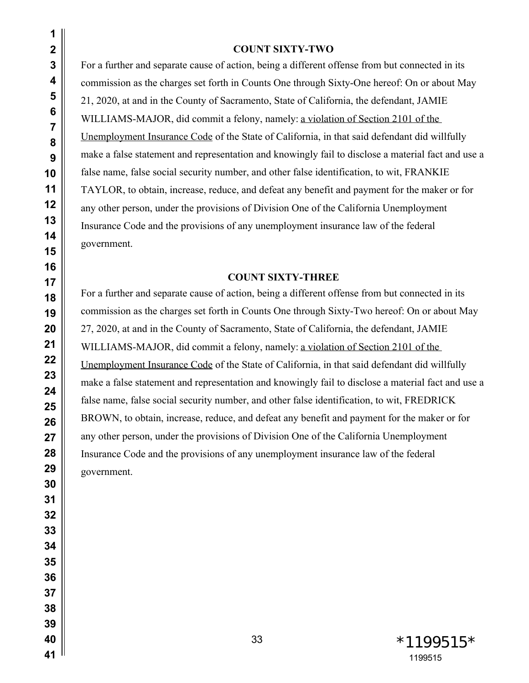#### **COUNT SIXTY-TWO**

For a further and separate cause of action, being a different offense from but connected in its commission as the charges set forth in Counts One through Sixty-One hereof: On or about May 21, 2020, at and in the County of Sacramento, State of California, the defendant, JAMIE WILLIAMS-MAJOR, did commit a felony, namely: a violation of Section 2101 of the Unemployment Insurance Code of the State of California, in that said defendant did willfully make a false statement and representation and knowingly fail to disclose a material fact and use a false name, false social security number, and other false identification, to wit, FRANKIE TAYLOR, to obtain, increase, reduce, and defeat any benefit and payment for the maker or for any other person, under the provisions of Division One of the California Unemployment Insurance Code and the provisions of any unemployment insurance law of the federal government.

### **COUNT SIXTY-THREE**

For a further and separate cause of action, being a different offense from but connected in its commission as the charges set forth in Counts One through Sixty-Two hereof: On or about May 27, 2020, at and in the County of Sacramento, State of California, the defendant, JAMIE WILLIAMS-MAJOR, did commit a felony, namely: a violation of Section 2101 of the Unemployment Insurance Code of the State of California, in that said defendant did willfully make a false statement and representation and knowingly fail to disclose a material fact and use a false name, false social security number, and other false identification, to wit, FREDRICK BROWN, to obtain, increase, reduce, and defeat any benefit and payment for the maker or for any other person, under the provisions of Division One of the California Unemployment Insurance Code and the provisions of any unemployment insurance law of the federal government.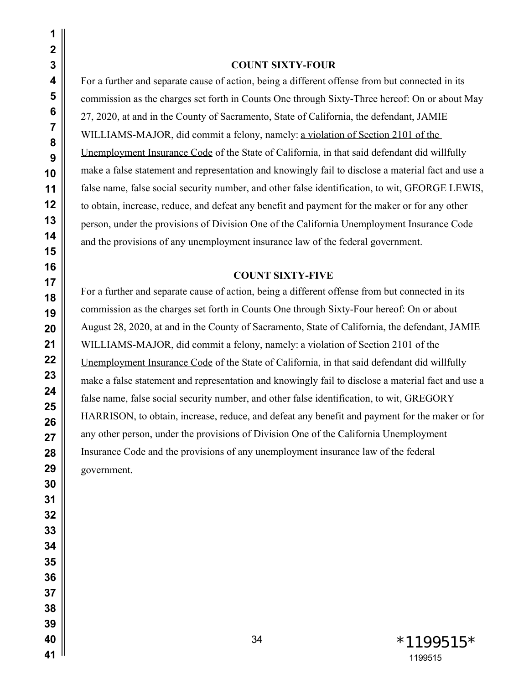#### **COUNT SIXTY-FOUR**

For a further and separate cause of action, being a different offense from but connected in its commission as the charges set forth in Counts One through Sixty-Three hereof: On or about May 27, 2020, at and in the County of Sacramento, State of California, the defendant, JAMIE WILLIAMS-MAJOR, did commit a felony, namely: a violation of Section 2101 of the Unemployment Insurance Code of the State of California, in that said defendant did willfully make a false statement and representation and knowingly fail to disclose a material fact and use a false name, false social security number, and other false identification, to wit, GEORGE LEWIS, to obtain, increase, reduce, and defeat any benefit and payment for the maker or for any other person, under the provisions of Division One of the California Unemployment Insurance Code and the provisions of any unemployment insurance law of the federal government.

### **COUNT SIXTY-FIVE**

For a further and separate cause of action, being a different offense from but connected in its commission as the charges set forth in Counts One through Sixty-Four hereof: On or about August 28, 2020, at and in the County of Sacramento, State of California, the defendant, JAMIE WILLIAMS-MAJOR, did commit a felony, namely: a violation of Section 2101 of the Unemployment Insurance Code of the State of California, in that said defendant did willfully make a false statement and representation and knowingly fail to disclose a material fact and use a false name, false social security number, and other false identification, to wit, GREGORY HARRISON, to obtain, increase, reduce, and defeat any benefit and payment for the maker or for any other person, under the provisions of Division One of the California Unemployment Insurance Code and the provisions of any unemployment insurance law of the federal government.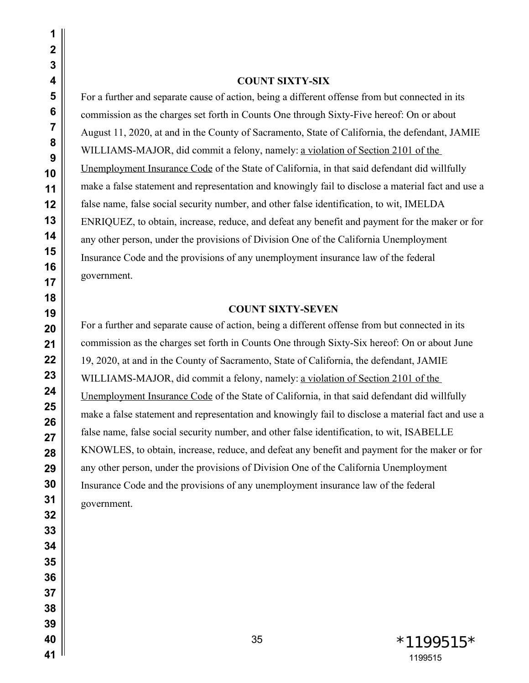#### **COUNT SIXTY-SIX**

For a further and separate cause of action, being a different offense from but connected in its commission as the charges set forth in Counts One through Sixty-Five hereof: On or about August 11, 2020, at and in the County of Sacramento, State of California, the defendant, JAMIE WILLIAMS-MAJOR, did commit a felony, namely: a violation of Section 2101 of the Unemployment Insurance Code of the State of California, in that said defendant did willfully make a false statement and representation and knowingly fail to disclose a material fact and use a false name, false social security number, and other false identification, to wit, IMELDA ENRIQUEZ, to obtain, increase, reduce, and defeat any benefit and payment for the maker or for any other person, under the provisions of Division One of the California Unemployment Insurance Code and the provisions of any unemployment insurance law of the federal government.

## **COUNT SIXTY-SEVEN**

For a further and separate cause of action, being a different offense from but connected in its commission as the charges set forth in Counts One through Sixty-Six hereof: On or about June 19, 2020, at and in the County of Sacramento, State of California, the defendant, JAMIE WILLIAMS-MAJOR, did commit a felony, namely: a violation of Section 2101 of the Unemployment Insurance Code of the State of California, in that said defendant did willfully make a false statement and representation and knowingly fail to disclose a material fact and use a false name, false social security number, and other false identification, to wit, ISABELLE KNOWLES, to obtain, increase, reduce, and defeat any benefit and payment for the maker or for any other person, under the provisions of Division One of the California Unemployment Insurance Code and the provisions of any unemployment insurance law of the federal government.

> \*1199515\*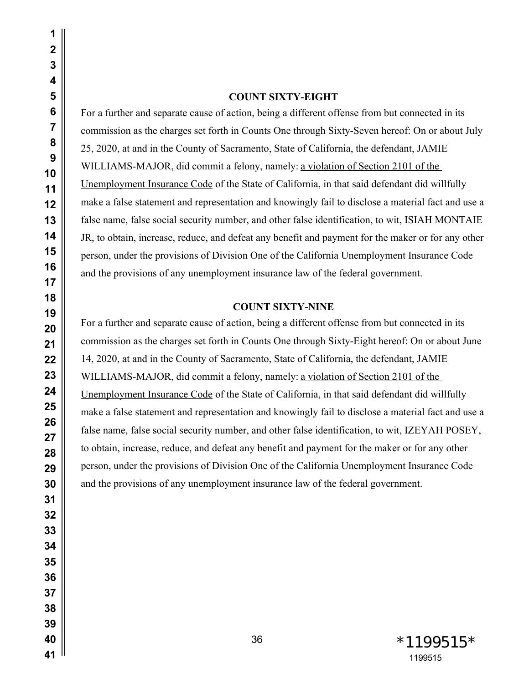#### **COUNT SIXTY-EIGHT**

For a further and separate cause of action, being a different offense from but connected in its commission as the charges set forth in Counts One through Sixty-Seven hereof: On or about July 25, 2020, at and in the County of Sacramento, State of California, the defendant, JAMIE WILLIAMS-MAJOR, did commit a felony, namely: a violation of Section 2101 of the Unemployment Insurance Code of the State of California, in that said defendant did willfully make a false statement and representation and knowingly fail to disclose a material fact and use a false name, false social security number, and other false identification, to wit, ISIAH MONTAIE JR, to obtain, increase, reduce, and defeat any benefit and payment for the maker or for any other person, under the provisions of Division One of the California Unemployment Insurance Code and the provisions of any unemployment insurance law of the federal government.

#### **COUNT SIXTY-NINE**

For a further and separate cause of action, being a different offense from but connected in its commission as the charges set forth in Counts One through Sixty-Eight hereof: On or about June 14, 2020, at and in the County of Sacramento, State of California, the defendant, JAMIE WILLIAMS-MAJOR, did commit a felony, namely: a violation of Section 2101 of the Unemployment Insurance Code of the State of California, in that said defendant did willfully make a false statement and representation and knowingly fail to disclose a material fact and use a false name, false social security number, and other false identification, to wit, IZEYAH POSEY, to obtain, increase, reduce, and defeat any benefit and payment for the maker or for any other person, under the provisions of Division One of the California Unemployment Insurance Code and the provisions of any unemployment insurance law of the federal government.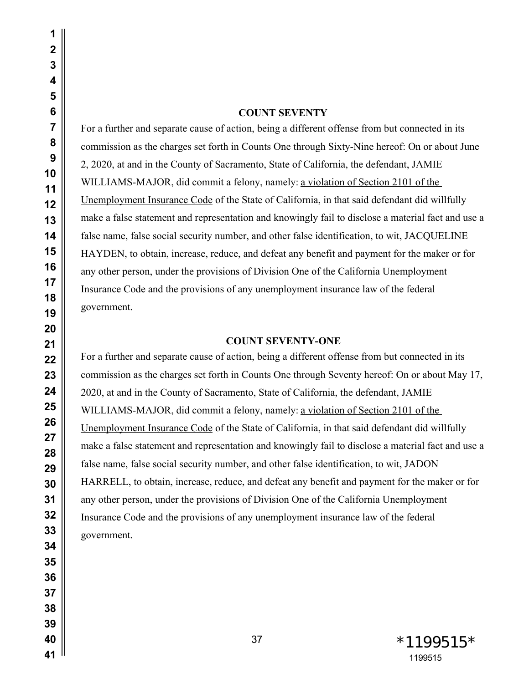#### **COUNT SEVENTY**

For a further and separate cause of action, being a different offense from but connected in its commission as the charges set forth in Counts One through Sixty-Nine hereof: On or about June 2, 2020, at and in the County of Sacramento, State of California, the defendant, JAMIE WILLIAMS-MAJOR, did commit a felony, namely: a violation of Section 2101 of the Unemployment Insurance Code of the State of California, in that said defendant did willfully make a false statement and representation and knowingly fail to disclose a material fact and use a false name, false social security number, and other false identification, to wit, JACQUELINE HAYDEN, to obtain, increase, reduce, and defeat any benefit and payment for the maker or for any other person, under the provisions of Division One of the California Unemployment Insurance Code and the provisions of any unemployment insurance law of the federal government.

#### **COUNT SEVENTY-ONE**

For a further and separate cause of action, being a different offense from but connected in its commission as the charges set forth in Counts One through Seventy hereof: On or about May 17, 2020, at and in the County of Sacramento, State of California, the defendant, JAMIE WILLIAMS-MAJOR, did commit a felony, namely: a violation of Section 2101 of the Unemployment Insurance Code of the State of California, in that said defendant did willfully make a false statement and representation and knowingly fail to disclose a material fact and use a false name, false social security number, and other false identification, to wit, JADON HARRELL, to obtain, increase, reduce, and defeat any benefit and payment for the maker or for any other person, under the provisions of Division One of the California Unemployment Insurance Code and the provisions of any unemployment insurance law of the federal government.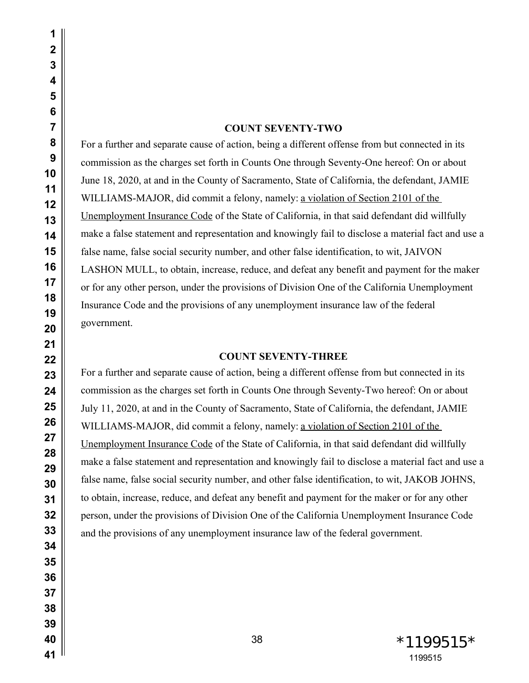# **COUNT SEVENTY-TWO**

For a further and separate cause of action, being a different offense from but connected in its commission as the charges set forth in Counts One through Seventy-One hereof: On or about June 18, 2020, at and in the County of Sacramento, State of California, the defendant, JAMIE WILLIAMS-MAJOR, did commit a felony, namely: a violation of Section 2101 of the Unemployment Insurance Code of the State of California, in that said defendant did willfully make a false statement and representation and knowingly fail to disclose a material fact and use a false name, false social security number, and other false identification, to wit, JAIVON LASHON MULL, to obtain, increase, reduce, and defeat any benefit and payment for the maker or for any other person, under the provisions of Division One of the California Unemployment Insurance Code and the provisions of any unemployment insurance law of the federal government.

# **COUNT SEVENTY-THREE**

For a further and separate cause of action, being a different offense from but connected in its commission as the charges set forth in Counts One through Seventy-Two hereof: On or about July 11, 2020, at and in the County of Sacramento, State of California, the defendant, JAMIE WILLIAMS-MAJOR, did commit a felony, namely: a violation of Section 2101 of the Unemployment Insurance Code of the State of California, in that said defendant did willfully make a false statement and representation and knowingly fail to disclose a material fact and use a false name, false social security number, and other false identification, to wit, JAKOB JOHNS, to obtain, increase, reduce, and defeat any benefit and payment for the maker or for any other person, under the provisions of Division One of the California Unemployment Insurance Code and the provisions of any unemployment insurance law of the federal government.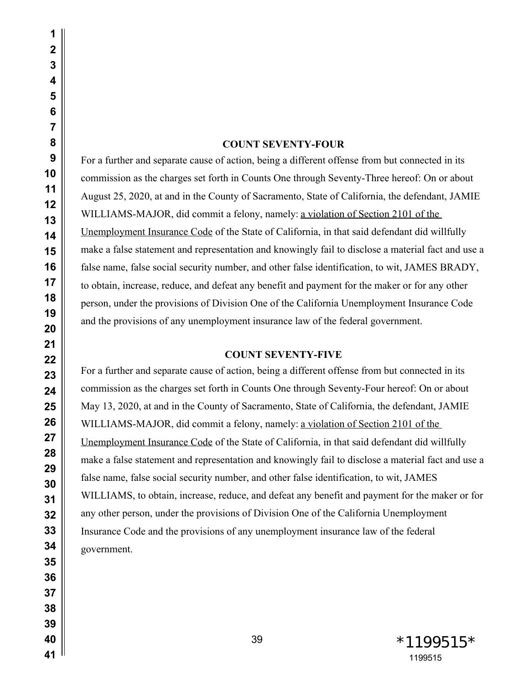#### **COUNT SEVENTY-FOUR**

For a further and separate cause of action, being a different offense from but connected in its commission as the charges set forth in Counts One through Seventy-Three hereof: On or about August 25, 2020, at and in the County of Sacramento, State of California, the defendant, JAMIE WILLIAMS-MAJOR, did commit a felony, namely: a violation of Section 2101 of the Unemployment Insurance Code of the State of California, in that said defendant did willfully make a false statement and representation and knowingly fail to disclose a material fact and use a false name, false social security number, and other false identification, to wit, JAMES BRADY, to obtain, increase, reduce, and defeat any benefit and payment for the maker or for any other person, under the provisions of Division One of the California Unemployment Insurance Code and the provisions of any unemployment insurance law of the federal government.

#### **COUNT SEVENTY-FIVE**

For a further and separate cause of action, being a different offense from but connected in its commission as the charges set forth in Counts One through Seventy-Four hereof: On or about May 13, 2020, at and in the County of Sacramento, State of California, the defendant, JAMIE WILLIAMS-MAJOR, did commit a felony, namely: a violation of Section 2101 of the Unemployment Insurance Code of the State of California, in that said defendant did willfully make a false statement and representation and knowingly fail to disclose a material fact and use a false name, false social security number, and other false identification, to wit, JAMES WILLIAMS, to obtain, increase, reduce, and defeat any benefit and payment for the maker or for any other person, under the provisions of Division One of the California Unemployment Insurance Code and the provisions of any unemployment insurance law of the federal government.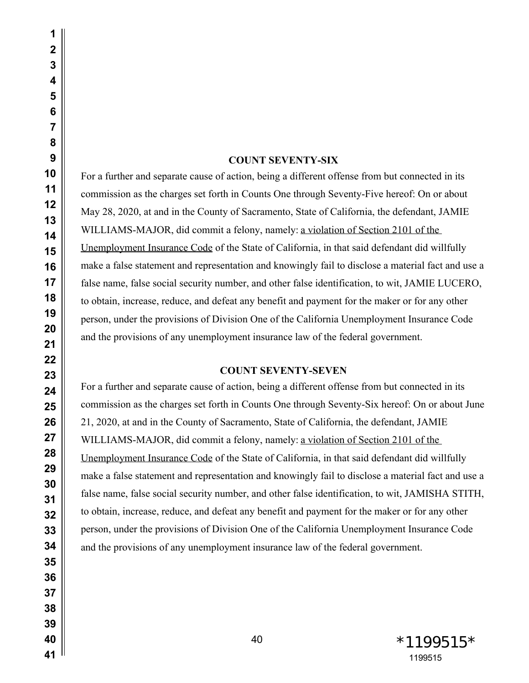| $\overline{\mathbf{c}}$ |                               |
|-------------------------|-------------------------------|
| 3                       |                               |
| 4                       |                               |
| 5                       |                               |
| 6                       |                               |
| $\overline{7}$          |                               |
| 8                       |                               |
| 9                       |                               |
| 10                      | For a further and separat     |
| 11                      | commission as the charg       |
| 12                      | May 28, 2020, at and in       |
| 13                      | WILLIAMS-MAJOR, d             |
| 14                      |                               |
| 15                      | <b>Unemployment Insurance</b> |
| 16                      | make a false statement a      |
| 17                      | false name, false social s    |
| 18                      | to obtain, increase, reduc    |
| 19                      | person, under the provisi     |
| 20                      | and the provisions of any     |
| 21                      |                               |
| 22<br>23                |                               |
| 24                      | For a further and separat     |
| 25                      | commission as the charge      |
| 26                      | 21, 2020, at and in the C     |
| 27                      |                               |
| 28                      | WILLIAMS-MAJOR, d             |
| 29                      | <b>Unemployment Insurance</b> |
| 30                      | make a false statement a      |
| 31                      | false name, false social s    |
| 32                      | to obtain, increase, reduc    |
| 33                      | person, under the provisi     |
| 34                      | and the provisions of any     |
| 35                      |                               |
| 36                      |                               |
| 37                      |                               |
| 38                      |                               |
| 39                      |                               |
| 40                      |                               |
| 41                      |                               |
|                         |                               |

# **COUNT SEVENTY-SIX**

te cause of action, being a different offense from but connected in its ges set forth in Counts One through Seventy-Five hereof: On or about the County of Sacramento, State of California, the defendant, JAMIE id commit a felony, namely: <u>a violation of Section 2101 of the</u> e Code of the State of California, in that said defendant did willfully nd representation and knowingly fail to disclose a material fact and use a security number, and other false identification, to wit, JAMIE LUCERO, the ce, and defeat any benefit and payment for the maker or for any other ions of Division One of the California Unemployment Insurance Code y unemployment insurance law of the federal government.

## **COUNT SEVENTY-SEVEN**

te cause of action, being a different offense from but connected in its ces set forth in Counts One through Seventy-Six hereof: On or about June <sup>2</sup> county of Sacramento, State of California, the defendant, JAMIE id commit a felony, namely: a violation of Section 2101 of the e Code of the State of California, in that said defendant did willfully nd representation and knowingly fail to disclose a material fact and use a security number, and other false identification, to wit, JAMISHA STITH, the obtained any benefit and payment for the maker or for any other ions of Division One of the California Unemployment Insurance Code y unemployment insurance law of the federal government.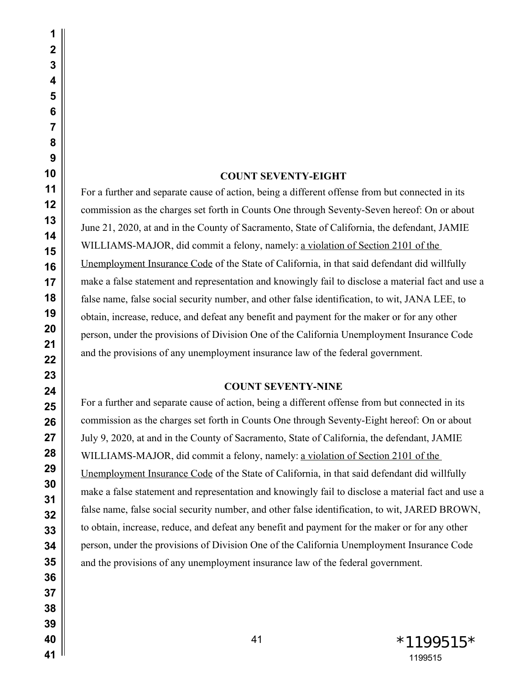# **COUNT SEVENTY-EIGHT**

For a further and separate cause of action, being a different offense from but connected in its commission as the charges set forth in Counts One through Seventy-Seven hereof: On or about June 21, 2020, at and in the County of Sacramento, State of California, the defendant, JAMIE WILLIAMS-MAJOR, did commit a felony, namely: a violation of Section 2101 of the Unemployment Insurance Code of the State of California, in that said defendant did willfully make a false statement and representation and knowingly fail to disclose a material fact and use a false name, false social security number, and other false identification, to wit, JANA LEE, to obtain, increase, reduce, and defeat any benefit and payment for the maker or for any other person, under the provisions of Division One of the California Unemployment Insurance Code and the provisions of any unemployment insurance law of the federal government.

## **COUNT SEVENTY-NINE**

For a further and separate cause of action, being a different offense from but connected in its commission as the charges set forth in Counts One through Seventy-Eight hereof: On or about July 9, 2020, at and in the County of Sacramento, State of California, the defendant, JAMIE WILLIAMS-MAJOR, did commit a felony, namely: a violation of Section 2101 of the Unemployment Insurance Code of the State of California, in that said defendant did willfully make a false statement and representation and knowingly fail to disclose a material fact and use a false name, false social security number, and other false identification, to wit, JARED BROWN, to obtain, increase, reduce, and defeat any benefit and payment for the maker or for any other person, under the provisions of Division One of the California Unemployment Insurance Code and the provisions of any unemployment insurance law of the federal government.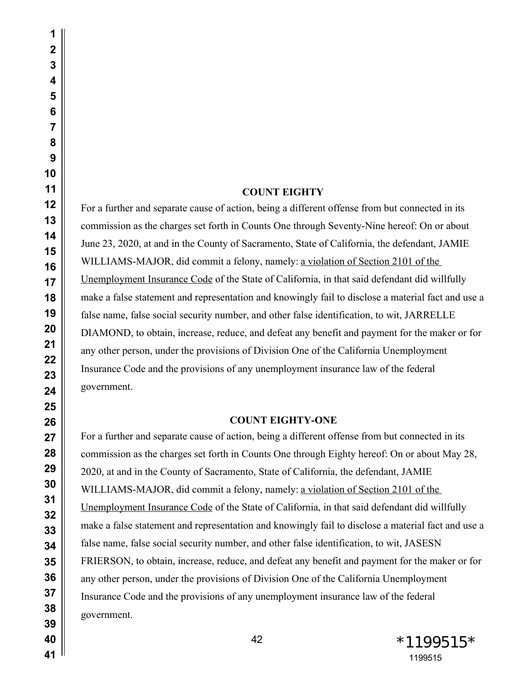#### **COUNT EIGHTY**

For a further and separate cause of action, being a different offense from but connected in its commission as the charges set forth in Counts One through Seventy-Nine hereof: On or about June 23, 2020, at and in the County of Sacramento, State of California, the defendant, JAMIE WILLIAMS-MAJOR, did commit a felony, namely: a violation of Section 2101 of the Unemployment Insurance Code of the State of California, in that said defendant did willfully make a false statement and representation and knowingly fail to disclose a material fact and use a false name, false social security number, and other false identification, to wit, JARRELLE DIAMOND, to obtain, increase, reduce, and defeat any benefit and payment for the maker or for any other person, under the provisions of Division One of the California Unemployment Insurance Code and the provisions of any unemployment insurance law of the federal government.

#### **COUNT EIGHTY-ONE**

For a further and separate cause of action, being a different offense from but connected in its commission as the charges set forth in Counts One through Eighty hereof: On or about May 28, 2020, at and in the County of Sacramento, State of California, the defendant, JAMIE WILLIAMS-MAJOR, did commit a felony, namely: a violation of Section 2101 of the Unemployment Insurance Code of the State of California, in that said defendant did willfully make a false statement and representation and knowingly fail to disclose a material fact and use a false name, false social security number, and other false identification, to wit, JASESN FRIERSON, to obtain, increase, reduce, and defeat any benefit and payment for the maker or for any other person, under the provisions of Division One of the California Unemployment Insurance Code and the provisions of any unemployment insurance law of the federal government.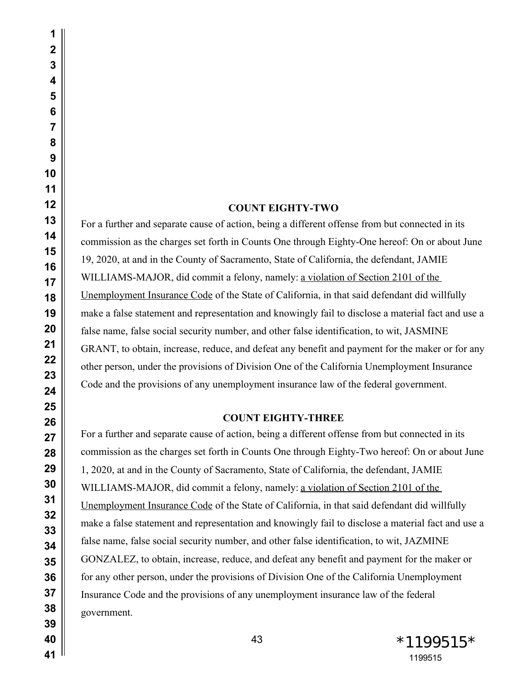# **COUNT EIGHTY-TWO**

For a further and separate cause of action, being a different offense from but connected in its commission as the charges set forth in Counts One through Eighty-One hereof: On or about June 19, 2020, at and in the County of Sacramento, State of California, the defendant, JAMIE WILLIAMS-MAJOR, did commit a felony, namely: a violation of Section 2101 of the Unemployment Insurance Code of the State of California, in that said defendant did willfully make a false statement and representation and knowingly fail to disclose a material fact and use a false name, false social security number, and other false identification, to wit, JASMINE GRANT, to obtain, increase, reduce, and defeat any benefit and payment for the maker or for any other person, under the provisions of Division One of the California Unemployment Insurance Code and the provisions of any unemployment insurance law of the federal government.

# **COUNT EIGHTY-THREE**

For a further and separate cause of action, being a different offense from but connected in its commission as the charges set forth in Counts One through Eighty-Two hereof: On or about June 1, 2020, at and in the County of Sacramento, State of California, the defendant, JAMIE WILLIAMS-MAJOR, did commit a felony, namely: a violation of Section 2101 of the Unemployment Insurance Code of the State of California, in that said defendant did willfully make a false statement and representation and knowingly fail to disclose a material fact and use a false name, false social security number, and other false identification, to wit, JAZMINE GONZALEZ, to obtain, increase, reduce, and defeat any benefit and payment for the maker or for any other person, under the provisions of Division One of the California Unemployment Insurance Code and the provisions of any unemployment insurance law of the federal government.

43 \*1199515 \*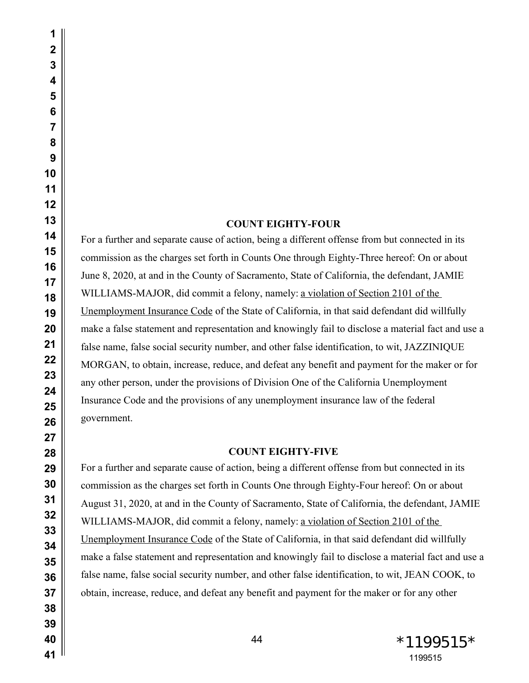# **COUNT EIGHTY-FOUR**

For a further and separate cause of action, being a different offense from but connected in its commission as the charges set forth in Counts One through Eighty-Three hereof: On or about June 8, 2020, at and in the County of Sacramento, State of California, the defendant, JAMIE WILLIAMS-MAJOR, did commit a felony, namely: a violation of Section 2101 of the Unemployment Insurance Code of the State of California, in that said defendant did willfully make a false statement and representation and knowingly fail to disclose a material fact and use a false name, false social security number, and other false identification, to wit, JAZZINIQUE MORGAN, to obtain, increase, reduce, and defeat any benefit and payment for the maker or for any other person, under the provisions of Division One of the California Unemployment Insurance Code and the provisions of any unemployment insurance law of the federal government.

## **COUNT EIGHTY-FIVE**

For a further and separate cause of action, being a different offense from but connected in its commission as the charges set forth in Counts One through Eighty-Four hereof: On or about August 31, 2020, at and in the County of Sacramento, State of California, the defendant, JAMIE WILLIAMS-MAJOR, did commit a felony, namely: a violation of Section 2101 of the Unemployment Insurance Code of the State of California, in that said defendant did willfully make a false statement and representation and knowingly fail to disclose a material fact and use a false name, false social security number, and other false identification, to wit, JEAN COOK, to obtain, increase, reduce, and defeat any benefit and payment for the maker or for any other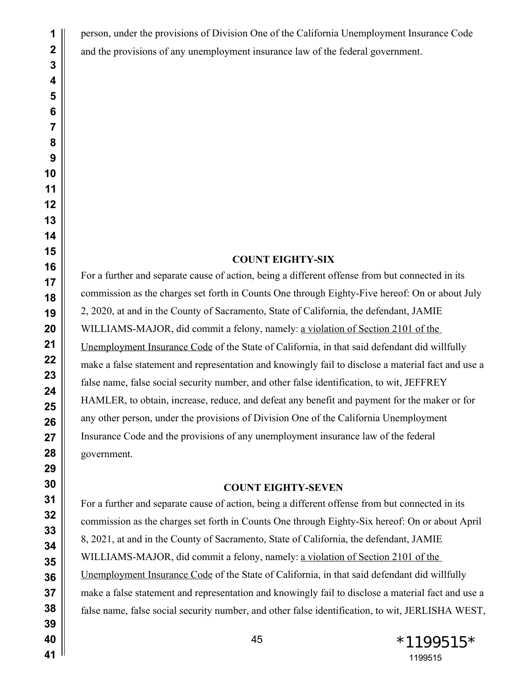person, under the provisions of Division One of the California Unemployment Insurance Code and the provisions of any unemployment insurance law of the federal government.

## **COUNT EIGHTY-SIX**

For a further and separate cause of action, being a different offense from but connected in its commission as the charges set forth in Counts One through Eighty-Five hereof: On or about July 2, 2020, at and in the County of Sacramento, State of California, the defendant, JAMIE WILLIAMS-MAJOR, did commit a felony, namely: a violation of Section 2101 of the Unemployment Insurance Code of the State of California, in that said defendant did willfully make a false statement and representation and knowingly fail to disclose a material fact and use a false name, false social security number, and other false identification, to wit, JEFFREY HAMLER, to obtain, increase, reduce, and defeat any benefit and payment for the maker or for any other person, under the provisions of Division One of the California Unemployment Insurance Code and the provisions of any unemployment insurance law of the federal government.

## **COUNT EIGHTY-SEVEN**

For a further and separate cause of action, being a different offense from but connected in its commission as the charges set forth in Counts One through Eighty-Six hereof: On or about April 8, 2021, at and in the County of Sacramento, State of California, the defendant, JAMIE WILLIAMS-MAJOR, did commit a felony, namely: a violation of Section 2101 of the Unemployment Insurance Code of the State of California, in that said defendant did willfully make a false statement and representation and knowingly fail to disclose a material fact and use a false name, false social security number, and other false identification, to wit, JERLISHA WEST,

45 \*1199515\*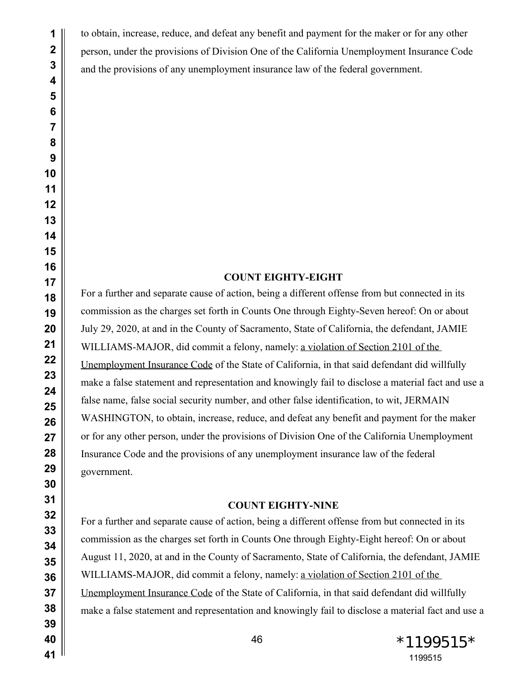to obtain, increase, reduce, and defeat any benefit and payment for the maker or for any other person, under the provisions of Division One of the California Unemployment Insurance Code and the provisions of any unemployment insurance law of the federal government.

# **COUNT EIGHTY-EIGHT**

For a further and separate cause of action, being a different offense from but connected in its commission as the charges set forth in Counts One through Eighty-Seven hereof: On or about July 29, 2020, at and in the County of Sacramento, State of California, the defendant, JAMIE WILLIAMS-MAJOR, did commit a felony, namely: a violation of Section 2101 of the Unemployment Insurance Code of the State of California, in that said defendant did willfully make a false statement and representation and knowingly fail to disclose a material fact and use a false name, false social security number, and other false identification, to wit, JERMAIN WASHINGTON, to obtain, increase, reduce, and defeat any benefit and payment for the maker or for any other person, under the provisions of Division One of the California Unemployment Insurance Code and the provisions of any unemployment insurance law of the federal government.

#### **COUNT EIGHTY-NINE**

For a further and separate cause of action, being a different offense from but connected in its commission as the charges set forth in Counts One through Eighty-Eight hereof: On or about August 11, 2020, at and in the County of Sacramento, State of California, the defendant, JAMIE WILLIAMS-MAJOR, did commit a felony, namely: a violation of Section 2101 of the Unemployment Insurance Code of the State of California, in that said defendant did willfully make a false statement and representation and knowingly fail to disclose a material fact and use a

 \*1199515\*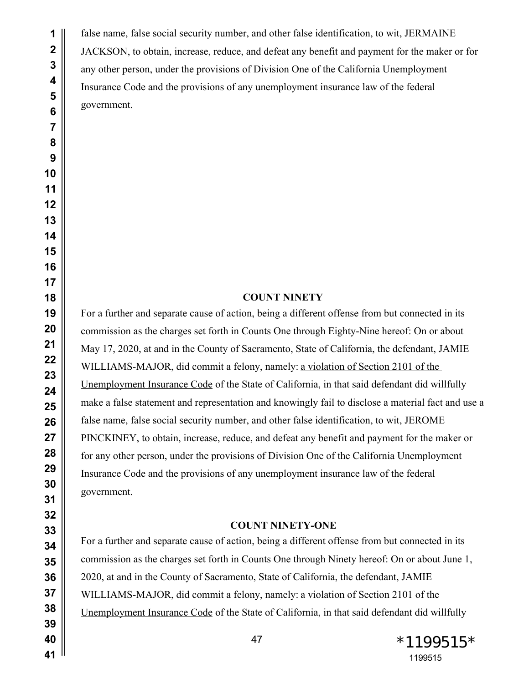false name, false social security number, and other false identification, to wit, JERMAINE JACKSON, to obtain, increase, reduce, and defeat any benefit and payment for the maker or for any other person, under the provisions of Division One of the California Unemployment Insurance Code and the provisions of any unemployment insurance law of the federal government.

#### **COUNT NINETY**

For a further and separate cause of action, being a different offense from but connected in its commission as the charges set forth in Counts One through Eighty-Nine hereof: On or about May 17, 2020, at and in the County of Sacramento, State of California, the defendant, JAMIE WILLIAMS-MAJOR, did commit a felony, namely: a violation of Section 2101 of the Unemployment Insurance Code of the State of California, in that said defendant did willfully make a false statement and representation and knowingly fail to disclose a material fact and use a false name, false social security number, and other false identification, to wit, JEROME PINCKINEY, to obtain, increase, reduce, and defeat any benefit and payment for the maker or for any other person, under the provisions of Division One of the California Unemployment Insurance Code and the provisions of any unemployment insurance law of the federal government.

#### **COUNT NINETY-ONE**

For a further and separate cause of action, being a different offense from but connected in its commission as the charges set forth in Counts One through Ninety hereof: On or about June 1, 2020, at and in the County of Sacramento, State of California, the defendant, JAMIE WILLIAMS-MAJOR, did commit a felony, namely: a violation of Section 2101 of the Unemployment Insurance Code of the State of California, in that said defendant did willfully

47 \* 1199515 \*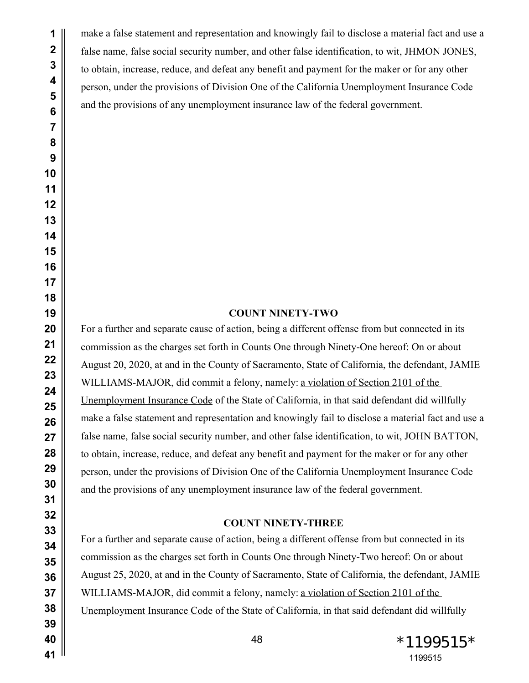make a false statement and representation and knowingly fail to disclose a material fact and use a false name, false social security number, and other false identification, to wit, JHMON JONES, to obtain, increase, reduce, and defeat any benefit and payment for the maker or for any other person, under the provisions of Division One of the California Unemployment Insurance Code and the provisions of any unemployment insurance law of the federal government.

# **COUNT NINETY-TWO**

For a further and separate cause of action, being a different offense from but connected in its commission as the charges set forth in Counts One through Ninety-One hereof: On or about August 20, 2020, at and in the County of Sacramento, State of California, the defendant, JAMIE WILLIAMS-MAJOR, did commit a felony, namely: a violation of Section 2101 of the Unemployment Insurance Code of the State of California, in that said defendant did willfully make a false statement and representation and knowingly fail to disclose a material fact and use a false name, false social security number, and other false identification, to wit, JOHN BATTON, to obtain, increase, reduce, and defeat any benefit and payment for the maker or for any other person, under the provisions of Division One of the California Unemployment Insurance Code and the provisions of any unemployment insurance law of the federal government.

#### **COUNT NINETY-THREE**

For a further and separate cause of action, being a different offense from but connected in its commission as the charges set forth in Counts One through Ninety-Two hereof: On or about August 25, 2020, at and in the County of Sacramento, State of California, the defendant, JAMIE WILLIAMS-MAJOR, did commit a felony, namely: a violation of Section 2101 of the Unemployment Insurance Code of the State of California, in that said defendant did willfully

 \*1199515\*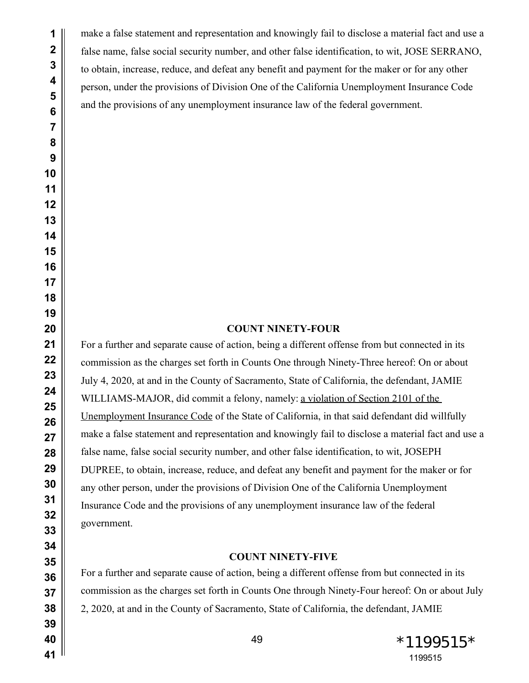make a false statement and representation and knowingly fail to disclose a material fact and use a false name, false social security number, and other false identification, to wit, JOSE SERRANO, to obtain, increase, reduce, and defeat any benefit and payment for the maker or for any other person, under the provisions of Division One of the California Unemployment Insurance Code and the provisions of any unemployment insurance law of the federal government.

## **COUNT NINETY-FOUR**

For a further and separate cause of action, being a different offense from but connected in its commission as the charges set forth in Counts One through Ninety-Three hereof: On or about July 4, 2020, at and in the County of Sacramento, State of California, the defendant, JAMIE WILLIAMS-MAJOR, did commit a felony, namely: a violation of Section 2101 of the Unemployment Insurance Code of the State of California, in that said defendant did willfully make a false statement and representation and knowingly fail to disclose a material fact and use a false name, false social security number, and other false identification, to wit, JOSEPH DUPREE, to obtain, increase, reduce, and defeat any benefit and payment for the maker or for any other person, under the provisions of Division One of the California Unemployment Insurance Code and the provisions of any unemployment insurance law of the federal government.

### **COUNT NINETY-FIVE**

For a further and separate cause of action, being a different offense from but connected in its commission as the charges set forth in Counts One through Ninety-Four hereof: On or about July 2, 2020, at and in the County of Sacramento, State of California, the defendant, JAMIE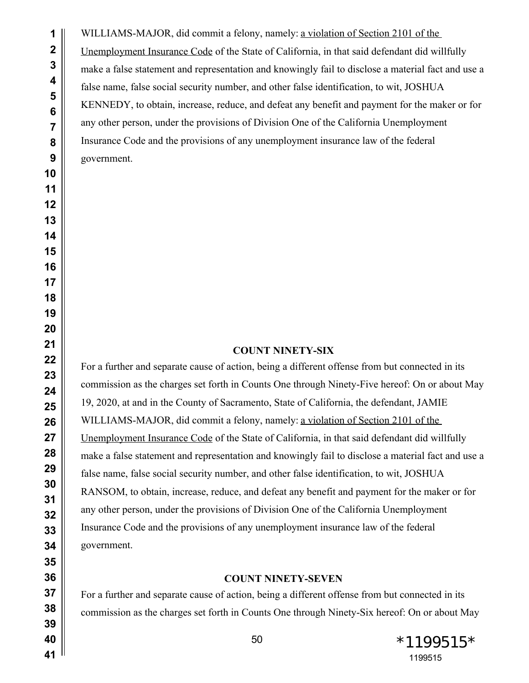WILLIAMS-MAJOR, did commit a felony, namely: a violation of Section 2101 of the Unemployment Insurance Code of the State of California, in that said defendant did willfully make a false statement and representation and knowingly fail to disclose a material fact and use a false name, false social security number, and other false identification, to wit, JOSHUA KENNEDY, to obtain, increase, reduce, and defeat any benefit and payment for the maker or for any other person, under the provisions of Division One of the California Unemployment Insurance Code and the provisions of any unemployment insurance law of the federal government.

# **COUNT NINETY-SIX**

For a further and separate cause of action, being a different offense from but connected in its commission as the charges set forth in Counts One through Ninety-Five hereof: On or about May 19, 2020, at and in the County of Sacramento, State of California, the defendant, JAMIE WILLIAMS-MAJOR, did commit a felony, namely: a violation of Section 2101 of the Unemployment Insurance Code of the State of California, in that said defendant did willfully make a false statement and representation and knowingly fail to disclose a material fact and use a false name, false social security number, and other false identification, to wit, JOSHUA RANSOM, to obtain, increase, reduce, and defeat any benefit and payment for the maker or for any other person, under the provisions of Division One of the California Unemployment Insurance Code and the provisions of any unemployment insurance law of the federal government.

## **COUNT NINETY-SEVEN**

For a further and separate cause of action, being a different offense from but connected in its commission as the charges set forth in Counts One through Ninety-Six hereof: On or about May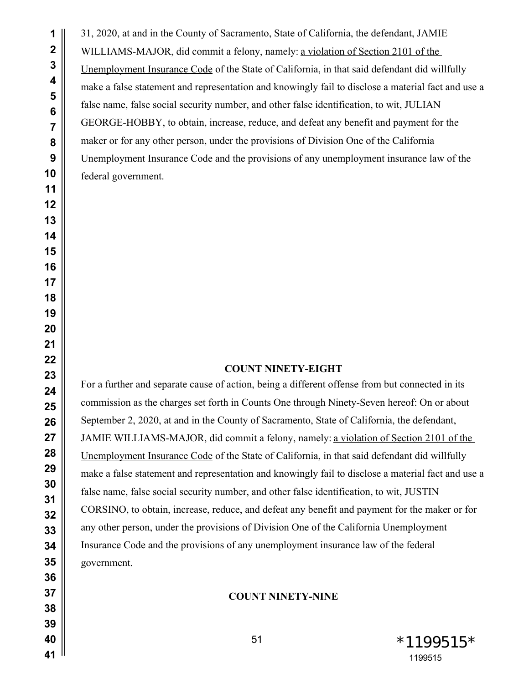31, 2020, at and in the County of Sacramento, State of California, the defendant, JAMIE WILLIAMS-MAJOR, did commit a felony, namely: a violation of Section 2101 of the Unemployment Insurance Code of the State of California, in that said defendant did willfully make a false statement and representation and knowingly fail to disclose a material fact and use a false name, false social security number, and other false identification, to wit, JULIAN GEORGE-HOBBY, to obtain, increase, reduce, and defeat any benefit and payment for the maker or for any other person, under the provisions of Division One of the California Unemployment Insurance Code and the provisions of any unemployment insurance law of the federal government.

## **COUNT NINETY-EIGHT**

For a further and separate cause of action, being a different offense from but connected in its commission as the charges set forth in Counts One through Ninety-Seven hereof: On or about September 2, 2020, at and in the County of Sacramento, State of California, the defendant, JAMIE WILLIAMS-MAJOR, did commit a felony, namely: a violation of Section 2101 of the Unemployment Insurance Code of the State of California, in that said defendant did willfully make a false statement and representation and knowingly fail to disclose a material fact and use a false name, false social security number, and other false identification, to wit, JUSTIN CORSINO, to obtain, increase, reduce, and defeat any benefit and payment for the maker or for any other person, under the provisions of Division One of the California Unemployment Insurance Code and the provisions of any unemployment insurance law of the federal government.

# **COUNT NINETY-NINE**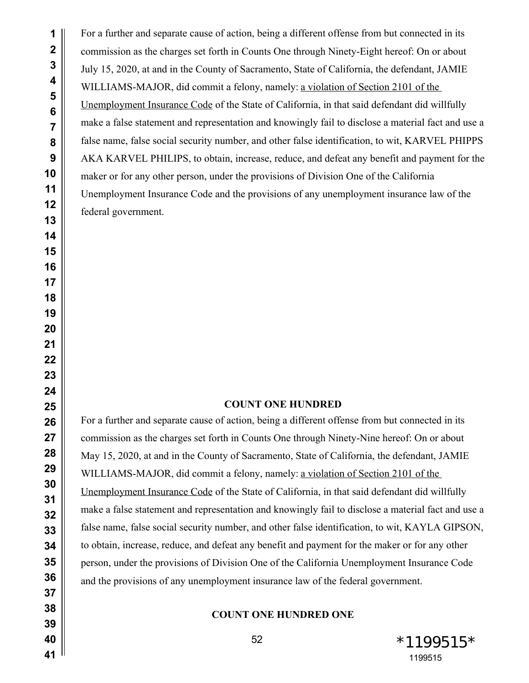For a further and separate cause of action, being a different offense from but connected in its commission as the charges set forth in Counts One through Ninety-Eight hereof: On or about July 15, 2020, at and in the County of Sacramento, State of California, the defendant, JAMIE WILLIAMS-MAJOR, did commit a felony, namely: a violation of Section 2101 of the Unemployment Insurance Code of the State of California, in that said defendant did willfully make a false statement and representation and knowingly fail to disclose a material fact and use a false name, false social security number, and other false identification, to wit, KARVEL PHIPPS AKA KARVEL PHILIPS, to obtain, increase, reduce, and defeat any benefit and payment for the maker or for any other person, under the provisions of Division One of the California Unemployment Insurance Code and the provisions of any unemployment insurance law of the federal government.

# **COUNT ONE HUNDRED**

For a further and separate cause of action, being a different offense from but connected in its commission as the charges set forth in Counts One through Ninety-Nine hereof: On or about May 15, 2020, at and in the County of Sacramento, State of California, the defendant, JAMIE WILLIAMS-MAJOR, did commit a felony, namely: a violation of Section 2101 of the Unemployment Insurance Code of the State of California, in that said defendant did willfully make a false statement and representation and knowingly fail to disclose a material fact and use a false name, false social security number, and other false identification, to wit, KAYLA GIPSON, to obtain, increase, reduce, and defeat any benefit and payment for the maker or for any other person, under the provisions of Division One of the California Unemployment Insurance Code and the provisions of any unemployment insurance law of the federal government.

# **COUNT ONE HUNDRED ONE**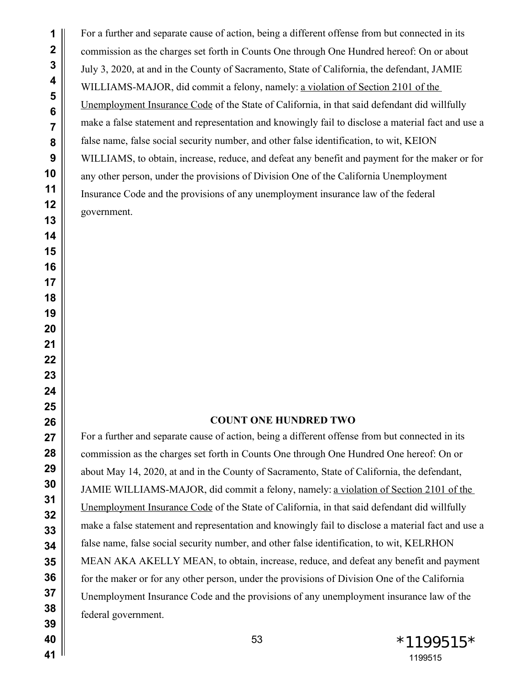For a further and separate cause of action, being a different offense from but connected in its commission as the charges set forth in Counts One through One Hundred hereof: On or about July 3, 2020, at and in the County of Sacramento, State of California, the defendant, JAMIE WILLIAMS-MAJOR, did commit a felony, namely: a violation of Section 2101 of the Unemployment Insurance Code of the State of California, in that said defendant did willfully make a false statement and representation and knowingly fail to disclose a material fact and use a false name, false social security number, and other false identification, to wit, KEION WILLIAMS, to obtain, increase, reduce, and defeat any benefit and payment for the maker or for any other person, under the provisions of Division One of the California Unemployment Insurance Code and the provisions of any unemployment insurance law of the federal government.

## **COUNT ONE HUNDRED TWO**

For a further and separate cause of action, being a different offense from but connected in its commission as the charges set forth in Counts One through One Hundred One hereof: On or about May 14, 2020, at and in the County of Sacramento, State of California, the defendant, JAMIE WILLIAMS-MAJOR, did commit a felony, namely: a violation of Section 2101 of the Unemployment Insurance Code of the State of California, in that said defendant did willfully make a false statement and representation and knowingly fail to disclose a material fact and use a false name, false social security number, and other false identification, to wit, KELRHON MEAN AKA AKELLY MEAN, to obtain, increase, reduce, and defeat any benefit and payment for the maker or for any other person, under the provisions of Division One of the California Unemployment Insurance Code and the provisions of any unemployment insurance law of the federal government.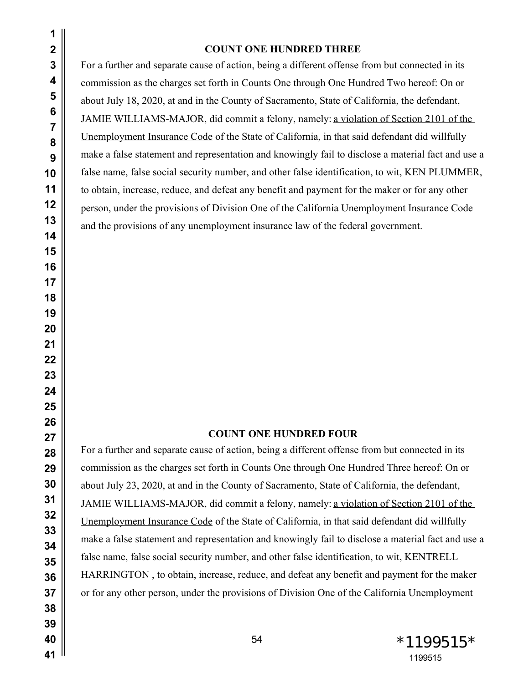#### **COUNT ONE HUNDRED THREE**

For a further and separate cause of action, being a different offense from but connected in its commission as the charges set forth in Counts One through One Hundred Two hereof: On or about July 18, 2020, at and in the County of Sacramento, State of California, the defendant, JAMIE WILLIAMS-MAJOR, did commit a felony, namely: a violation of Section 2101 of the Unemployment Insurance Code of the State of California, in that said defendant did willfully make a false statement and representation and knowingly fail to disclose a material fact and use a false name, false social security number, and other false identification, to wit, KEN PLUMMER, to obtain, increase, reduce, and defeat any benefit and payment for the maker or for any other person, under the provisions of Division One of the California Unemployment Insurance Code and the provisions of any unemployment insurance law of the federal government.

# **COUNT ONE HUNDRED FOUR**

For a further and separate cause of action, being a different offense from but connected in its commission as the charges set forth in Counts One through One Hundred Three hereof: On or about July 23, 2020, at and in the County of Sacramento, State of California, the defendant, JAMIE WILLIAMS-MAJOR, did commit a felony, namely: a violation of Section 2101 of the Unemployment Insurance Code of the State of California, in that said defendant did willfully make a false statement and representation and knowingly fail to disclose a material fact and use a false name, false social security number, and other false identification, to wit, KENTRELL HARRINGTON , to obtain, increase, reduce, and defeat any benefit and payment for the maker or for any other person, under the provisions of Division One of the California Unemployment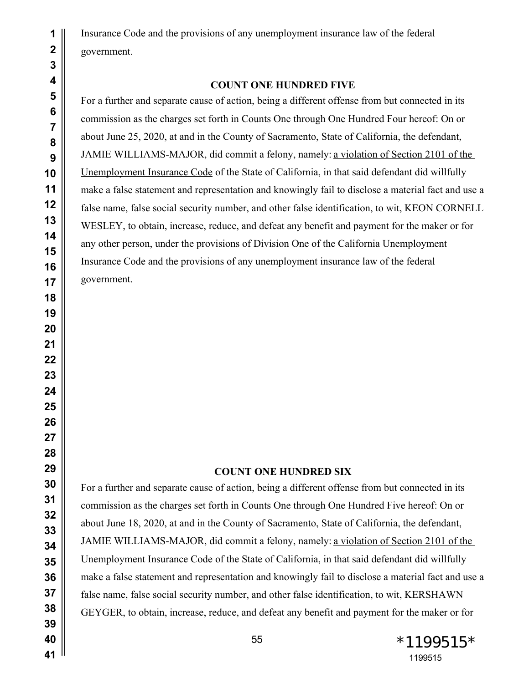Insurance Code and the provisions of any unemployment insurance law of the federal government.

# **COUNT ONE HUNDRED FIVE**

For a further and separate cause of action, being a different offense from but connected in its commission as the charges set forth in Counts One through One Hundred Four hereof: On or about June 25, 2020, at and in the County of Sacramento, State of California, the defendant, JAMIE WILLIAMS-MAJOR, did commit a felony, namely: a violation of Section 2101 of the Unemployment Insurance Code of the State of California, in that said defendant did willfully make a false statement and representation and knowingly fail to disclose a material fact and use a false name, false social security number, and other false identification, to wit, KEON CORNELL WESLEY, to obtain, increase, reduce, and defeat any benefit and payment for the maker or for any other person, under the provisions of Division One of the California Unemployment Insurance Code and the provisions of any unemployment insurance law of the federal government.

#### **COUNT ONE HUNDRED SIX**

For a further and separate cause of action, being a different offense from but connected in its commission as the charges set forth in Counts One through One Hundred Five hereof: On or about June 18, 2020, at and in the County of Sacramento, State of California, the defendant, JAMIE WILLIAMS-MAJOR, did commit a felony, namely: a violation of Section 2101 of the Unemployment Insurance Code of the State of California, in that said defendant did willfully make a false statement and representation and knowingly fail to disclose a material fact and use a false name, false social security number, and other false identification, to wit, KERSHAWN GEYGER, to obtain, increase, reduce, and defeat any benefit and payment for the maker or for

55 \*1199515 \*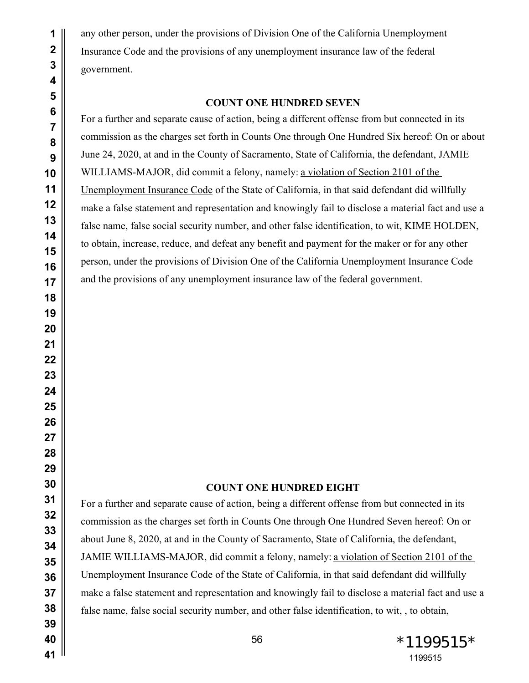any other person, under the provisions of Division One of the California Unemployment Insurance Code and the provisions of any unemployment insurance law of the federal government.

#### **COUNT ONE HUNDRED SEVEN**

For a further and separate cause of action, being a different offense from but connected in its commission as the charges set forth in Counts One through One Hundred Six hereof: On or about June 24, 2020, at and in the County of Sacramento, State of California, the defendant, JAMIE WILLIAMS-MAJOR, did commit a felony, namely: a violation of Section 2101 of the Unemployment Insurance Code of the State of California, in that said defendant did willfully make a false statement and representation and knowingly fail to disclose a material fact and use a false name, false social security number, and other false identification, to wit, KIME HOLDEN, to obtain, increase, reduce, and defeat any benefit and payment for the maker or for any other person, under the provisions of Division One of the California Unemployment Insurance Code and the provisions of any unemployment insurance law of the federal government.

## **COUNT ONE HUNDRED EIGHT**

For a further and separate cause of action, being a different offense from but connected in its commission as the charges set forth in Counts One through One Hundred Seven hereof: On or about June 8, 2020, at and in the County of Sacramento, State of California, the defendant, JAMIE WILLIAMS-MAJOR, did commit a felony, namely: a violation of Section 2101 of the Unemployment Insurance Code of the State of California, in that said defendant did willfully make a false statement and representation and knowingly fail to disclose a material fact and use a false name, false social security number, and other false identification, to wit, , to obtain,

56 \*1199515\*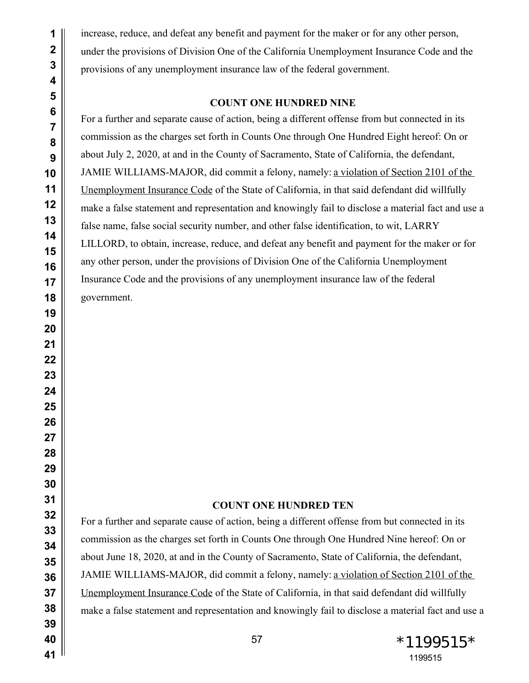increase, reduce, and defeat any benefit and payment for the maker or for any other person, under the provisions of Division One of the California Unemployment Insurance Code and the provisions of any unemployment insurance law of the federal government.

## **COUNT ONE HUNDRED NINE**

For a further and separate cause of action, being a different offense from but connected in its commission as the charges set forth in Counts One through One Hundred Eight hereof: On or about July 2, 2020, at and in the County of Sacramento, State of California, the defendant, JAMIE WILLIAMS-MAJOR, did commit a felony, namely: a violation of Section 2101 of the Unemployment Insurance Code of the State of California, in that said defendant did willfully make a false statement and representation and knowingly fail to disclose a material fact and use a false name, false social security number, and other false identification, to wit, LARRY LILLORD, to obtain, increase, reduce, and defeat any benefit and payment for the maker or for any other person, under the provisions of Division One of the California Unemployment Insurance Code and the provisions of any unemployment insurance law of the federal government.

### **COUNT ONE HUNDRED TEN**

For a further and separate cause of action, being a different offense from but connected in its commission as the charges set forth in Counts One through One Hundred Nine hereof: On or about June 18, 2020, at and in the County of Sacramento, State of California, the defendant, JAMIE WILLIAMS-MAJOR, did commit a felony, namely: a violation of Section 2101 of the Unemployment Insurance Code of the State of California, in that said defendant did willfully make a false statement and representation and knowingly fail to disclose a material fact and use a

 \*1199515\*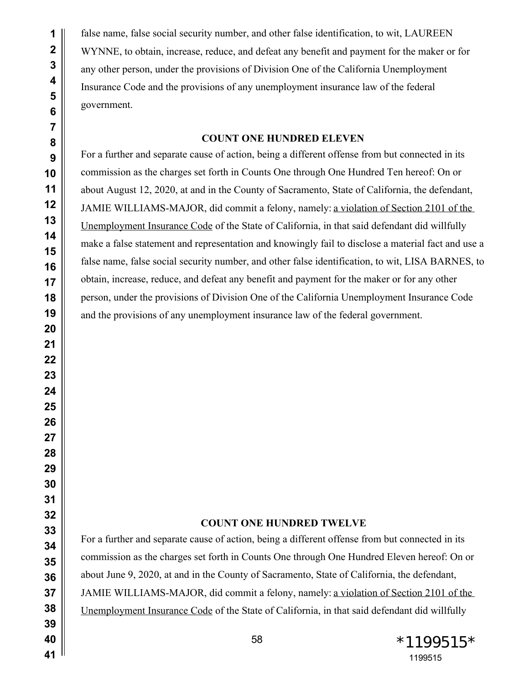false name, false social security number, and other false identification, to wit, LAUREEN WYNNE, to obtain, increase, reduce, and defeat any benefit and payment for the maker or for any other person, under the provisions of Division One of the California Unemployment Insurance Code and the provisions of any unemployment insurance law of the federal government.

# **COUNT ONE HUNDRED ELEVEN**

For a further and separate cause of action, being a different offense from but connected in its commission as the charges set forth in Counts One through One Hundred Ten hereof: On or about August 12, 2020, at and in the County of Sacramento, State of California, the defendant, JAMIE WILLIAMS-MAJOR, did commit a felony, namely: a violation of Section 2101 of the Unemployment Insurance Code of the State of California, in that said defendant did willfully make a false statement and representation and knowingly fail to disclose a material fact and use a false name, false social security number, and other false identification, to wit, LISA BARNES, to obtain, increase, reduce, and defeat any benefit and payment for the maker or for any other person, under the provisions of Division One of the California Unemployment Insurance Code and the provisions of any unemployment insurance law of the federal government.

# **COUNT ONE HUNDRED TWELVE**

For a further and separate cause of action, being a different offense from but connected in its commission as the charges set forth in Counts One through One Hundred Eleven hereof: On or about June 9, 2020, at and in the County of Sacramento, State of California, the defendant, JAMIE WILLIAMS-MAJOR, did commit a felony, namely: a violation of Section 2101 of the Unemployment Insurance Code of the State of California, in that said defendant did willfully

 \*1199515\*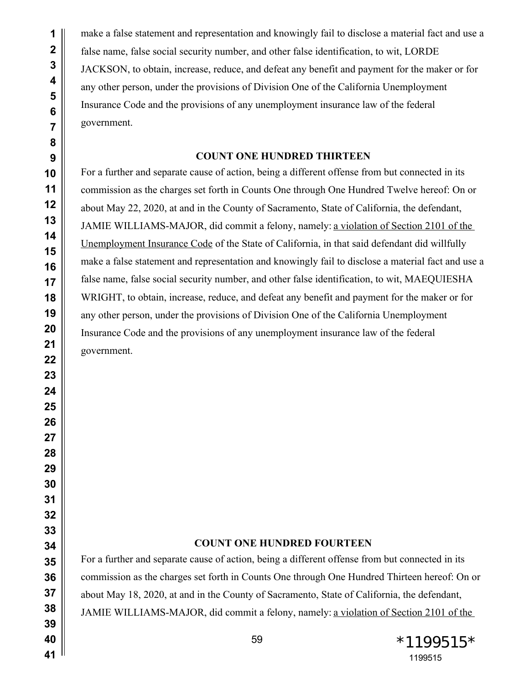make a false statement and representation and knowingly fail to disclose a material fact and use a false name, false social security number, and other false identification, to wit, LORDE JACKSON, to obtain, increase, reduce, and defeat any benefit and payment for the maker or for any other person, under the provisions of Division One of the California Unemployment Insurance Code and the provisions of any unemployment insurance law of the federal government.

## **COUNT ONE HUNDRED THIRTEEN**

For a further and separate cause of action, being a different offense from but connected in its commission as the charges set forth in Counts One through One Hundred Twelve hereof: On or about May 22, 2020, at and in the County of Sacramento, State of California, the defendant, JAMIE WILLIAMS-MAJOR, did commit a felony, namely: a violation of Section 2101 of the Unemployment Insurance Code of the State of California, in that said defendant did willfully make a false statement and representation and knowingly fail to disclose a material fact and use a false name, false social security number, and other false identification, to wit, MAEQUIESHA WRIGHT, to obtain, increase, reduce, and defeat any benefit and payment for the maker or for any other person, under the provisions of Division One of the California Unemployment Insurance Code and the provisions of any unemployment insurance law of the federal government.

# **COUNT ONE HUNDRED FOURTEEN**

For a further and separate cause of action, being a different offense from but connected in its commission as the charges set forth in Counts One through One Hundred Thirteen hereof: On or about May 18, 2020, at and in the County of Sacramento, State of California, the defendant, JAMIE WILLIAMS-MAJOR, did commit a felony, namely: a violation of Section 2101 of the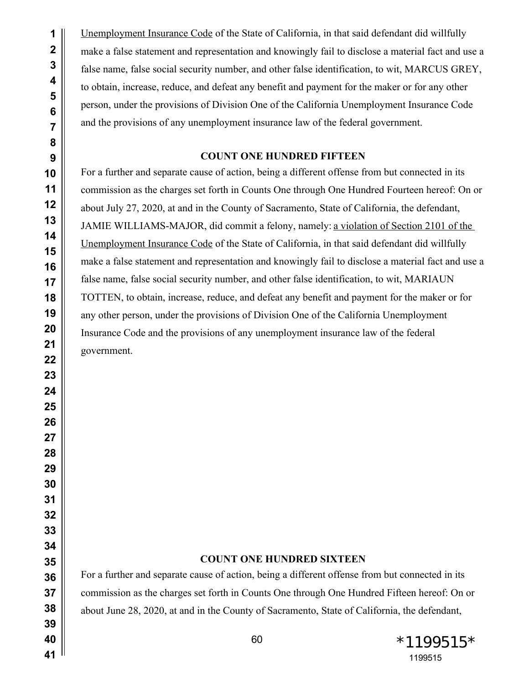Unemployment Insurance Code of the State of California, in that said defendant did willfully make a false statement and representation and knowingly fail to disclose a material fact and use a false name, false social security number, and other false identification, to wit, MARCUS GREY, to obtain, increase, reduce, and defeat any benefit and payment for the maker or for any other person, under the provisions of Division One of the California Unemployment Insurance Code and the provisions of any unemployment insurance law of the federal government.

# **COUNT ONE HUNDRED FIFTEEN**

For a further and separate cause of action, being a different offense from but connected in its commission as the charges set forth in Counts One through One Hundred Fourteen hereof: On or about July 27, 2020, at and in the County of Sacramento, State of California, the defendant, JAMIE WILLIAMS-MAJOR, did commit a felony, namely: a violation of Section 2101 of the Unemployment Insurance Code of the State of California, in that said defendant did willfully make a false statement and representation and knowingly fail to disclose a material fact and use a false name, false social security number, and other false identification, to wit, MARIAUN TOTTEN, to obtain, increase, reduce, and defeat any benefit and payment for the maker or for any other person, under the provisions of Division One of the California Unemployment Insurance Code and the provisions of any unemployment insurance law of the federal government.

### **COUNT ONE HUNDRED SIXTEEN**

For a further and separate cause of action, being a different offense from but connected in its commission as the charges set forth in Counts One through One Hundred Fifteen hereof: On or about June 28, 2020, at and in the County of Sacramento, State of California, the defendant,

60 \*1199515\*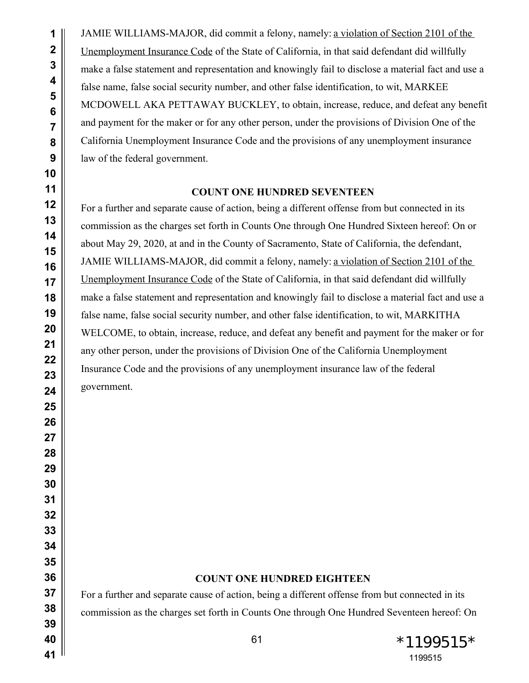JAMIE WILLIAMS-MAJOR, did commit a felony, namely: a violation of Section 2101 of the Unemployment Insurance Code of the State of California, in that said defendant did willfully make a false statement and representation and knowingly fail to disclose a material fact and use a false name, false social security number, and other false identification, to wit, MARKEE MCDOWELL AKA PETTAWAY BUCKLEY, to obtain, increase, reduce, and defeat any benefit and payment for the maker or for any other person, under the provisions of Division One of the California Unemployment Insurance Code and the provisions of any unemployment insurance law of the federal government.

### **COUNT ONE HUNDRED SEVENTEEN**

For a further and separate cause of action, being a different offense from but connected in its commission as the charges set forth in Counts One through One Hundred Sixteen hereof: On or about May 29, 2020, at and in the County of Sacramento, State of California, the defendant, JAMIE WILLIAMS-MAJOR, did commit a felony, namely: a violation of Section 2101 of the Unemployment Insurance Code of the State of California, in that said defendant did willfully make a false statement and representation and knowingly fail to disclose a material fact and use a false name, false social security number, and other false identification, to wit, MARKITHA WELCOME, to obtain, increase, reduce, and defeat any benefit and payment for the maker or for any other person, under the provisions of Division One of the California Unemployment Insurance Code and the provisions of any unemployment insurance law of the federal government.

# **COUNT ONE HUNDRED EIGHTEEN**

For a further and separate cause of action, being a different offense from but connected in its commission as the charges set forth in Counts One through One Hundred Seventeen hereof: On

61  $*1199515*$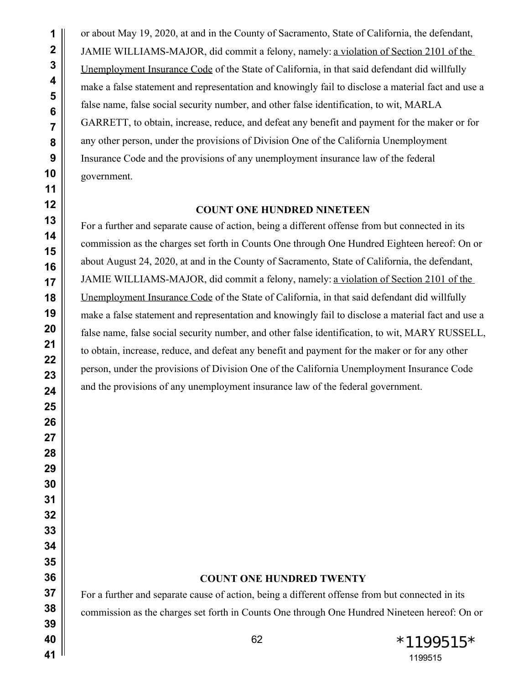or about May 19, 2020, at and in the County of Sacramento, State of California, the defendant, JAMIE WILLIAMS-MAJOR, did commit a felony, namely: a violation of Section 2101 of the Unemployment Insurance Code of the State of California, in that said defendant did willfully make a false statement and representation and knowingly fail to disclose a material fact and use a false name, false social security number, and other false identification, to wit, MARLA GARRETT, to obtain, increase, reduce, and defeat any benefit and payment for the maker or for any other person, under the provisions of Division One of the California Unemployment Insurance Code and the provisions of any unemployment insurance law of the federal government.

#### **COUNT ONE HUNDRED NINETEEN**

For a further and separate cause of action, being a different offense from but connected in its commission as the charges set forth in Counts One through One Hundred Eighteen hereof: On or about August 24, 2020, at and in the County of Sacramento, State of California, the defendant, JAMIE WILLIAMS-MAJOR, did commit a felony, namely: a violation of Section 2101 of the Unemployment Insurance Code of the State of California, in that said defendant did willfully make a false statement and representation and knowingly fail to disclose a material fact and use a false name, false social security number, and other false identification, to wit, MARY RUSSELL, to obtain, increase, reduce, and defeat any benefit and payment for the maker or for any other person, under the provisions of Division One of the California Unemployment Insurance Code and the provisions of any unemployment insurance law of the federal government.

## **COUNT ONE HUNDRED TWENTY**

For a further and separate cause of action, being a different offense from but connected in its commission as the charges set forth in Counts One through One Hundred Nineteen hereof: On or

62  $*1199515*$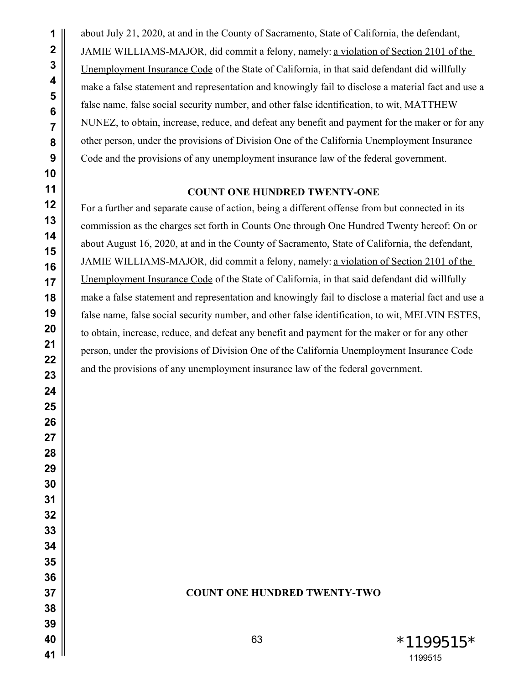about July 21, 2020, at and in the County of Sacramento, State of California, the defendant, JAMIE WILLIAMS-MAJOR, did commit a felony, namely: a violation of Section 2101 of the Unemployment Insurance Code of the State of California, in that said defendant did willfully make a false statement and representation and knowingly fail to disclose a material fact and use a false name, false social security number, and other false identification, to wit, MATTHEW NUNEZ, to obtain, increase, reduce, and defeat any benefit and payment for the maker or for any other person, under the provisions of Division One of the California Unemployment Insurance Code and the provisions of any unemployment insurance law of the federal government.

### **COUNT ONE HUNDRED TWENTY-ONE**

For a further and separate cause of action, being a different offense from but connected in its commission as the charges set forth in Counts One through One Hundred Twenty hereof: On or about August 16, 2020, at and in the County of Sacramento, State of California, the defendant, JAMIE WILLIAMS-MAJOR, did commit a felony, namely: a violation of Section 2101 of the Unemployment Insurance Code of the State of California, in that said defendant did willfully make a false statement and representation and knowingly fail to disclose a material fact and use a false name, false social security number, and other false identification, to wit, MELVIN ESTES, to obtain, increase, reduce, and defeat any benefit and payment for the maker or for any other person, under the provisions of Division One of the California Unemployment Insurance Code and the provisions of any unemployment insurance law of the federal government.

## **COUNT ONE HUNDRED TWENTY-TWO**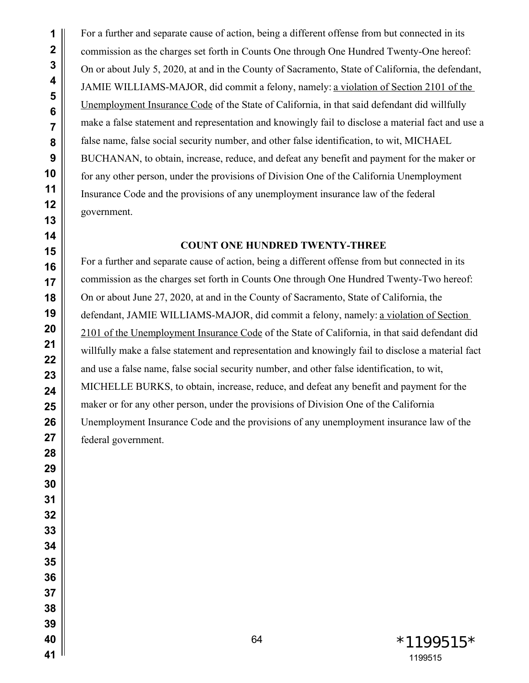For a further and separate cause of action, being a different offense from but connected in its commission as the charges set forth in Counts One through One Hundred Twenty-One hereof: On or about July 5, 2020, at and in the County of Sacramento, State of California, the defendant, JAMIE WILLIAMS-MAJOR, did commit a felony, namely: a violation of Section 2101 of the Unemployment Insurance Code of the State of California, in that said defendant did willfully make a false statement and representation and knowingly fail to disclose a material fact and use a false name, false social security number, and other false identification, to wit, MICHAEL BUCHANAN, to obtain, increase, reduce, and defeat any benefit and payment for the maker or for any other person, under the provisions of Division One of the California Unemployment Insurance Code and the provisions of any unemployment insurance law of the federal government.

#### **COUNT ONE HUNDRED TWENTY-THREE**

For a further and separate cause of action, being a different offense from but connected in its commission as the charges set forth in Counts One through One Hundred Twenty-Two hereof: On or about June 27, 2020, at and in the County of Sacramento, State of California, the defendant, JAMIE WILLIAMS-MAJOR, did commit a felony, namely: a violation of Section 2101 of the Unemployment Insurance Code of the State of California, in that said defendant did willfully make a false statement and representation and knowingly fail to disclose a material fact and use a false name, false social security number, and other false identification, to wit, MICHELLE BURKS, to obtain, increase, reduce, and defeat any benefit and payment for the maker or for any other person, under the provisions of Division One of the California Unemployment Insurance Code and the provisions of any unemployment insurance law of the federal government.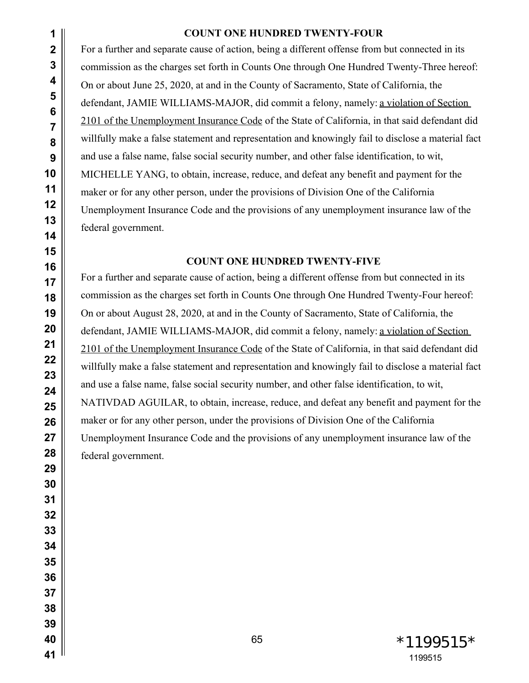# **COUNT ONE HUNDRED TWENTY-FOUR**

For a further and separate cause of action, being a different offense from but connected in its commission as the charges set forth in Counts One through One Hundred Twenty-Three hereof: On or about June 25, 2020, at and in the County of Sacramento, State of California, the defendant, JAMIE WILLIAMS-MAJOR, did commit a felony, namely: a violation of Section 2101 of the Unemployment Insurance Code of the State of California, in that said defendant did willfully make a false statement and representation and knowingly fail to disclose a material fact and use a false name, false social security number, and other false identification, to wit, MICHELLE YANG, to obtain, increase, reduce, and defeat any benefit and payment for the maker or for any other person, under the provisions of Division One of the California Unemployment Insurance Code and the provisions of any unemployment insurance law of the federal government.

# **COUNT ONE HUNDRED TWENTY-FIVE**

For a further and separate cause of action, being a different offense from but connected in its commission as the charges set forth in Counts One through One Hundred Twenty-Four hereof: On or about August 28, 2020, at and in the County of Sacramento, State of California, the defendant, JAMIE WILLIAMS-MAJOR, did commit a felony, namely: a violation of Section 2101 of the Unemployment Insurance Code of the State of California, in that said defendant did willfully make a false statement and representation and knowingly fail to disclose a material fact and use a false name, false social security number, and other false identification, to wit, NATIVDAD AGUILAR, to obtain, increase, reduce, and defeat any benefit and payment for the maker or for any other person, under the provisions of Division One of the California Unemployment Insurance Code and the provisions of any unemployment insurance law of the federal government.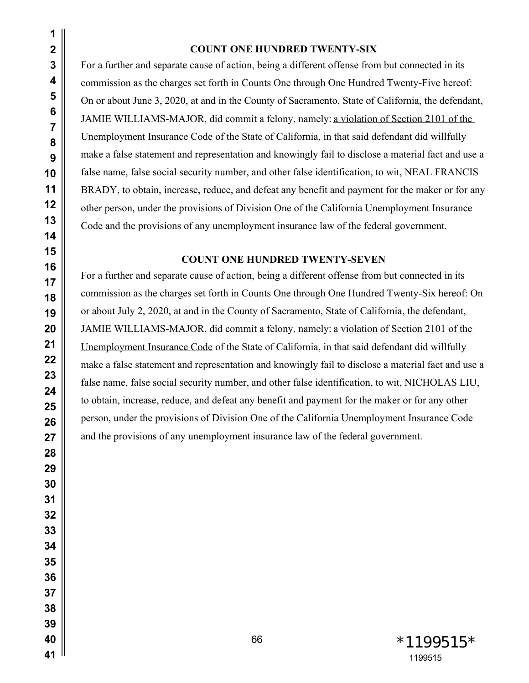#### **COUNT ONE HUNDRED TWENTY-SIX**

For a further and separate cause of action, being a different offense from but connected in its commission as the charges set forth in Counts One through One Hundred Twenty-Five hereof: On or about June 3, 2020, at and in the County of Sacramento, State of California, the defendant, JAMIE WILLIAMS-MAJOR, did commit a felony, namely: a violation of Section 2101 of the Unemployment Insurance Code of the State of California, in that said defendant did willfully make a false statement and representation and knowingly fail to disclose a material fact and use a false name, false social security number, and other false identification, to wit, NEAL FRANCIS BRADY, to obtain, increase, reduce, and defeat any benefit and payment for the maker or for any other person, under the provisions of Division One of the California Unemployment Insurance Code and the provisions of any unemployment insurance law of the federal government.

### **COUNT ONE HUNDRED TWENTY-SEVEN**

For a further and separate cause of action, being a different offense from but connected in its commission as the charges set forth in Counts One through One Hundred Twenty-Six hereof: On or about July 2, 2020, at and in the County of Sacramento, State of California, the defendant, JAMIE WILLIAMS-MAJOR, did commit a felony, namely: a violation of Section 2101 of the Unemployment Insurance Code of the State of California, in that said defendant did willfully make a false statement and representation and knowingly fail to disclose a material fact and use a false name, false social security number, and other false identification, to wit, NICHOLAS LIU, to obtain, increase, reduce, and defeat any benefit and payment for the maker or for any other person, under the provisions of Division One of the California Unemployment Insurance Code and the provisions of any unemployment insurance law of the federal government.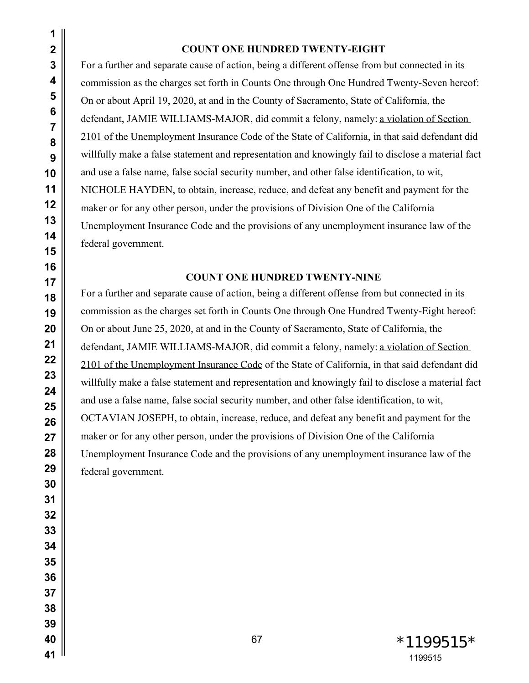#### **COUNT ONE HUNDRED TWENTY-EIGHT**

For a further and separate cause of action, being a different offense from but connected in its commission as the charges set forth in Counts One through One Hundred Twenty-Seven hereof: On or about April 19, 2020, at and in the County of Sacramento, State of California, the defendant, JAMIE WILLIAMS-MAJOR, did commit a felony, namely: a violation of Section 2101 of the Unemployment Insurance Code of the State of California, in that said defendant did willfully make a false statement and representation and knowingly fail to disclose a material fact and use a false name, false social security number, and other false identification, to wit, NICHOLE HAYDEN, to obtain, increase, reduce, and defeat any benefit and payment for the maker or for any other person, under the provisions of Division One of the California Unemployment Insurance Code and the provisions of any unemployment insurance law of the federal government.

# **COUNT ONE HUNDRED TWENTY-NINE**

For a further and separate cause of action, being a different offense from but connected in its commission as the charges set forth in Counts One through One Hundred Twenty-Eight hereof: On or about June 25, 2020, at and in the County of Sacramento, State of California, the defendant, JAMIE WILLIAMS-MAJOR, did commit a felony, namely: a violation of Section 2101 of the Unemployment Insurance Code of the State of California, in that said defendant did willfully make a false statement and representation and knowingly fail to disclose a material fact and use a false name, false social security number, and other false identification, to wit, OCTAVIAN JOSEPH, to obtain, increase, reduce, and defeat any benefit and payment for the maker or for any other person, under the provisions of Division One of the California Unemployment Insurance Code and the provisions of any unemployment insurance law of the federal government.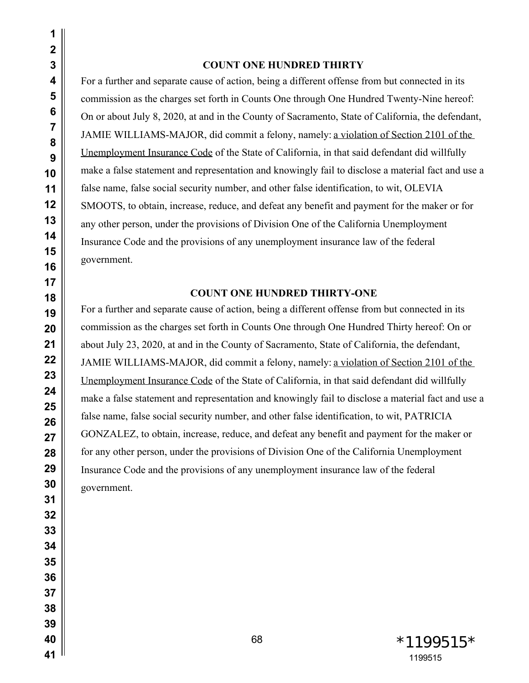#### **COUNT ONE HUNDRED THIRTY**

For a further and separate cause of action, being a different offense from but connected in its commission as the charges set forth in Counts One through One Hundred Twenty-Nine hereof: On or about July 8, 2020, at and in the County of Sacramento, State of California, the defendant, JAMIE WILLIAMS-MAJOR, did commit a felony, namely: a violation of Section 2101 of the Unemployment Insurance Code of the State of California, in that said defendant did willfully make a false statement and representation and knowingly fail to disclose a material fact and use a false name, false social security number, and other false identification, to wit, OLEVIA SMOOTS, to obtain, increase, reduce, and defeat any benefit and payment for the maker or for any other person, under the provisions of Division One of the California Unemployment Insurance Code and the provisions of any unemployment insurance law of the federal government.

## **COUNT ONE HUNDRED THIRTY-ONE**

For a further and separate cause of action, being a different offense from but connected in its commission as the charges set forth in Counts One through One Hundred Thirty hereof: On or about July 23, 2020, at and in the County of Sacramento, State of California, the defendant, JAMIE WILLIAMS-MAJOR, did commit a felony, namely: a violation of Section 2101 of the Unemployment Insurance Code of the State of California, in that said defendant did willfully make a false statement and representation and knowingly fail to disclose a material fact and use a false name, false social security number, and other false identification, to wit, PATRICIA GONZALEZ, to obtain, increase, reduce, and defeat any benefit and payment for the maker or for any other person, under the provisions of Division One of the California Unemployment Insurance Code and the provisions of any unemployment insurance law of the federal government.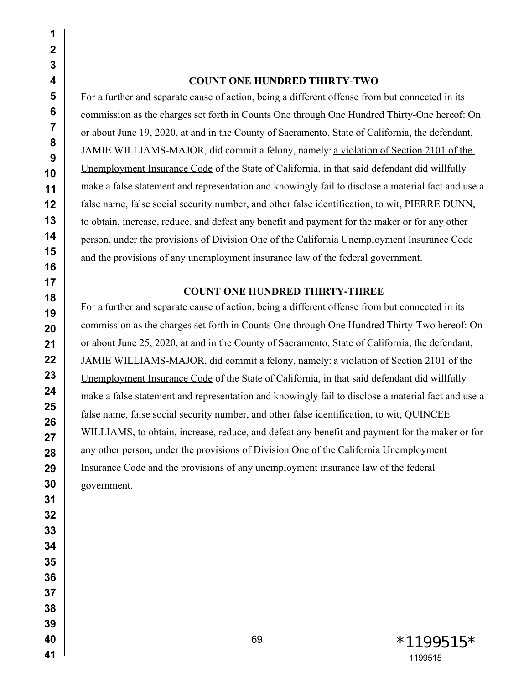#### **COUNT ONE HUNDRED THIRTY-TWO**

For a further and separate cause of action, being a different offense from but connected in its commission as the charges set forth in Counts One through One Hundred Thirty-One hereof: On or about June 19, 2020, at and in the County of Sacramento, State of California, the defendant, JAMIE WILLIAMS-MAJOR, did commit a felony, namely: a violation of Section 2101 of the Unemployment Insurance Code of the State of California, in that said defendant did willfully make a false statement and representation and knowingly fail to disclose a material fact and use a false name, false social security number, and other false identification, to wit, PIERRE DUNN, to obtain, increase, reduce, and defeat any benefit and payment for the maker or for any other person, under the provisions of Division One of the California Unemployment Insurance Code and the provisions of any unemployment insurance law of the federal government.

#### **COUNT ONE HUNDRED THIRTY-THREE**

For a further and separate cause of action, being a different offense from but connected in its commission as the charges set forth in Counts One through One Hundred Thirty-Two hereof: On or about June 25, 2020, at and in the County of Sacramento, State of California, the defendant, JAMIE WILLIAMS-MAJOR, did commit a felony, namely: a violation of Section 2101 of the Unemployment Insurance Code of the State of California, in that said defendant did willfully make a false statement and representation and knowingly fail to disclose a material fact and use a false name, false social security number, and other false identification, to wit, QUINCEE WILLIAMS, to obtain, increase, reduce, and defeat any benefit and payment for the maker or for any other person, under the provisions of Division One of the California Unemployment Insurance Code and the provisions of any unemployment insurance law of the federal government.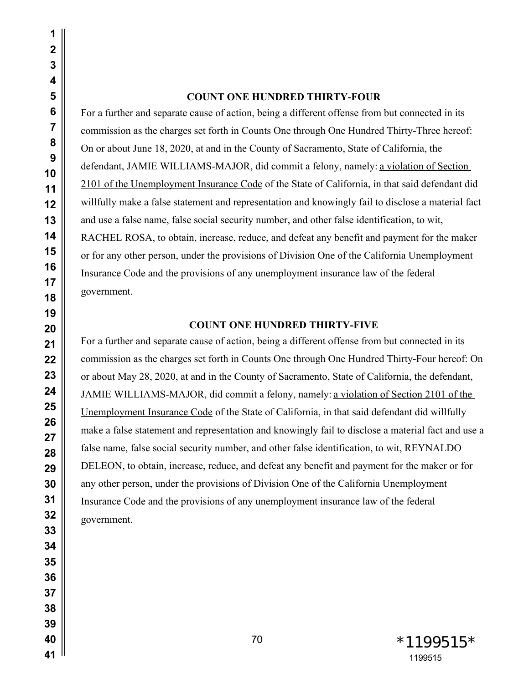#### **COUNT ONE HUNDRED THIRTY-FOUR**

For a further and separate cause of action, being a different offense from but connected in its commission as the charges set forth in Counts One through One Hundred Thirty-Three hereof: On or about June 18, 2020, at and in the County of Sacramento, State of California, the defendant, JAMIE WILLIAMS-MAJOR, did commit a felony, namely: a violation of Section 2101 of the Unemployment Insurance Code of the State of California, in that said defendant did willfully make a false statement and representation and knowingly fail to disclose a material fact and use a false name, false social security number, and other false identification, to wit, RACHEL ROSA, to obtain, increase, reduce, and defeat any benefit and payment for the maker or for any other person, under the provisions of Division One of the California Unemployment Insurance Code and the provisions of any unemployment insurance law of the federal government.

#### **COUNT ONE HUNDRED THIRTY-FIVE**

For a further and separate cause of action, being a different offense from but connected in its commission as the charges set forth in Counts One through One Hundred Thirty-Four hereof: On or about May 28, 2020, at and in the County of Sacramento, State of California, the defendant, JAMIE WILLIAMS-MAJOR, did commit a felony, namely: a violation of Section 2101 of the Unemployment Insurance Code of the State of California, in that said defendant did willfully make a false statement and representation and knowingly fail to disclose a material fact and use a false name, false social security number, and other false identification, to wit, REYNALDO DELEON, to obtain, increase, reduce, and defeat any benefit and payment for the maker or for any other person, under the provisions of Division One of the California Unemployment Insurance Code and the provisions of any unemployment insurance law of the federal government.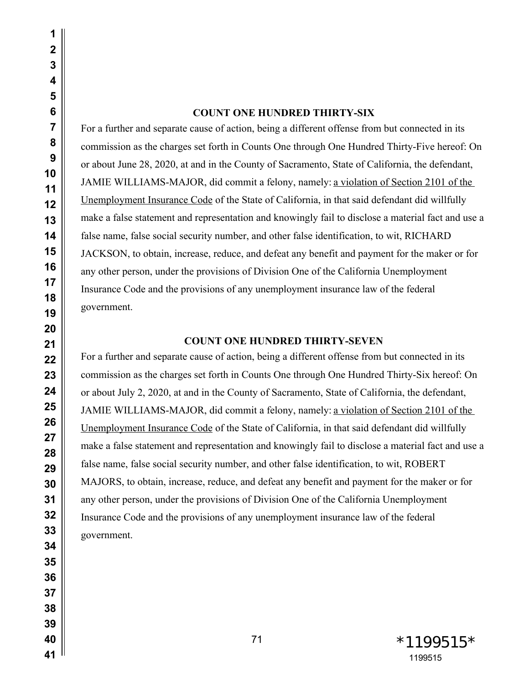# **COUNT ONE HUNDRED THIRTY-SIX**

For a further and separate cause of action, being a different offense from but connected in its commission as the charges set forth in Counts One through One Hundred Thirty-Five hereof: On or about June 28, 2020, at and in the County of Sacramento, State of California, the defendant, JAMIE WILLIAMS-MAJOR, did commit a felony, namely: a violation of Section 2101 of the Unemployment Insurance Code of the State of California, in that said defendant did willfully make a false statement and representation and knowingly fail to disclose a material fact and use a false name, false social security number, and other false identification, to wit, RICHARD JACKSON, to obtain, increase, reduce, and defeat any benefit and payment for the maker or for any other person, under the provisions of Division One of the California Unemployment Insurance Code and the provisions of any unemployment insurance law of the federal government.

## **COUNT ONE HUNDRED THIRTY-SEVEN**

For a further and separate cause of action, being a different offense from but connected in its commission as the charges set forth in Counts One through One Hundred Thirty-Six hereof: On or about July 2, 2020, at and in the County of Sacramento, State of California, the defendant, JAMIE WILLIAMS-MAJOR, did commit a felony, namely: a violation of Section 2101 of the Unemployment Insurance Code of the State of California, in that said defendant did willfully make a false statement and representation and knowingly fail to disclose a material fact and use a false name, false social security number, and other false identification, to wit, ROBERT MAJORS, to obtain, increase, reduce, and defeat any benefit and payment for the maker or for any other person, under the provisions of Division One of the California Unemployment Insurance Code and the provisions of any unemployment insurance law of the federal government.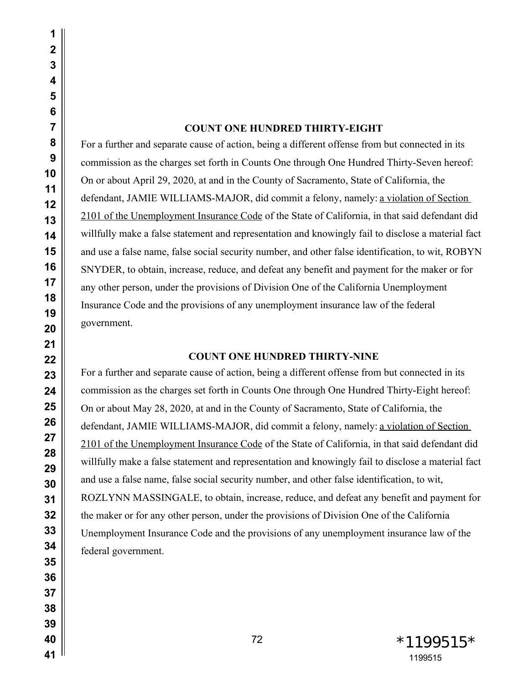# **COUNT ONE HUNDRED THIRTY-EIGHT**

For a further and separate cause of action, being a different offense from but connected in its commission as the charges set forth in Counts One through One Hundred Thirty-Seven hereof: On or about April 29, 2020, at and in the County of Sacramento, State of California, the defendant, JAMIE WILLIAMS-MAJOR, did commit a felony, namely: a violation of Section 2101 of the Unemployment Insurance Code of the State of California, in that said defendant did willfully make a false statement and representation and knowingly fail to disclose a material fact and use a false name, false social security number, and other false identification, to wit, ROBYN SNYDER, to obtain, increase, reduce, and defeat any benefit and payment for the maker or for any other person, under the provisions of Division One of the California Unemployment Insurance Code and the provisions of any unemployment insurance law of the federal government.

# **COUNT ONE HUNDRED THIRTY-NINE**

For a further and separate cause of action, being a different offense from but connected in its commission as the charges set forth in Counts One through One Hundred Thirty-Eight hereof: On or about May 28, 2020, at and in the County of Sacramento, State of California, the defendant, JAMIE WILLIAMS-MAJOR, did commit a felony, namely: a violation of Section 2101 of the Unemployment Insurance Code of the State of California, in that said defendant did willfully make a false statement and representation and knowingly fail to disclose a material fact and use a false name, false social security number, and other false identification, to wit, ROZLYNN MASSINGALE, to obtain, increase, reduce, and defeat any benefit and payment for the maker or for any other person, under the provisions of Division One of the California Unemployment Insurance Code and the provisions of any unemployment insurance law of the federal government.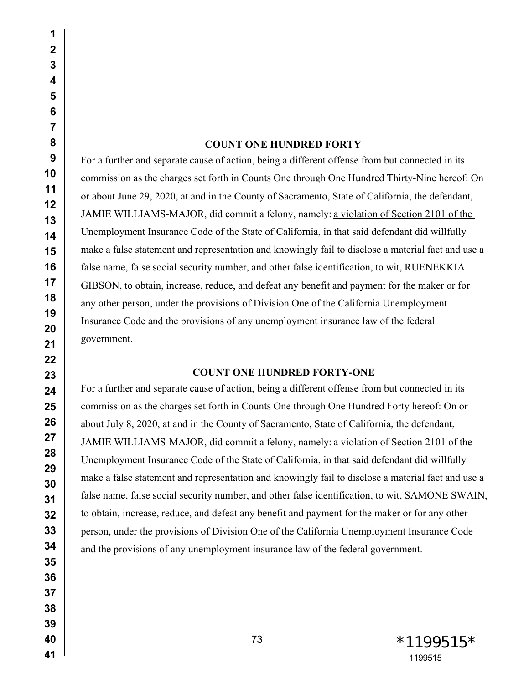# **COUNT ONE HUNDRED FORTY**

For a further and separate cause of action, being a different offense from but connected in its commission as the charges set forth in Counts One through One Hundred Thirty-Nine hereof: On or about June 29, 2020, at and in the County of Sacramento, State of California, the defendant, JAMIE WILLIAMS-MAJOR, did commit a felony, namely: a violation of Section 2101 of the Unemployment Insurance Code of the State of California, in that said defendant did willfully make a false statement and representation and knowingly fail to disclose a material fact and use a false name, false social security number, and other false identification, to wit, RUENEKKIA GIBSON, to obtain, increase, reduce, and defeat any benefit and payment for the maker or for any other person, under the provisions of Division One of the California Unemployment Insurance Code and the provisions of any unemployment insurance law of the federal government.

## **COUNT ONE HUNDRED FORTY-ONE**

For a further and separate cause of action, being a different offense from but connected in its commission as the charges set forth in Counts One through One Hundred Forty hereof: On or about July 8, 2020, at and in the County of Sacramento, State of California, the defendant, JAMIE WILLIAMS-MAJOR, did commit a felony, namely: a violation of Section 2101 of the Unemployment Insurance Code of the State of California, in that said defendant did willfully make a false statement and representation and knowingly fail to disclose a material fact and use a false name, false social security number, and other false identification, to wit, SAMONE SWAIN, to obtain, increase, reduce, and defeat any benefit and payment for the maker or for any other person, under the provisions of Division One of the California Unemployment Insurance Code and the provisions of any unemployment insurance law of the federal government.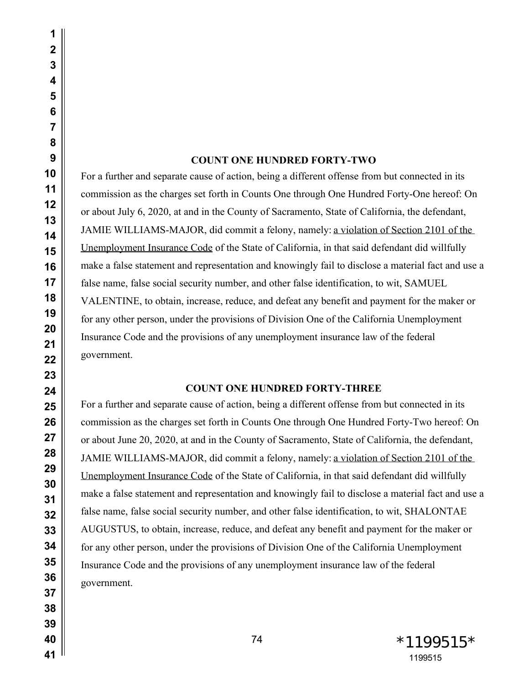#### **COUNT ONE HUNDRED FORTY-TWO**

For a further and separate cause of action, being a different offense from but connected in its commission as the charges set forth in Counts One through One Hundred Forty-One hereof: On or about July 6, 2020, at and in the County of Sacramento, State of California, the defendant, JAMIE WILLIAMS-MAJOR, did commit a felony, namely: a violation of Section 2101 of the Unemployment Insurance Code of the State of California, in that said defendant did willfully make a false statement and representation and knowingly fail to disclose a material fact and use a false name, false social security number, and other false identification, to wit, SAMUEL VALENTINE, to obtain, increase, reduce, and defeat any benefit and payment for the maker or for any other person, under the provisions of Division One of the California Unemployment Insurance Code and the provisions of any unemployment insurance law of the federal government.

### **COUNT ONE HUNDRED FORTY-THREE**

For a further and separate cause of action, being a different offense from but connected in its commission as the charges set forth in Counts One through One Hundred Forty-Two hereof: On or about June 20, 2020, at and in the County of Sacramento, State of California, the defendant, JAMIE WILLIAMS-MAJOR, did commit a felony, namely: a violation of Section 2101 of the Unemployment Insurance Code of the State of California, in that said defendant did willfully make a false statement and representation and knowingly fail to disclose a material fact and use a false name, false social security number, and other false identification, to wit, SHALONTAE AUGUSTUS, to obtain, increase, reduce, and defeat any benefit and payment for the maker or for any other person, under the provisions of Division One of the California Unemployment Insurance Code and the provisions of any unemployment insurance law of the federal government.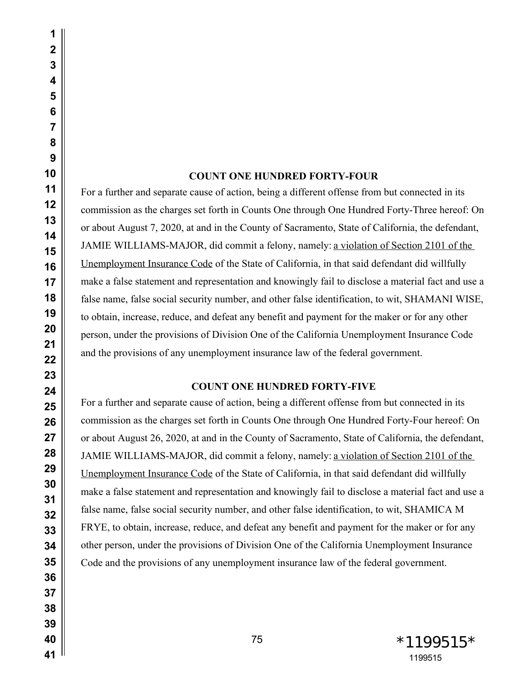### **COUNT ONE HUNDRED FORTY-FOUR**

For a further and separate cause of action, being a different offense from but connected in its commission as the charges set forth in Counts One through One Hundred Forty-Three hereof: On or about August 7, 2020, at and in the County of Sacramento, State of California, the defendant, JAMIE WILLIAMS-MAJOR, did commit a felony, namely: a violation of Section 2101 of the Unemployment Insurance Code of the State of California, in that said defendant did willfully make a false statement and representation and knowingly fail to disclose a material fact and use a false name, false social security number, and other false identification, to wit, SHAMANI WISE, to obtain, increase, reduce, and defeat any benefit and payment for the maker or for any other person, under the provisions of Division One of the California Unemployment Insurance Code and the provisions of any unemployment insurance law of the federal government.

## **COUNT ONE HUNDRED FORTY-FIVE**

For a further and separate cause of action, being a different offense from but connected in its commission as the charges set forth in Counts One through One Hundred Forty-Four hereof: On or about August 26, 2020, at and in the County of Sacramento, State of California, the defendant, JAMIE WILLIAMS-MAJOR, did commit a felony, namely: a violation of Section 2101 of the Unemployment Insurance Code of the State of California, in that said defendant did willfully make a false statement and representation and knowingly fail to disclose a material fact and use a false name, false social security number, and other false identification, to wit, SHAMICA M FRYE, to obtain, increase, reduce, and defeat any benefit and payment for the maker or for any other person, under the provisions of Division One of the California Unemployment Insurance Code and the provisions of any unemployment insurance law of the federal government.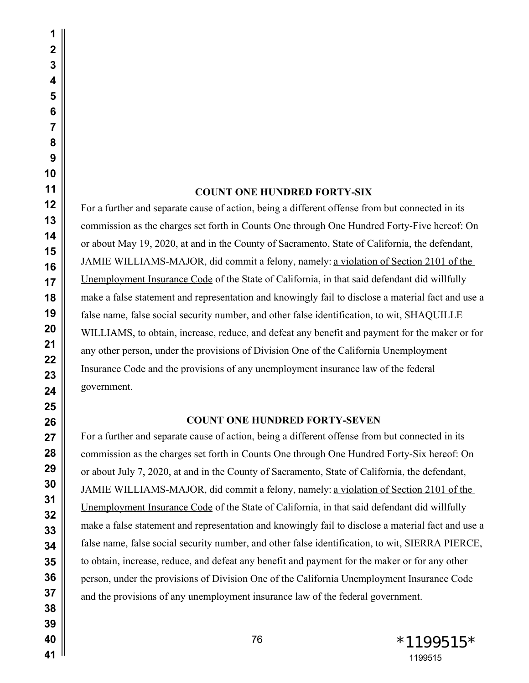#### **COUNT ONE HUNDRED FORTY-SIX**

For a further and separate cause of action, being a different offense from but connected in its commission as the charges set forth in Counts One through One Hundred Forty-Five hereof: On or about May 19, 2020, at and in the County of Sacramento, State of California, the defendant, JAMIE WILLIAMS-MAJOR, did commit a felony, namely: a violation of Section 2101 of the Unemployment Insurance Code of the State of California, in that said defendant did willfully make a false statement and representation and knowingly fail to disclose a material fact and use a false name, false social security number, and other false identification, to wit, SHAQUILLE WILLIAMS, to obtain, increase, reduce, and defeat any benefit and payment for the maker or for any other person, under the provisions of Division One of the California Unemployment Insurance Code and the provisions of any unemployment insurance law of the federal government.

### **COUNT ONE HUNDRED FORTY-SEVEN**

For a further and separate cause of action, being a different offense from but connected in its commission as the charges set forth in Counts One through One Hundred Forty-Six hereof: On or about July 7, 2020, at and in the County of Sacramento, State of California, the defendant, JAMIE WILLIAMS-MAJOR, did commit a felony, namely: a violation of Section 2101 of the Unemployment Insurance Code of the State of California, in that said defendant did willfully make a false statement and representation and knowingly fail to disclose a material fact and use a false name, false social security number, and other false identification, to wit, SIERRA PIERCE, to obtain, increase, reduce, and defeat any benefit and payment for the maker or for any other person, under the provisions of Division One of the California Unemployment Insurance Code and the provisions of any unemployment insurance law of the federal government.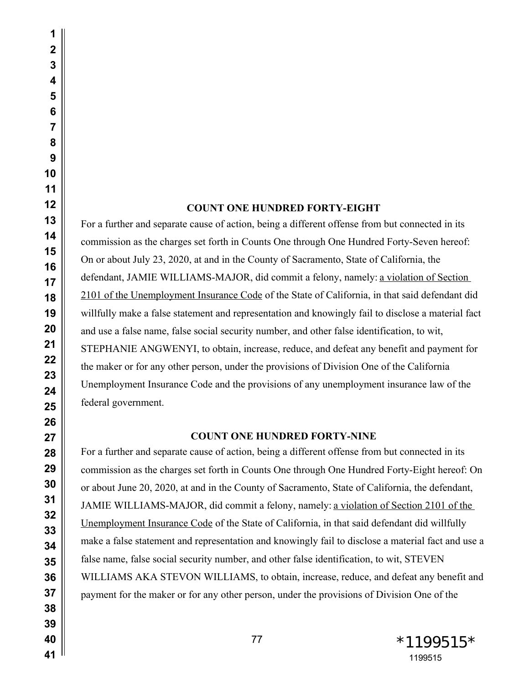# **COUNT ONE HUNDRED FORTY-EIGHT**

For a further and separate cause of action, being a different offense from but connected in its commission as the charges set forth in Counts One through One Hundred Forty-Seven hereof: On or about July 23, 2020, at and in the County of Sacramento, State of California, the defendant, JAMIE WILLIAMS-MAJOR, did commit a felony, namely: a violation of Section 2101 of the Unemployment Insurance Code of the State of California, in that said defendant did willfully make a false statement and representation and knowingly fail to disclose a material fact and use a false name, false social security number, and other false identification, to wit, STEPHANIE ANGWENYI, to obtain, increase, reduce, and defeat any benefit and payment for the maker or for any other person, under the provisions of Division One of the California Unemployment Insurance Code and the provisions of any unemployment insurance law of the federal government.

# **COUNT ONE HUNDRED FORTY-NINE**

For a further and separate cause of action, being a different offense from but connected in its commission as the charges set forth in Counts One through One Hundred Forty-Eight hereof: On or about June 20, 2020, at and in the County of Sacramento, State of California, the defendant, JAMIE WILLIAMS-MAJOR, did commit a felony, namely: a violation of Section 2101 of the Unemployment Insurance Code of the State of California, in that said defendant did willfully make a false statement and representation and knowingly fail to disclose a material fact and use a false name, false social security number, and other false identification, to wit, STEVEN WILLIAMS AKA STEVON WILLIAMS, to obtain, increase, reduce, and defeat any benefit and payment for the maker or for any other person, under the provisions of Division One of the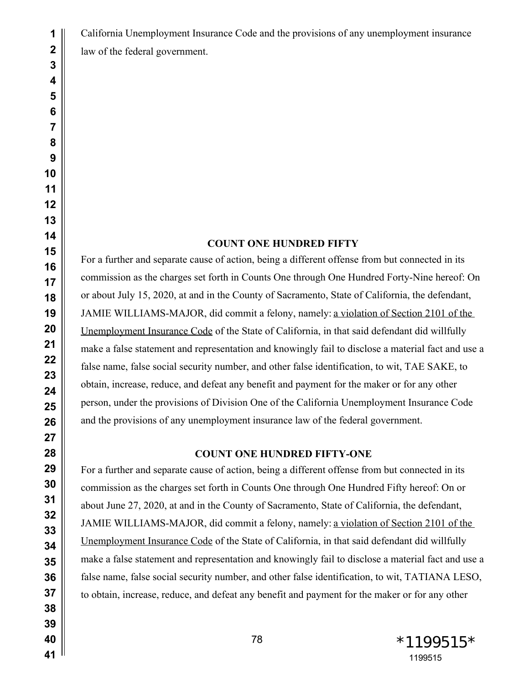California Unemployment Insurance Code and the provisions of any unemployment insurance

law of the federal government.

# **COUNT ONE HUNDRED FIFTY**

For a further and separate cause of action, being a different offense from but connected in its commission as the charges set forth in Counts One through One Hundred Forty-Nine hereof: On or about July 15, 2020, at and in the County of Sacramento, State of California, the defendant, JAMIE WILLIAMS-MAJOR, did commit a felony, namely: a violation of Section 2101 of the Unemployment Insurance Code of the State of California, in that said defendant did willfully make a false statement and representation and knowingly fail to disclose a material fact and use a false name, false social security number, and other false identification, to wit, TAE SAKE, to obtain, increase, reduce, and defeat any benefit and payment for the maker or for any other person, under the provisions of Division One of the California Unemployment Insurance Code and the provisions of any unemployment insurance law of the federal government.

# **COUNT ONE HUNDRED FIFTY-ONE**

For a further and separate cause of action, being a different offense from but connected in its commission as the charges set forth in Counts One through One Hundred Fifty hereof: On or about June 27, 2020, at and in the County of Sacramento, State of California, the defendant, JAMIE WILLIAMS-MAJOR, did commit a felony, namely: a violation of Section 2101 of the Unemployment Insurance Code of the State of California, in that said defendant did willfully make a false statement and representation and knowingly fail to disclose a material fact and use a false name, false social security number, and other false identification, to wit, TATIANA LESO, to obtain, increase, reduce, and defeat any benefit and payment for the maker or for any other

 \*1199515\*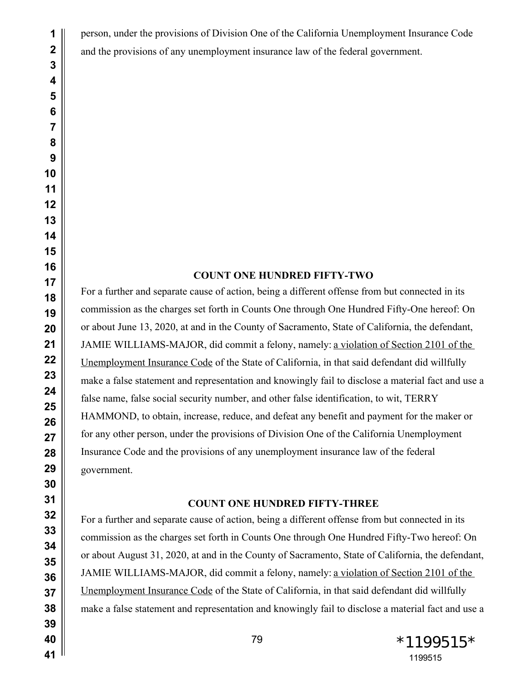person, under the provisions of Division One of the California Unemployment Insurance Code and the provisions of any unemployment insurance law of the federal government.

# **COUNT ONE HUNDRED FIFTY-TWO**

For a further and separate cause of action, being a different offense from but connected in its commission as the charges set forth in Counts One through One Hundred Fifty-One hereof: On or about June 13, 2020, at and in the County of Sacramento, State of California, the defendant, JAMIE WILLIAMS-MAJOR, did commit a felony, namely: a violation of Section 2101 of the Unemployment Insurance Code of the State of California, in that said defendant did willfully make a false statement and representation and knowingly fail to disclose a material fact and use a false name, false social security number, and other false identification, to wit, TERRY HAMMOND, to obtain, increase, reduce, and defeat any benefit and payment for the maker or for any other person, under the provisions of Division One of the California Unemployment Insurance Code and the provisions of any unemployment insurance law of the federal government.

# **COUNT ONE HUNDRED FIFTY-THREE**

For a further and separate cause of action, being a different offense from but connected in its commission as the charges set forth in Counts One through One Hundred Fifty-Two hereof: On or about August 31, 2020, at and in the County of Sacramento, State of California, the defendant, JAMIE WILLIAMS-MAJOR, did commit a felony, namely: a violation of Section 2101 of the Unemployment Insurance Code of the State of California, in that said defendant did willfully make a false statement and representation and knowingly fail to disclose a material fact and use a

79 \*1199515\*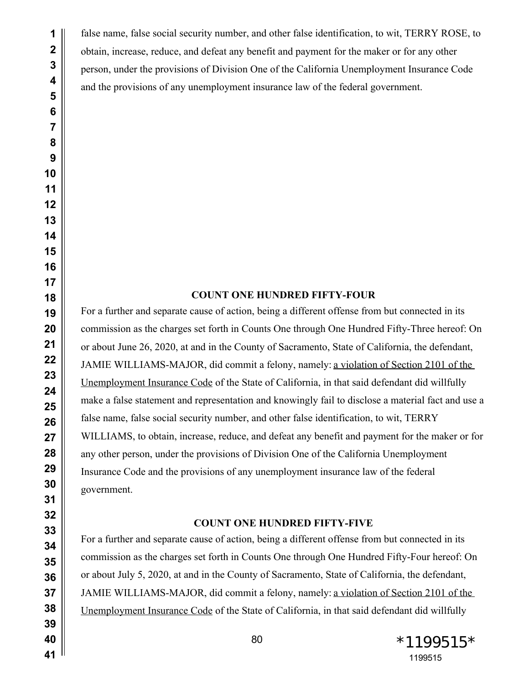false name, false social security number, and other false identification, to wit, TERRY ROSE, to obtain, increase, reduce, and defeat any benefit and payment for the maker or for any other person, under the provisions of Division One of the California Unemployment Insurance Code and the provisions of any unemployment insurance law of the federal government.

# **COUNT ONE HUNDRED FIFTY-FOUR**

For a further and separate cause of action, being a different offense from but connected in its commission as the charges set forth in Counts One through One Hundred Fifty-Three hereof: On or about June 26, 2020, at and in the County of Sacramento, State of California, the defendant, JAMIE WILLIAMS-MAJOR, did commit a felony, namely: a violation of Section 2101 of the Unemployment Insurance Code of the State of California, in that said defendant did willfully make a false statement and representation and knowingly fail to disclose a material fact and use a false name, false social security number, and other false identification, to wit, TERRY WILLIAMS, to obtain, increase, reduce, and defeat any benefit and payment for the maker or for any other person, under the provisions of Division One of the California Unemployment Insurance Code and the provisions of any unemployment insurance law of the federal government.

## **COUNT ONE HUNDRED FIFTY-FIVE**

For a further and separate cause of action, being a different offense from but connected in its commission as the charges set forth in Counts One through One Hundred Fifty-Four hereof: On or about July 5, 2020, at and in the County of Sacramento, State of California, the defendant, JAMIE WILLIAMS-MAJOR, did commit a felony, namely: a violation of Section 2101 of the Unemployment Insurance Code of the State of California, in that said defendant did willfully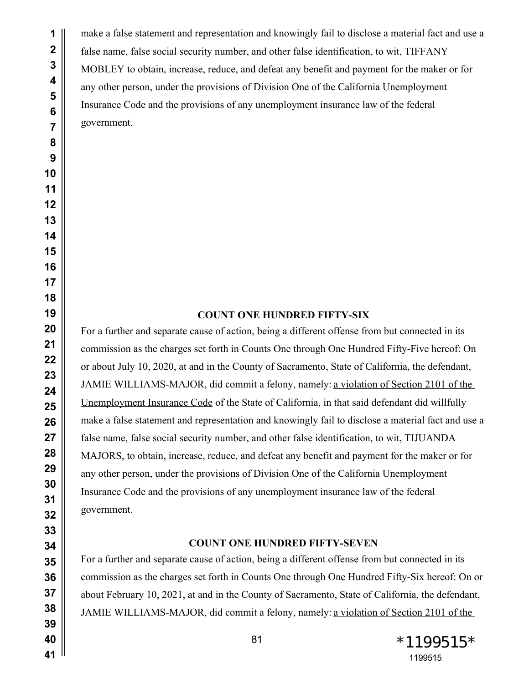make a false statement and representation and knowingly fail to disclose a material fact and use a false name, false social security number, and other false identification, to wit, TIFFANY MOBLEY to obtain, increase, reduce, and defeat any benefit and payment for the maker or for any other person, under the provisions of Division One of the California Unemployment Insurance Code and the provisions of any unemployment insurance law of the federal government.

# **COUNT ONE HUNDRED FIFTY-SIX**

For a further and separate cause of action, being a different offense from but connected in its commission as the charges set forth in Counts One through One Hundred Fifty-Five hereof: On or about July 10, 2020, at and in the County of Sacramento, State of California, the defendant, JAMIE WILLIAMS-MAJOR, did commit a felony, namely: a violation of Section 2101 of the Unemployment Insurance Code of the State of California, in that said defendant did willfully make a false statement and representation and knowingly fail to disclose a material fact and use a false name, false social security number, and other false identification, to wit, TIJUANDA MAJORS, to obtain, increase, reduce, and defeat any benefit and payment for the maker or for any other person, under the provisions of Division One of the California Unemployment Insurance Code and the provisions of any unemployment insurance law of the federal government.

## **COUNT ONE HUNDRED FIFTY-SEVEN**

For a further and separate cause of action, being a different offense from but connected in its commission as the charges set forth in Counts One through One Hundred Fifty-Six hereof: On or about February 10, 2021, at and in the County of Sacramento, State of California, the defendant, JAMIE WILLIAMS-MAJOR, did commit a felony, namely: a violation of Section 2101 of the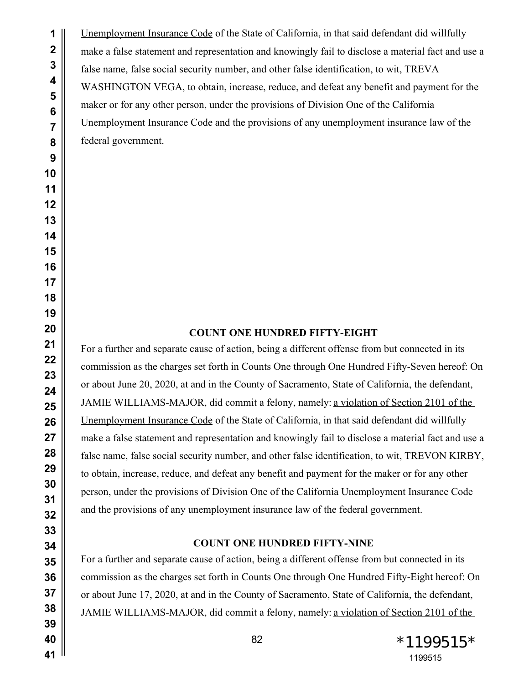Unemployment Insurance Code of the State of California, in that said defendant did willfully make a false statement and representation and knowingly fail to disclose a material fact and use a false name, false social security number, and other false identification, to wit, TREVA WASHINGTON VEGA, to obtain, increase, reduce, and defeat any benefit and payment for the maker or for any other person, under the provisions of Division One of the California Unemployment Insurance Code and the provisions of any unemployment insurance law of the federal government.

# **COUNT ONE HUNDRED FIFTY-EIGHT**

For a further and separate cause of action, being a different offense from but connected in its commission as the charges set forth in Counts One through One Hundred Fifty-Seven hereof: On or about June 20, 2020, at and in the County of Sacramento, State of California, the defendant, JAMIE WILLIAMS-MAJOR, did commit a felony, namely: a violation of Section 2101 of the Unemployment Insurance Code of the State of California, in that said defendant did willfully make a false statement and representation and knowingly fail to disclose a material fact and use a false name, false social security number, and other false identification, to wit, TREVON KIRBY, to obtain, increase, reduce, and defeat any benefit and payment for the maker or for any other person, under the provisions of Division One of the California Unemployment Insurance Code and the provisions of any unemployment insurance law of the federal government.

#### **COUNT ONE HUNDRED FIFTY-NINE**

For a further and separate cause of action, being a different offense from but connected in its commission as the charges set forth in Counts One through One Hundred Fifty-Eight hereof: On or about June 17, 2020, at and in the County of Sacramento, State of California, the defendant, JAMIE WILLIAMS-MAJOR, did commit a felony, namely: a violation of Section 2101 of the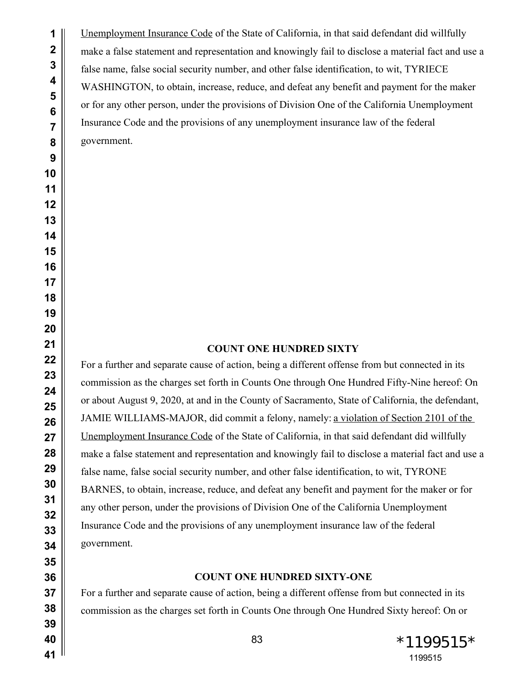Unemployment Insurance Code of the State of California, in that said defendant did willfully make a false statement and representation and knowingly fail to disclose a material fact and use a false name, false social security number, and other false identification, to wit, TYRIECE WASHINGTON, to obtain, increase, reduce, and defeat any benefit and payment for the maker or for any other person, under the provisions of Division One of the California Unemployment Insurance Code and the provisions of any unemployment insurance law of the federal government.

## **COUNT ONE HUNDRED SIXTY**

For a further and separate cause of action, being a different offense from but connected in its commission as the charges set forth in Counts One through One Hundred Fifty-Nine hereof: On or about August 9, 2020, at and in the County of Sacramento, State of California, the defendant, JAMIE WILLIAMS-MAJOR, did commit a felony, namely: a violation of Section 2101 of the Unemployment Insurance Code of the State of California, in that said defendant did willfully make a false statement and representation and knowingly fail to disclose a material fact and use a false name, false social security number, and other false identification, to wit, TYRONE BARNES, to obtain, increase, reduce, and defeat any benefit and payment for the maker or for any other person, under the provisions of Division One of the California Unemployment Insurance Code and the provisions of any unemployment insurance law of the federal government.

#### **COUNT ONE HUNDRED SIXTY-ONE**

For a further and separate cause of action, being a different offense from but connected in its commission as the charges set forth in Counts One through One Hundred Sixty hereof: On or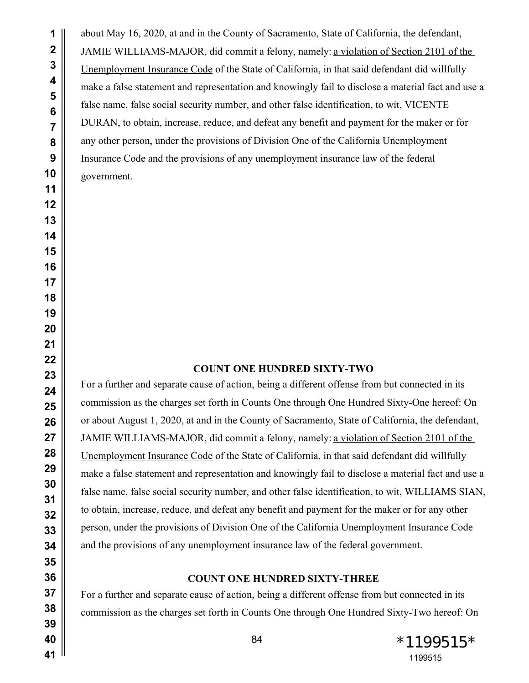about May 16, 2020, at and in the County of Sacramento, State of California, the defendant, JAMIE WILLIAMS-MAJOR, did commit a felony, namely: a violation of Section 2101 of the Unemployment Insurance Code of the State of California, in that said defendant did willfully make a false statement and representation and knowingly fail to disclose a material fact and use a false name, false social security number, and other false identification, to wit, VICENTE DURAN, to obtain, increase, reduce, and defeat any benefit and payment for the maker or for any other person, under the provisions of Division One of the California Unemployment Insurance Code and the provisions of any unemployment insurance law of the federal government.

#### **COUNT ONE HUNDRED SIXTY-TWO**

For a further and separate cause of action, being a different offense from but connected in its commission as the charges set forth in Counts One through One Hundred Sixty-One hereof: On or about August 1, 2020, at and in the County of Sacramento, State of California, the defendant, JAMIE WILLIAMS-MAJOR, did commit a felony, namely: a violation of Section 2101 of the Unemployment Insurance Code of the State of California, in that said defendant did willfully make a false statement and representation and knowingly fail to disclose a material fact and use a false name, false social security number, and other false identification, to wit, WILLIAMS SIAN, to obtain, increase, reduce, and defeat any benefit and payment for the maker or for any other person, under the provisions of Division One of the California Unemployment Insurance Code and the provisions of any unemployment insurance law of the federal government.

## **COUNT ONE HUNDRED SIXTY-THREE**

For a further and separate cause of action, being a different offense from but connected in its commission as the charges set forth in Counts One through One Hundred Sixty-Two hereof: On

 \*1199515\*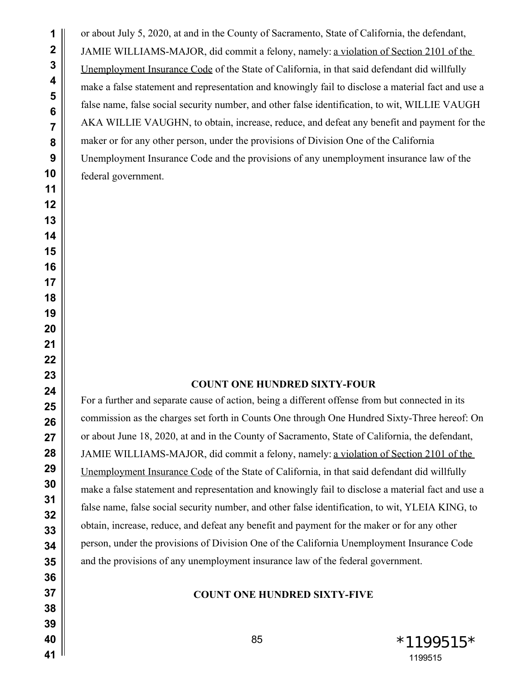or about July 5, 2020, at and in the County of Sacramento, State of California, the defendant, JAMIE WILLIAMS-MAJOR, did commit a felony, namely: a violation of Section 2101 of the Unemployment Insurance Code of the State of California, in that said defendant did willfully make a false statement and representation and knowingly fail to disclose a material fact and use a false name, false social security number, and other false identification, to wit, WILLIE VAUGH AKA WILLIE VAUGHN, to obtain, increase, reduce, and defeat any benefit and payment for the maker or for any other person, under the provisions of Division One of the California Unemployment Insurance Code and the provisions of any unemployment insurance law of the federal government.

## **COUNT ONE HUNDRED SIXTY-FOUR**

For a further and separate cause of action, being a different offense from but connected in its commission as the charges set forth in Counts One through One Hundred Sixty-Three hereof: On or about June 18, 2020, at and in the County of Sacramento, State of California, the defendant, JAMIE WILLIAMS-MAJOR, did commit a felony, namely: a violation of Section 2101 of the Unemployment Insurance Code of the State of California, in that said defendant did willfully make a false statement and representation and knowingly fail to disclose a material fact and use a false name, false social security number, and other false identification, to wit, YLEIA KING, to obtain, increase, reduce, and defeat any benefit and payment for the maker or for any other person, under the provisions of Division One of the California Unemployment Insurance Code and the provisions of any unemployment insurance law of the federal government.

## **COUNT ONE HUNDRED SIXTY-FIVE**

 $*1199515*$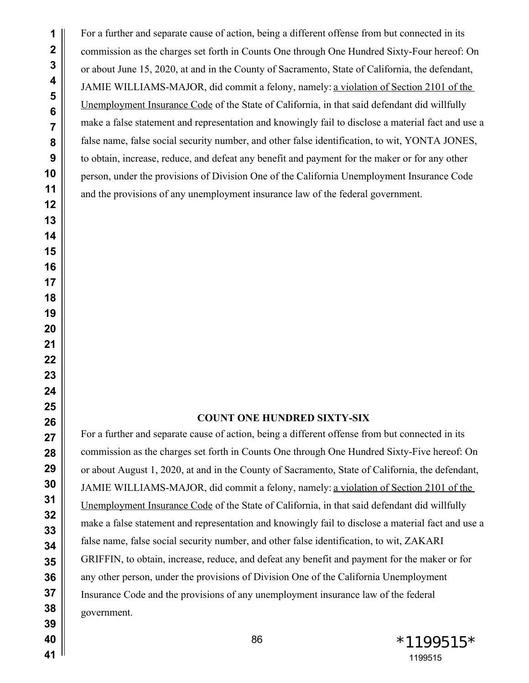For a further and separate cause of action, being a different offense from but connected in its commission as the charges set forth in Counts One through One Hundred Sixty-Four hereof: On or about June 15, 2020, at and in the County of Sacramento, State of California, the defendant, JAMIE WILLIAMS-MAJOR, did commit a felony, namely: a violation of Section 2101 of the Unemployment Insurance Code of the State of California, in that said defendant did willfully make a false statement and representation and knowingly fail to disclose a material fact and use a false name, false social security number, and other false identification, to wit, YONTA JONES, to obtain, increase, reduce, and defeat any benefit and payment for the maker or for any other person, under the provisions of Division One of the California Unemployment Insurance Code and the provisions of any unemployment insurance law of the federal government.

## **COUNT ONE HUNDRED SIXTY-SIX**

For a further and separate cause of action, being a different offense from but connected in its commission as the charges set forth in Counts One through One Hundred Sixty-Five hereof: On or about August 1, 2020, at and in the County of Sacramento, State of California, the defendant, JAMIE WILLIAMS-MAJOR, did commit a felony, namely: a violation of Section 2101 of the Unemployment Insurance Code of the State of California, in that said defendant did willfully make a false statement and representation and knowingly fail to disclose a material fact and use a false name, false social security number, and other false identification, to wit, ZAKARI GRIFFIN, to obtain, increase, reduce, and defeat any benefit and payment for the maker or for any other person, under the provisions of Division One of the California Unemployment Insurance Code and the provisions of any unemployment insurance law of the federal government.

86 \*1199515 \*